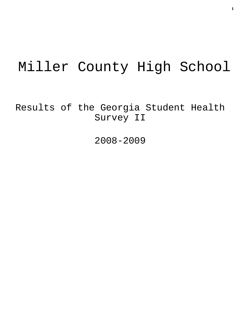# Miller County High School

Results of the Georgia Student Health Survey II

2008-2009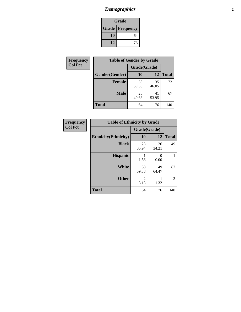# *Demographics* **2**

| Grade                    |    |  |  |
|--------------------------|----|--|--|
| <b>Grade   Frequency</b> |    |  |  |
| 10                       | 64 |  |  |
| 12                       | 76 |  |  |

| Frequency      | <b>Table of Gender by Grade</b> |              |             |              |  |
|----------------|---------------------------------|--------------|-------------|--------------|--|
| <b>Col Pct</b> |                                 | Grade(Grade) |             |              |  |
|                | Gender(Gender)                  | 10           | 12          | <b>Total</b> |  |
|                | <b>Female</b>                   | 38<br>59.38  | 35<br>46.05 | 73           |  |
|                | <b>Male</b>                     | 26<br>40.63  | 41<br>53.95 | 67           |  |
|                | <b>Total</b>                    | 64           | 76          | 140          |  |

| <b>Frequency</b> |
|------------------|
| <b>Col Pct</b>   |

| <b>Table of Ethnicity by Grade</b> |              |             |              |  |  |  |
|------------------------------------|--------------|-------------|--------------|--|--|--|
|                                    | Grade(Grade) |             |              |  |  |  |
| <b>Ethnicity</b> (Ethnicity)       | 10           | 12          | <b>Total</b> |  |  |  |
| <b>Black</b>                       | 23<br>35.94  | 26<br>34.21 | 49           |  |  |  |
| <b>Hispanic</b>                    | 1.56         | 0<br>0.00   | 1            |  |  |  |
| White                              | 38<br>59.38  | 49<br>64.47 | 87           |  |  |  |
| <b>Other</b>                       | 2<br>3.13    | 1.32        | 3            |  |  |  |
| <b>Total</b>                       | 64           | 76          | 140          |  |  |  |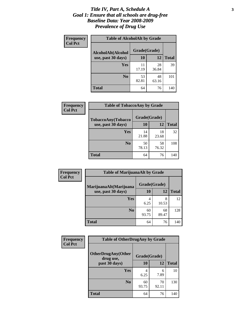### *Title IV, Part A, Schedule A* **3** *Goal 1: Ensure that all schools are drug-free Baseline Data: Year 2008-2009 Prevalence of Drug Use*

| Frequency<br><b>Col Pct</b> | <b>Table of AlcoholAlt by Grade</b> |              |             |              |  |  |
|-----------------------------|-------------------------------------|--------------|-------------|--------------|--|--|
|                             | AlcoholAlt(Alcohol                  | Grade(Grade) |             |              |  |  |
|                             | use, past 30 days)                  | 10           | 12          | <b>Total</b> |  |  |
|                             | Yes                                 | 11<br>17.19  | 28<br>36.84 | 39           |  |  |
|                             | N <sub>0</sub>                      | 53<br>82.81  | 48<br>63.16 | 101          |  |  |
|                             | <b>Total</b>                        | 64           | 76          | 140          |  |  |

| Frequency      | <b>Table of TobaccoAny by Grade</b> |              |             |              |  |
|----------------|-------------------------------------|--------------|-------------|--------------|--|
| <b>Col Pct</b> | <b>TobaccoAny(Tobacco</b>           | Grade(Grade) |             |              |  |
|                | use, past 30 days)                  | 10           | 12          | <b>Total</b> |  |
|                | Yes                                 | 14<br>21.88  | 18<br>23.68 | 32           |  |
|                | N <sub>0</sub>                      | 50<br>78.13  | 58<br>76.32 | 108          |  |
|                | <b>Total</b>                        | 64           | 76          | 140          |  |

| Frequency<br><b>Col Pct</b> | <b>Table of MarijuanaAlt by Grade</b> |              |             |              |  |
|-----------------------------|---------------------------------------|--------------|-------------|--------------|--|
|                             | MarijuanaAlt(Marijuana                | Grade(Grade) |             |              |  |
|                             | use, past 30 days)                    | <b>10</b>    | 12          | <b>Total</b> |  |
|                             | Yes                                   | 4<br>6.25    | 8<br>10.53  | 12           |  |
|                             | N <sub>0</sub>                        | 60<br>93.75  | 68<br>89.47 | 128          |  |
|                             | <b>Total</b>                          | 64           | 76          | 140          |  |

| Frequency      | <b>Table of OtherDrugAny by Grade</b>  |              |             |              |  |  |
|----------------|----------------------------------------|--------------|-------------|--------------|--|--|
| <b>Col Pct</b> | <b>OtherDrugAny(Other</b><br>drug use, | Grade(Grade) |             |              |  |  |
|                | past 30 days)                          | 10           | 12          | <b>Total</b> |  |  |
|                | Yes                                    | 4<br>6.25    | 6<br>7.89   | 10           |  |  |
|                | N <sub>0</sub>                         | 60<br>93.75  | 70<br>92.11 | 130          |  |  |
|                | <b>Total</b>                           | 64           | 76          | 140          |  |  |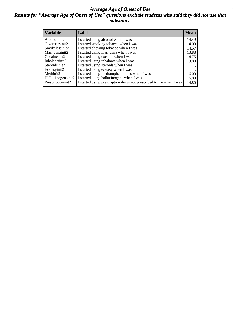### *Average Age of Onset of Use* **4** *Results for "Average Age of Onset of Use" questions exclude students who said they did not use that substance*

| <b>Variable</b>    | Label                                                              | <b>Mean</b> |
|--------------------|--------------------------------------------------------------------|-------------|
| Alcoholinit2       | I started using alcohol when I was                                 | 14.49       |
| Cigarettesinit2    | I started smoking tobacco when I was                               | 14.00       |
| Smokelessinit2     | I started chewing tobacco when I was                               | 14.57       |
| Marijuanainit2     | I started using marijuana when I was                               | 13.88       |
| Cocaineinit2       | I started using cocaine when I was                                 | 14.75       |
| Inhalantsinit2     | I started using inhalants when I was                               | 13.00       |
| Steroidsinit2      | I started using steroids when I was                                |             |
| Ecstasyinit2       | I started using ecstasy when I was                                 |             |
| Methinit2          | I started using methamphetamines when I was                        | 16.00       |
| Hallucinogensinit2 | I started using hallucinogens when I was                           | 16.00       |
| Prescriptioninit2  | I started using prescription drugs not prescribed to me when I was | 14.80       |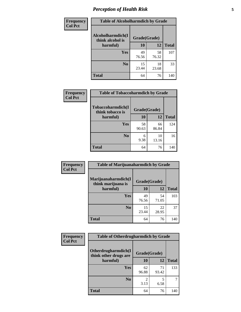# *Perception of Health Risk* **5**

| <b>Frequency</b> | <b>Table of Alcoholharmdich by Grade</b> |              |       |              |  |
|------------------|------------------------------------------|--------------|-------|--------------|--|
| <b>Col Pct</b>   | Alcoholharmdich(I<br>think alcohol is    | Grade(Grade) |       |              |  |
|                  | harmful)                                 | 10           | 12    | <b>Total</b> |  |
|                  | Yes                                      | 49           | 58    | 107          |  |
|                  |                                          | 76.56        | 76.32 |              |  |
|                  | N <sub>0</sub>                           | 15           | 18    | 33           |  |
|                  |                                          | 23.44        | 23.68 |              |  |
|                  | <b>Total</b>                             | 64           | 76    | 140          |  |

| Frequency      | <b>Table of Tobaccoharmdich by Grade</b> |              |             |              |  |
|----------------|------------------------------------------|--------------|-------------|--------------|--|
| <b>Col Pct</b> | Tobaccoharmdich(I<br>think tobacco is    | Grade(Grade) |             |              |  |
|                | harmful)                                 | 10           | 12          | <b>Total</b> |  |
|                | <b>Yes</b>                               | 58<br>90.63  | 66<br>86.84 | 124          |  |
|                | N <sub>0</sub>                           | 6<br>9.38    | 10<br>13.16 | 16           |  |
|                | <b>Total</b>                             | 64           | 76          | 140          |  |

| Frequency      | <b>Table of Marijuanaharmdich by Grade</b> |              |             |              |  |
|----------------|--------------------------------------------|--------------|-------------|--------------|--|
| <b>Col Pct</b> | Marijuanaharmdich(I<br>think marijuana is  | Grade(Grade) |             |              |  |
|                | harmful)                                   | 10           | 12          | <b>Total</b> |  |
|                | Yes                                        | 49<br>76.56  | 54<br>71.05 | 103          |  |
|                | N <sub>0</sub>                             | 15<br>23.44  | 22<br>28.95 | 37           |  |
|                | <b>Total</b>                               | 64           | 76          | 140          |  |

| <b>Frequency</b> | <b>Table of Otherdrugharmdich by Grade</b>   |              |             |              |  |
|------------------|----------------------------------------------|--------------|-------------|--------------|--|
| <b>Col Pct</b>   | Otherdrugharmdich(I<br>think other drugs are | Grade(Grade) |             |              |  |
|                  | harmful)                                     | <b>10</b>    | 12          | <b>Total</b> |  |
|                  | <b>Yes</b>                                   | 62<br>96.88  | 71<br>93.42 | 133          |  |
|                  | N <sub>0</sub>                               | 3.13         | 5<br>6.58   |              |  |
|                  | <b>Total</b>                                 | 64           | 76          | 140          |  |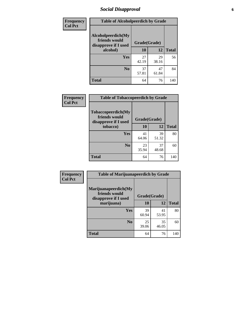# *Social Disapproval* **6**

| Frequency      |                                                             | <b>Table of Alcoholpeerdich by Grade</b> |             |              |  |  |
|----------------|-------------------------------------------------------------|------------------------------------------|-------------|--------------|--|--|
| <b>Col Pct</b> | Alcoholpeerdich(My<br>friends would<br>disapprove if I used | Grade(Grade)                             |             |              |  |  |
|                | alcohol)                                                    | 10                                       | 12          | <b>Total</b> |  |  |
|                | <b>Yes</b>                                                  | 27<br>42.19                              | 29<br>38.16 | 56           |  |  |
|                | N <sub>0</sub>                                              | 37<br>57.81                              | 47<br>61.84 | 84           |  |  |
|                | <b>Total</b>                                                | 64                                       | 76          | 140          |  |  |

| <b>Frequency</b> |
|------------------|
| <b>Col Pct</b>   |

| <b>Table of Tobaccopeerdich by Grade</b>                    |              |             |              |  |  |
|-------------------------------------------------------------|--------------|-------------|--------------|--|--|
| Tobaccopeerdich(My<br>friends would<br>disapprove if I used | Grade(Grade) |             |              |  |  |
| tobacco)                                                    | 10<br>12     |             | <b>Total</b> |  |  |
| Yes                                                         | 41<br>64.06  | 39<br>51.32 | 80           |  |  |
| N <sub>0</sub>                                              | 23<br>35.94  | 37<br>48.68 | 60           |  |  |
| <b>Total</b>                                                | 64           | 76          | 140          |  |  |

| <b>Frequency</b> | <b>Table of Marijuanapeerdich by Grade</b>                    |              |             |              |  |
|------------------|---------------------------------------------------------------|--------------|-------------|--------------|--|
| <b>Col Pct</b>   | Marijuanapeerdich(My<br>friends would<br>disapprove if I used | Grade(Grade) |             |              |  |
|                  | marijuana)                                                    | 10           | 12          | <b>Total</b> |  |
|                  | <b>Yes</b>                                                    | 39<br>60.94  | 41<br>53.95 | 80           |  |
|                  | N <sub>0</sub>                                                | 25<br>39.06  | 35<br>46.05 | 60           |  |
|                  | <b>Total</b>                                                  | 64           | 76          | 140          |  |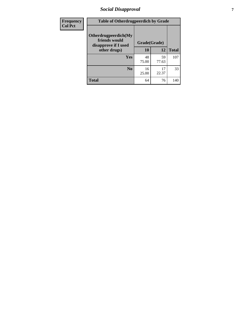# *Social Disapproval* **7**

| Frequency      | <b>Table of Otherdrugpeerdich by Grade</b>                    |              |             |              |  |
|----------------|---------------------------------------------------------------|--------------|-------------|--------------|--|
| <b>Col Pct</b> | Otherdrugpeerdich(My<br>friends would<br>disapprove if I used | Grade(Grade) |             |              |  |
|                | other drugs)                                                  | 10           | 12          | <b>Total</b> |  |
|                | <b>Yes</b>                                                    | 48<br>75.00  | 59<br>77.63 | 107          |  |
|                | N <sub>0</sub>                                                | 16<br>25.00  | 17<br>22.37 | 33           |  |
|                | <b>Total</b>                                                  | 64           | 76          | 140          |  |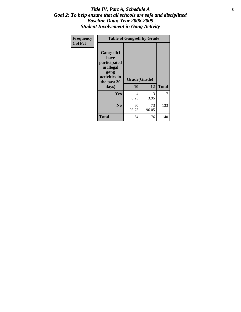### Title IV, Part A, Schedule A **8** *Goal 2: To help ensure that all schools are safe and disciplined Baseline Data: Year 2008-2009 Student Involvement in Gang Activity*

| Frequency      | <b>Table of Gangself by Grade</b>                                                                 |                    |             |              |  |
|----------------|---------------------------------------------------------------------------------------------------|--------------------|-------------|--------------|--|
| <b>Col Pct</b> | Gangself(I<br>have<br>participated<br>in illegal<br>gang<br>activities in<br>the past 30<br>days) | Grade(Grade)<br>10 | 12          | <b>Total</b> |  |
|                | Yes                                                                                               | 4<br>6.25          | 3<br>3.95   | 7            |  |
|                | N <sub>0</sub>                                                                                    | 60<br>93.75        | 73<br>96.05 | 133          |  |
|                | <b>Total</b>                                                                                      | 64                 | 76          | 140          |  |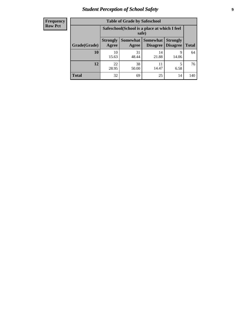# *Student Perception of School Safety* **9**

| <b>Frequency</b><br>Row Pct |
|-----------------------------|
|                             |

| <b>Table of Grade by Safeschool</b> |                          |                                                        |                             |                                    |              |  |
|-------------------------------------|--------------------------|--------------------------------------------------------|-----------------------------|------------------------------------|--------------|--|
|                                     |                          | Safeschool (School is a place at which I feel<br>safe) |                             |                                    |              |  |
| Grade(Grade)                        | <b>Strongly</b><br>Agree | <b>Somewhat</b><br>Agree                               | <b>Somewhat</b><br>Disagree | <b>Strongly</b><br><b>Disagree</b> | <b>Total</b> |  |
| 10                                  | 10<br>15.63              | 31<br>48.44                                            | 14<br>21.88                 | 9<br>14.06                         | 64           |  |
| 12                                  | 22<br>28.95              | 38<br>50.00                                            | 11<br>14.47                 | 5<br>6.58                          | 76           |  |
| <b>Total</b>                        | 32                       | 69                                                     | 25                          | 14                                 | 140          |  |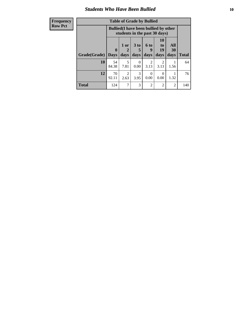### *Students Who Have Been Bullied* **10**

| <b>Frequency</b> | <b>Table of Grade by Bullied</b> |                                                                               |                          |                  |                        |                        |                |              |
|------------------|----------------------------------|-------------------------------------------------------------------------------|--------------------------|------------------|------------------------|------------------------|----------------|--------------|
| <b>Row Pct</b>   |                                  | <b>Bullied</b> (I have been bullied by other<br>students in the past 30 days) |                          |                  |                        |                        |                |              |
|                  |                                  | $\mathbf{0}$                                                                  | $1$ or<br>$\overline{2}$ | $3$ to<br>5      | <b>6 to</b><br>9       | <b>10</b><br>to<br>19  | All<br>30      |              |
|                  | Grade(Grade)                     | <b>Days</b>                                                                   | days                     | days             | days                   | days                   | days           | <b>Total</b> |
|                  | 10                               | 54<br>84.38                                                                   | 5<br>7.81                | $\Omega$<br>0.00 | $\mathfrak{D}$<br>3.13 | $\overline{2}$<br>3.13 | 1.56           | 64           |
|                  | 12                               | 70<br>92.11                                                                   | $\overline{2}$<br>2.63   | 3<br>3.95        | $\Omega$<br>0.00       | 0<br>0.00              | 1.32           | 76           |
|                  | <b>Total</b>                     | 124                                                                           | 7                        | 3                | $\overline{2}$         | $\overline{2}$         | $\overline{2}$ | 140          |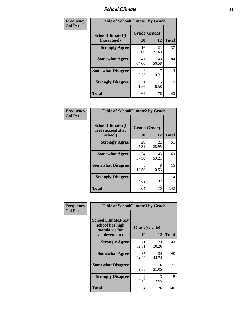### *School Climate* **11**

| Frequency      | <b>Table of SchoolClimate1 by Grade</b> |                    |             |              |  |  |
|----------------|-----------------------------------------|--------------------|-------------|--------------|--|--|
| <b>Col Pct</b> | SchoolClimate1(I<br>like school)        | Grade(Grade)<br>10 | 12          | <b>Total</b> |  |  |
|                | <b>Strongly Agree</b>                   | 16<br>25.00        | 21<br>27.63 | 37           |  |  |
|                | <b>Somewhat Agree</b>                   | 41<br>64.06        | 43<br>56.58 | 84           |  |  |
|                | <b>Somewhat Disagree</b>                | 6<br>9.38          | 9.21        | 13           |  |  |
|                | <b>Strongly Disagree</b>                | 1.56               | 5<br>6.58   | 6            |  |  |
|                | <b>Total</b>                            | 64                 | 76          | 140          |  |  |

| Frequency<br>Col Pct |
|----------------------|

|                                                   | <b>Table of SchoolClimate2 by Grade</b> |             |              |  |  |
|---------------------------------------------------|-----------------------------------------|-------------|--------------|--|--|
| SchoolClimate2(I<br>feel successful at<br>school) | Grade(Grade)<br>10                      | 12          | <b>Total</b> |  |  |
| <b>Strongly Agree</b>                             | 29<br>45.31                             | 22<br>28.95 | 51           |  |  |
| <b>Somewhat Agree</b>                             | 24<br>37.50                             | 45<br>59.21 | 69           |  |  |
| <b>Somewhat Disagree</b>                          | 8<br>12.50                              | 8<br>10.53  | 16           |  |  |
| <b>Strongly Disagree</b>                          | 3<br>4.69                               | 1.32        | 4            |  |  |
| <b>Total</b>                                      | 64                                      | 76          | 140          |  |  |

| Frequency      | <b>Table of SchoolClimate3 by Grade</b>                               |                           |             |              |
|----------------|-----------------------------------------------------------------------|---------------------------|-------------|--------------|
| <b>Col Pct</b> | SchoolClimate3(My<br>school has high<br>standards for<br>achievement) | Grade(Grade)<br><b>10</b> | 12          | <b>Total</b> |
|                |                                                                       |                           |             |              |
|                | <b>Strongly Agree</b>                                                 | 21<br>32.81               | 23<br>30.26 | 44           |
|                | <b>Somewhat Agree</b>                                                 | 35<br>54.69               | 34<br>44.74 | 69           |
|                | <b>Somewhat Disagree</b>                                              | 6<br>9.38                 | 16<br>21.05 | 22           |
|                | <b>Strongly Disagree</b>                                              | $\mathfrak{D}$<br>3.13    | 3<br>3.95   | 5            |
|                | Total                                                                 | 64                        | 76          | 140          |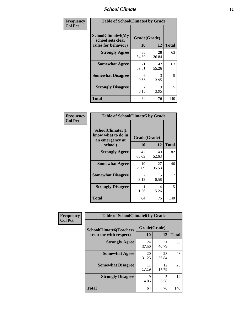### *School Climate* **12**

| Frequency      | <b>Table of SchoolClimate4 by Grade</b>                              |                        |             |              |
|----------------|----------------------------------------------------------------------|------------------------|-------------|--------------|
| <b>Col Pct</b> | <b>SchoolClimate4(My</b><br>school sets clear<br>rules for behavior) | Grade(Grade)<br>10     | 12          | <b>Total</b> |
|                | <b>Strongly Agree</b>                                                | 35<br>54.69            | 28<br>36.84 | 63           |
|                | <b>Somewhat Agree</b>                                                | 21<br>32.81            | 42<br>55.26 | 63           |
|                | <b>Somewhat Disagree</b>                                             | 6<br>9.38              | 3<br>3.95   | 9            |
|                | <b>Strongly Disagree</b>                                             | $\mathfrak{D}$<br>3.13 | 3<br>3.95   | 5            |
|                | <b>Total</b>                                                         | 64                     | 76          | 140          |

| <b>Table of SchoolClimate5 by Grade</b>                   |                        |             |              |  |  |
|-----------------------------------------------------------|------------------------|-------------|--------------|--|--|
| SchoolClimate5(I<br>know what to do in<br>an emergency at | Grade(Grade)           |             |              |  |  |
| school)                                                   | 10                     | 12          | <b>Total</b> |  |  |
| <b>Strongly Agree</b>                                     | 42<br>65.63            | 40<br>52.63 | 82           |  |  |
| <b>Somewhat Agree</b>                                     | 19<br>29.69            | 27<br>35.53 | 46           |  |  |
| <b>Somewhat Disagree</b>                                  | $\mathfrak{D}$<br>3.13 | 5<br>6.58   | 7            |  |  |
| <b>Strongly Disagree</b>                                  | 1.56                   | 4<br>5.26   | 5            |  |  |
| Total                                                     | 64                     | 76          | 140          |  |  |

| Frequency      | <b>Table of SchoolClimate6 by Grade</b>                  |                    |             |              |
|----------------|----------------------------------------------------------|--------------------|-------------|--------------|
| <b>Col Pct</b> | <b>SchoolClimate6(Teachers</b><br>treat me with respect) | Grade(Grade)<br>10 | 12          | <b>Total</b> |
|                | <b>Strongly Agree</b>                                    | 24<br>37.50        | 31<br>40.79 | 55           |
|                | <b>Somewhat Agree</b>                                    | 20<br>31.25        | 28<br>36.84 | 48           |
|                | <b>Somewhat Disagree</b>                                 | 11<br>17.19        | 12<br>15.79 | 23           |
|                | <b>Strongly Disagree</b>                                 | Q<br>14.06         | 5<br>6.58   | 14           |
|                | <b>Total</b>                                             | 64                 | 76          | 140          |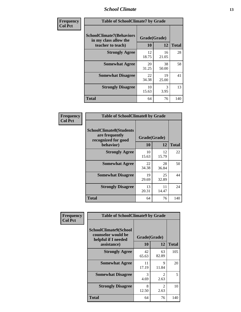### *School Climate* **13**

| Frequency      | <b>Table of SchoolClimate7 by Grade</b>                                       |                           |             |              |
|----------------|-------------------------------------------------------------------------------|---------------------------|-------------|--------------|
| <b>Col Pct</b> | <b>SchoolClimate7(Behaviors</b><br>in my class allow the<br>teacher to teach) | Grade(Grade)<br><b>10</b> | 12          | <b>Total</b> |
|                | <b>Strongly Agree</b>                                                         | 12<br>18.75               | 16<br>21.05 | 28           |
|                | <b>Somewhat Agree</b>                                                         | 20<br>31.25               | 38<br>50.00 | 58           |
|                | <b>Somewhat Disagree</b>                                                      | 22<br>34.38               | 19<br>25.00 | 41           |
|                | <b>Strongly Disagree</b>                                                      | 10<br>15.63               | 3<br>3.95   | 13           |
|                | <b>Total</b>                                                                  | 64                        | 76          | 140          |

| Frequency      | <b>Table of SchoolClimate8 by Grade</b>                                              |                    |             |              |
|----------------|--------------------------------------------------------------------------------------|--------------------|-------------|--------------|
| <b>Col Pct</b> | <b>SchoolClimate8(Students</b><br>are frequently<br>recognized for good<br>behavior) | Grade(Grade)<br>10 | 12          | <b>Total</b> |
|                | <b>Strongly Agree</b>                                                                | 10<br>15.63        | 12<br>15.79 | 22           |
|                | <b>Somewhat Agree</b>                                                                | 22<br>34.38        | 28<br>36.84 | 50           |
|                | <b>Somewhat Disagree</b>                                                             | 19<br>29.69        | 25<br>32.89 | 44           |
|                | <b>Strongly Disagree</b>                                                             | 13<br>20.31        | 11<br>14.47 | 24           |
|                | <b>Total</b>                                                                         | 64                 | 76          | 140          |

| Frequency      | <b>Table of SchoolClimate9 by Grade</b>                                           |                    |                        |              |
|----------------|-----------------------------------------------------------------------------------|--------------------|------------------------|--------------|
| <b>Col Pct</b> | SchoolClimate9(School<br>counselor would be<br>helpful if I needed<br>assistance) | Grade(Grade)<br>10 | 12                     | <b>Total</b> |
|                | <b>Strongly Agree</b>                                                             | 42<br>65.63        | 63<br>82.89            | 105          |
|                | <b>Somewhat Agree</b>                                                             | 11<br>17.19        | $\mathbf Q$<br>11.84   | 20           |
|                | <b>Somewhat Disagree</b>                                                          | 3<br>4.69          | $\mathfrak{D}$<br>2.63 | 5            |
|                | <b>Strongly Disagree</b>                                                          | 8<br>12.50         | $\mathfrak{D}$<br>2.63 | 10           |
|                | Total                                                                             | 64                 | 76                     | 140          |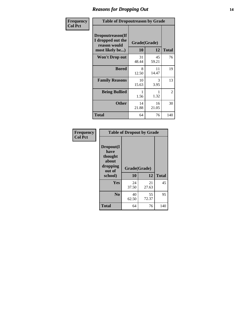### *Reasons for Dropping Out* **14**

| Frequency      | <b>Table of Dropoutreason by Grade</b>                                   |             |                    |              |
|----------------|--------------------------------------------------------------------------|-------------|--------------------|--------------|
| <b>Col Pct</b> | Dropoutreason(If<br>I dropped out the<br>reason would<br>most likely be) | <b>10</b>   | Grade(Grade)<br>12 | <b>Total</b> |
|                | <b>Won't Drop out</b>                                                    | 31<br>48.44 | 45<br>59.21        | 76           |
|                | <b>Bored</b>                                                             | 8<br>12.50  | 11<br>14.47        | 19           |
|                | <b>Family Reasons</b>                                                    | 10<br>15.63 | 3<br>3.95          | 13           |
|                | <b>Being Bullied</b>                                                     | 1.56        | 1.32               | 2            |
|                | <b>Other</b>                                                             | 14<br>21.88 | 16<br>21.05        | 30           |
|                | <b>Total</b>                                                             | 64          | 76                 | 140          |

| Frequency      | <b>Table of Dropout by Grade</b>                                       |                    |             |              |  |
|----------------|------------------------------------------------------------------------|--------------------|-------------|--------------|--|
| <b>Col Pct</b> | Dropout(I<br>have<br>thought<br>about<br>dropping<br>out of<br>school) | Grade(Grade)<br>10 | 12          | <b>Total</b> |  |
|                | Yes                                                                    | 24<br>37.50        | 21<br>27.63 | 45           |  |
|                | N <sub>0</sub>                                                         | 40<br>62.50        | 55<br>72.37 | 95           |  |
|                | <b>Total</b>                                                           | 64                 | 76          | 140          |  |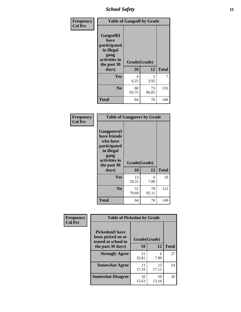*School Safety* **15**

| Frequency      | <b>Table of Gangself by Grade</b>                                                                 |                    |             |              |
|----------------|---------------------------------------------------------------------------------------------------|--------------------|-------------|--------------|
| <b>Col Pct</b> | Gangself(I<br>have<br>participated<br>in illegal<br>gang<br>activities in<br>the past 30<br>days) | Grade(Grade)<br>10 | 12          | <b>Total</b> |
|                | Yes                                                                                               | 4<br>6.25          | 3<br>3.95   | 7            |
|                | N <sub>0</sub>                                                                                    | 60<br>93.75        | 73<br>96.05 | 133          |
|                | <b>Total</b>                                                                                      | 64                 | 76          | 140          |

| Frequency<br><b>Col Pct</b> | <b>Table of Gangpeers by Grade</b>                                                                                             |                    |             |              |
|-----------------------------|--------------------------------------------------------------------------------------------------------------------------------|--------------------|-------------|--------------|
|                             | <b>Gangpeers</b> (I<br>have friends<br>who have<br>participated<br>in illegal<br>gang<br>activities in<br>the past 30<br>days) | Grade(Grade)<br>10 | 12          | <b>Total</b> |
|                             | <b>Yes</b>                                                                                                                     | 13<br>20.31        | 6<br>7.89   | 19           |
|                             | N <sub>0</sub>                                                                                                                 | 51<br>79.69        | 70<br>92.11 | 121          |
|                             | <b>Total</b>                                                                                                                   | 64                 | 76          | 140          |

| Frequency      | <b>Table of Pickedon by Grade</b>                                   |              |             |              |  |  |  |
|----------------|---------------------------------------------------------------------|--------------|-------------|--------------|--|--|--|
| <b>Col Pct</b> | <b>Pickedon</b> (I have<br>been picked on or<br>teased at school in | Grade(Grade) |             |              |  |  |  |
|                | the past 30 days)                                                   | 10           | 12          | <b>Total</b> |  |  |  |
|                | <b>Strongly Agree</b>                                               | 21<br>32.81  | 6<br>7.89   | 27           |  |  |  |
|                | <b>Somewhat Agree</b>                                               | 11<br>17.19  | 13<br>17.11 | 24           |  |  |  |
|                | <b>Somewhat Disagree</b>                                            | 10<br>15.63  | 10<br>13.16 | 20           |  |  |  |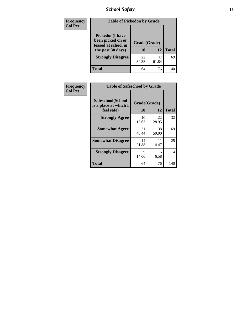*School Safety* **16**

| <b>Frequency</b> | <b>Table of Pickedon by Grade</b>                                                        |                    |             |              |  |  |  |  |
|------------------|------------------------------------------------------------------------------------------|--------------------|-------------|--------------|--|--|--|--|
| <b>Col Pct</b>   | <b>Pickedon</b> (I have<br>been picked on or<br>teased at school in<br>the past 30 days) | Grade(Grade)<br>10 | 12          | <b>Total</b> |  |  |  |  |
|                  | <b>Strongly Disagree</b>                                                                 | 22<br>34.38        | 47<br>61.84 | 69           |  |  |  |  |
|                  | <b>Total</b>                                                                             | 64                 | 76          | 140          |  |  |  |  |

| Frequency      | <b>Table of Safeschool by Grade</b>                      |                    |             |              |
|----------------|----------------------------------------------------------|--------------------|-------------|--------------|
| <b>Col Pct</b> | Safeschool(School<br>is a place at which I<br>feel safe) | Grade(Grade)<br>10 | 12          | <b>Total</b> |
|                | <b>Strongly Agree</b>                                    | 10<br>15.63        | 22<br>28.95 | 32           |
|                | <b>Somewhat Agree</b>                                    | 31<br>48.44        | 38<br>50.00 | 69           |
|                | <b>Somewhat Disagree</b>                                 | 14<br>21.88        | 11<br>14.47 | 25           |
|                | <b>Strongly Disagree</b>                                 | 9<br>14.06         | 5<br>6.58   | 14           |
|                | <b>Total</b>                                             | 64                 | 76          | 140          |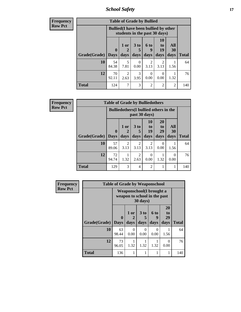*School Safety* **17**

| <b>Frequency</b> |                           |             | <b>Table of Grade by Bullied</b>                                              |                              |                        |                        |                          |              |  |  |  |  |  |  |
|------------------|---------------------------|-------------|-------------------------------------------------------------------------------|------------------------------|------------------------|------------------------|--------------------------|--------------|--|--|--|--|--|--|
| <b>Row Pct</b>   |                           |             | <b>Bullied</b> (I have been bullied by other<br>students in the past 30 days) |                              |                        |                        |                          |              |  |  |  |  |  |  |
|                  | <b>Grade</b> (Grade) Days | $\mathbf 0$ | 1 or<br>days                                                                  | 3 <sub>to</sub><br>5<br>days | 6 to<br>9<br>days      | 10<br>to<br>19<br>days | All<br><b>30</b><br>days | <b>Total</b> |  |  |  |  |  |  |
|                  | 10                        | 54<br>84.38 | 5<br>7.81                                                                     | 0<br>0.00                    | $\mathfrak{D}$<br>3.13 | 2<br>3.13              | 1.56                     | 64           |  |  |  |  |  |  |
|                  | 12                        | 70<br>92.11 | $\overline{c}$<br>2.63                                                        | $\mathcal{R}$<br>3.95        | 0<br>0.00              | 0<br>0.00              | 1.32                     | 76           |  |  |  |  |  |  |
|                  | <b>Total</b>              | 124         | 7                                                                             | 3                            | 2                      | $\overline{2}$         | $\overline{2}$           | 140          |  |  |  |  |  |  |

| <b>Frequency</b> |              | <b>Table of Grade by Bulliedothers</b> |                                               |                        |                        |                               |                   |              |  |  |  |  |  |
|------------------|--------------|----------------------------------------|-----------------------------------------------|------------------------|------------------------|-------------------------------|-------------------|--------------|--|--|--|--|--|
| <b>Row Pct</b>   |              |                                        | <b>Bulliedothers</b> (I bullied others in the |                        | past 30 days)          |                               |                   |              |  |  |  |  |  |
|                  | Grade(Grade) | $\mathbf{0}$<br><b>Days</b>            | 1 or<br>days                                  | 3 to<br>5<br>days      | 10<br>to<br>19<br>days | <b>20</b><br>to<br>29<br>days | All<br>30<br>days | <b>Total</b> |  |  |  |  |  |
|                  | 10           | 57<br>89.06                            | 2<br>3.13                                     | 2<br>3.13              | 2<br>3.13              | 0<br>0.00                     | 1.56              | 64           |  |  |  |  |  |
|                  | 12           | 72<br>94.74                            | 1.32                                          | $\mathfrak{D}$<br>2.63 | 0<br>0.00              | 1.32                          | $\Omega$<br>0.00  | 76           |  |  |  |  |  |
|                  | <b>Total</b> | 129                                    | 3                                             | 4                      | $\overline{2}$         | 1                             |                   | 140          |  |  |  |  |  |

| <b>Frequency</b> |              | <b>Table of Grade by Weaponschool</b> |                                                           |                              |                          |                        |              |
|------------------|--------------|---------------------------------------|-----------------------------------------------------------|------------------------------|--------------------------|------------------------|--------------|
| <b>Row Pct</b>   |              |                                       | Weaponschool (I brought a<br>weapon to school in the past | 30 days)                     |                          |                        |              |
|                  | Grade(Grade) | $\bf{0}$<br><b>Days</b>               | 1 or<br>2<br>days                                         | 3 <sub>to</sub><br>5<br>days | <b>6 to</b><br>9<br>days | 20<br>to<br>29<br>days | <b>Total</b> |
|                  | 10           | 63<br>98.44                           | 0<br>0.00                                                 | $\Omega$<br>0.00             | 0<br>0.00                | 1.56                   | 64           |
|                  | 12           | 73<br>96.05                           | 1.32                                                      | 1.32                         | 1.32                     | 0<br>0.00              | 76           |
|                  | <b>Total</b> | 136                                   |                                                           | 1                            |                          | 1                      | 140          |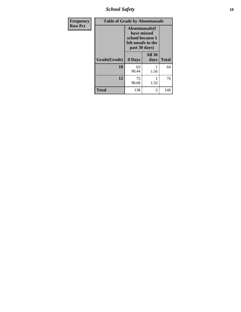*School Safety* **18**

| <b>Frequency</b> | <b>Table of Grade by Absentunsafe</b> |                                                                                           |                       |              |
|------------------|---------------------------------------|-------------------------------------------------------------------------------------------|-----------------------|--------------|
| <b>Row Pct</b>   |                                       | Absentunsafe(I)<br>have missed<br>school because I<br>felt unsafe in the<br>past 30 days) |                       |              |
|                  | Grade(Grade)                          | 0 Days                                                                                    | <b>All 30</b><br>days | <b>Total</b> |
|                  | 10                                    | 63<br>98.44                                                                               | 1.56                  | 64           |
|                  | 12                                    | 75<br>98.68                                                                               | 1.32                  | 76           |
|                  | <b>Total</b>                          | 138                                                                                       | 2                     | 140          |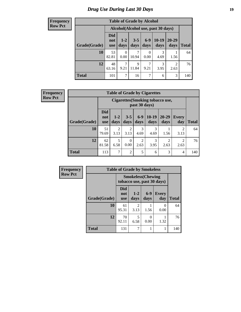# *Drug Use During Last 30 Days* **19**

#### **Frequency Row Pct**

| <b>Table of Grade by Alcohol</b> |                          |                                                                                                             |            |           |           |           |     |  |  |  |
|----------------------------------|--------------------------|-------------------------------------------------------------------------------------------------------------|------------|-----------|-----------|-----------|-----|--|--|--|
|                                  |                          | Alcohol(Alcohol use, past 30 days)                                                                          |            |           |           |           |     |  |  |  |
| Grade(Grade)                     | Did<br>not<br><b>use</b> | $10-19$<br>$6-9$<br>$20 - 29$<br>$3 - 5$<br>$1 - 2$<br><b>Total</b><br>days<br>days<br>days<br>days<br>days |            |           |           |           |     |  |  |  |
| 10                               | 53<br>82.81              | $\Omega$<br>0.00                                                                                            | 7<br>10.94 | 0<br>0.00 | 3<br>4.69 | 1.56      | 64  |  |  |  |
| 12                               | 48<br>63.16              | 7<br>9.21                                                                                                   | 9<br>11.84 | 7<br>9.21 | 3<br>3.95 | 2<br>2.63 | 76  |  |  |  |
| <b>Total</b>                     | 101                      | 7                                                                                                           | 16         | 7         | 6         | 3         | 140 |  |  |  |

#### **Frequency Row Pct**

| <b>Table of Grade by Cigarettes</b> |                                 |                                                                                                                                  |           |           |           |      |                        |     |  |  |
|-------------------------------------|---------------------------------|----------------------------------------------------------------------------------------------------------------------------------|-----------|-----------|-----------|------|------------------------|-----|--|--|
|                                     |                                 | <b>Cigarettes</b> (Smoking tobacco use,<br>past 30 days)                                                                         |           |           |           |      |                        |     |  |  |
| Grade(Grade)                        | <b>Did</b><br>not<br><b>use</b> | $6 - 9$<br>$10-19$<br>20-29<br>$1 - 2$<br>$3 - 5$<br><b>Every</b><br>days<br><b>Total</b><br>days<br>days<br>day<br>days<br>days |           |           |           |      |                        |     |  |  |
| 10                                  | 51<br>79.69                     | $\mathfrak{D}$<br>3.13                                                                                                           | 2<br>3.13 | 3<br>4.69 | 3<br>4.69 | 1.56 | $\overline{2}$<br>3.13 | 64  |  |  |
| 12                                  | 62<br>81.58                     | 5<br>$\overline{c}$<br>3<br>$\overline{c}$<br>$\overline{c}$<br>$\theta$<br>0.00<br>6.58<br>2.63<br>3.95<br>2.63<br>2.63         |           |           |           |      |                        |     |  |  |
| <b>Total</b>                        | 113                             | $\overline{7}$                                                                                                                   | 2         | 5         | 6         | 3    | 4                      | 140 |  |  |

| Frequency      |              | <b>Table of Grade by Smokeless</b> |                        |                           |                            |              |
|----------------|--------------|------------------------------------|------------------------|---------------------------|----------------------------|--------------|
| <b>Row Pct</b> |              |                                    |                        | <b>Smokeless</b> (Chewing | tobacco use, past 30 days) |              |
|                | Grade(Grade) | Did<br>not<br><b>use</b>           | $1 - 2$<br>days        | $6-9$<br>days             | <b>Every</b><br>day        | <b>Total</b> |
|                | 10           | 61<br>95.31                        | $\mathfrak{D}$<br>3.13 | 1.56                      | $\cup$<br>0.00             | 64           |
|                | 12           | 70<br>92.11                        | 6.58                   | 0.00                      | 1.32                       | 76           |
|                | <b>Total</b> | 131                                | 7                      |                           |                            | 140          |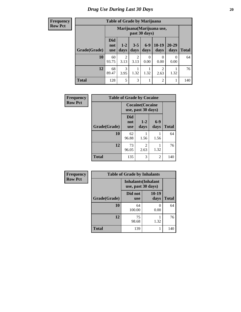| <b>Frequency</b> |
|------------------|
| <b>Row Pct</b>   |

| <b>Table of Grade by Marijuana</b> |                                 |                                                                                                       |           |           |                |           |     |  |  |
|------------------------------------|---------------------------------|-------------------------------------------------------------------------------------------------------|-----------|-----------|----------------|-----------|-----|--|--|
|                                    |                                 | Marijuana (Marijuana use,<br>past 30 days)                                                            |           |           |                |           |     |  |  |
| Grade(Grade)                       | <b>Did</b><br>not<br><b>use</b> | 10-19<br>$6-9$<br>20-29<br>$1 - 2$<br>$3 - 5$<br><b>Total</b><br>days<br>days<br>days<br>days<br>days |           |           |                |           |     |  |  |
| 10                                 | 60<br>93.75                     | 2<br>3.13                                                                                             | 2<br>3.13 | 0<br>0.00 | 0<br>0.00      | 0<br>0.00 | 64  |  |  |
| 12                                 | 68<br>89.47                     | 3<br>2<br>1.32<br>1.32<br>3.95<br>2.63<br>1.32                                                        |           |           |                |           |     |  |  |
| <b>Total</b>                       | 128                             | 5                                                                                                     | 3         | 1         | $\overline{2}$ | 1         | 140 |  |  |

| <b>Frequency</b> | <b>Table of Grade by Cocaine</b> |                                 |                                               |                 |              |
|------------------|----------------------------------|---------------------------------|-----------------------------------------------|-----------------|--------------|
| <b>Row Pct</b>   |                                  |                                 | <b>Cocaine</b> (Cocaine<br>use, past 30 days) |                 |              |
|                  | Grade(Grade)                     | <b>Did</b><br>not<br><b>use</b> | $1 - 2$<br>days                               | $6 - 9$<br>days | <b>Total</b> |
|                  | 10                               | 62<br>96.88                     | 1.56                                          | 1.56            | 64           |
|                  | 12                               | 73<br>96.05                     | $\overline{2}$<br>2.63                        | 1.32            | 76           |
|                  | <b>Total</b>                     | 135                             | 3                                             | 2               | 140          |

| <b>Frequency</b> |
|------------------|
| <b>Row Pct</b>   |

| <b>Table of Grade by Inhalants</b> |                                                  |               |              |  |  |  |
|------------------------------------|--------------------------------------------------|---------------|--------------|--|--|--|
|                                    | <b>Inhalants</b> (Inhalant<br>use, past 30 days) |               |              |  |  |  |
| Grade(Grade)                       | Did not<br><b>use</b>                            | 10-19<br>days | <b>Total</b> |  |  |  |
| 10                                 | 64<br>100.00                                     | 0.00          | 64           |  |  |  |
| 12                                 | 75<br>98.68                                      | 1.32          | 76           |  |  |  |
| <b>Total</b>                       | 139                                              |               | 140          |  |  |  |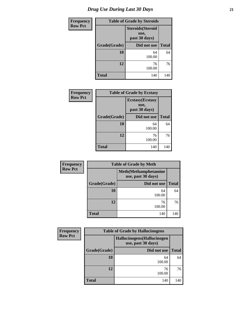| <b>Frequency</b> |              | <b>Table of Grade by Steroids</b> |              |  |  |  |
|------------------|--------------|-----------------------------------|--------------|--|--|--|
| <b>Row Pct</b>   |              |                                   |              |  |  |  |
|                  | Grade(Grade) | Did not use                       | <b>Total</b> |  |  |  |
|                  | 10           | 64<br>100.00                      | 64           |  |  |  |
|                  | 12           | 76<br>100.00                      | 76           |  |  |  |
|                  | <b>Total</b> | 140                               | 140          |  |  |  |

| <b>Frequency</b> | <b>Table of Grade by Ecstasy</b> |              |              |  |  |  |
|------------------|----------------------------------|--------------|--------------|--|--|--|
| <b>Row Pct</b>   |                                  |              |              |  |  |  |
|                  | Grade(Grade)                     | Did not use  | <b>Total</b> |  |  |  |
|                  | 10                               | 64<br>100.00 | 64           |  |  |  |
|                  | 12                               | 76<br>100.00 | 76           |  |  |  |
|                  | <b>Total</b>                     | 140          | 140          |  |  |  |

| Frequency      | <b>Table of Grade by Meth</b> |                                                    |              |  |  |  |
|----------------|-------------------------------|----------------------------------------------------|--------------|--|--|--|
| <b>Row Pct</b> |                               | <b>Meth</b> (Methamphetamine<br>use, past 30 days) |              |  |  |  |
|                | Grade(Grade)                  | Did not use                                        | <b>Total</b> |  |  |  |
|                | 10                            | 64<br>100.00                                       | 64           |  |  |  |
|                | 12                            | 76<br>100.00                                       | 76           |  |  |  |
|                | <b>Total</b>                  | 140                                                | 140          |  |  |  |

| <b>Frequency</b> |                                                          | <b>Table of Grade by Hallucinogens</b> |              |  |  |
|------------------|----------------------------------------------------------|----------------------------------------|--------------|--|--|
| <b>Row Pct</b>   | <b>Hallucinogens</b> (Hallucinogen<br>use, past 30 days) |                                        |              |  |  |
|                  | Grade(Grade)                                             | Did not use                            | <b>Total</b> |  |  |
|                  | 10                                                       | 64<br>100.00                           | 64           |  |  |
|                  | 12                                                       | 76<br>100.00                           | 76           |  |  |
|                  | <b>Total</b>                                             | 140                                    | 140          |  |  |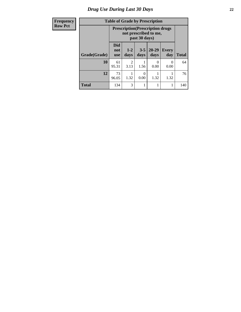# *Drug Use During Last 30 Days* **22**

| <b>Frequency</b> |  |
|------------------|--|
| <b>Row Pct</b>   |  |

# **Table of Grade by Prescription**

| спс у     | Lable of Graue by Liescription |                          |                                                                                   |                 |                   |                     |              |
|-----------|--------------------------------|--------------------------|-----------------------------------------------------------------------------------|-----------------|-------------------|---------------------|--------------|
| <b>ct</b> |                                |                          | <b>Prescription</b> (Prescription drugs<br>not prescribed to me,<br>past 30 days) |                 |                   |                     |              |
|           | Grade(Grade)                   | <b>Did</b><br>not<br>use | $1 - 2$<br>days                                                                   | $3 - 5$<br>days | $20 - 29$<br>days | <b>Every</b><br>day | <b>Total</b> |
|           | 10                             | 61<br>95.31              | 2<br>3.13                                                                         | 1.56            | 0<br>0.00         | 0<br>0.00           | 64           |
|           | 12                             | 73<br>96.05              | 1.32                                                                              | 0<br>0.00       | 1.32              | 1.32                | 76           |
|           | <b>Total</b>                   | 134                      | 3                                                                                 |                 |                   |                     | 140          |

٦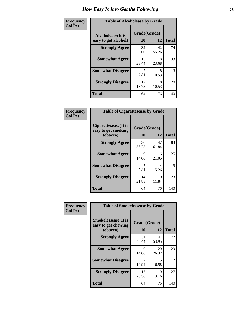| Frequency      | <b>Table of Alcoholease by Grade</b>              |                    |             |              |  |
|----------------|---------------------------------------------------|--------------------|-------------|--------------|--|
| <b>Col Pct</b> | <b>Alcoholease</b> (It is<br>easy to get alcohol) | Grade(Grade)<br>10 | 12          | <b>Total</b> |  |
|                | <b>Strongly Agree</b>                             | 32<br>50.00        | 42<br>55.26 | 74           |  |
|                | <b>Somewhat Agree</b>                             | 15<br>23.44        | 18<br>23.68 | 33           |  |
|                | <b>Somewhat Disagree</b>                          | 5<br>7.81          | 8<br>10.53  | 13           |  |
|                | <b>Strongly Disagree</b>                          | 12<br>18.75        | 8<br>10.53  | 20           |  |
|                | <b>Total</b>                                      | 64                 | 76          | 140          |  |

| Frequency      | <b>Table of Cigarettesease by Grade</b>                 |                    |             |              |  |
|----------------|---------------------------------------------------------|--------------------|-------------|--------------|--|
| <b>Col Pct</b> | Cigarettesease(It is<br>easy to get smoking<br>tobacco) | Grade(Grade)<br>10 | 12          | <b>Total</b> |  |
|                | <b>Strongly Agree</b>                                   | 36<br>56.25        | 47<br>61.84 | 83           |  |
|                | <b>Somewhat Agree</b>                                   | 9<br>14.06         | 16<br>21.05 | 25           |  |
|                | <b>Somewhat Disagree</b>                                | 5<br>7.81          | 4<br>5.26   | 9            |  |
|                | <b>Strongly Disagree</b>                                | 14<br>21.88        | 9<br>11.84  | 23           |  |
|                | Total                                                   | 64                 | 76          | 140          |  |

| Frequency      | <b>Table of Smokelessease by Grade</b>                         |                           |             |              |  |
|----------------|----------------------------------------------------------------|---------------------------|-------------|--------------|--|
| <b>Col Pct</b> | <b>Smokelessease</b> (It is<br>easy to get chewing<br>tobacco) | Grade(Grade)<br><b>10</b> | 12          | <b>Total</b> |  |
|                | <b>Strongly Agree</b>                                          | 31<br>48.44               | 41<br>53.95 | 72           |  |
|                | <b>Somewhat Agree</b>                                          | 9<br>14.06                | 20<br>26.32 | 29           |  |
|                | <b>Somewhat Disagree</b>                                       | 7<br>10.94                | 5<br>6.58   | 12           |  |
|                | <b>Strongly Disagree</b>                                       | 17<br>26.56               | 10<br>13.16 | 27           |  |
|                | <b>Total</b>                                                   | 64                        | 76          | 140          |  |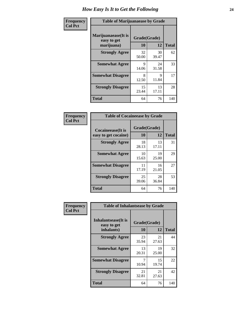| Frequency      | <b>Table of Marijuanaease by Grade</b>           |                    |             |              |
|----------------|--------------------------------------------------|--------------------|-------------|--------------|
| <b>Col Pct</b> | Marijuanaease(It is<br>easy to get<br>marijuana) | Grade(Grade)<br>10 | 12          | <b>Total</b> |
|                | <b>Strongly Agree</b>                            | 32<br>50.00        | 30<br>39.47 | 62           |
|                | <b>Somewhat Agree</b>                            | 9<br>14.06         | 24<br>31.58 | 33           |
|                | <b>Somewhat Disagree</b>                         | 8<br>12.50         | 9<br>11.84  | 17           |
|                | <b>Strongly Disagree</b>                         | 15<br>23.44        | 13<br>17.11 | 28           |
|                | <b>Total</b>                                     | 64                 | 76          | 140          |

| <b>Table of Cocaineease by Grade</b>              |                    |              |     |  |  |  |  |  |  |  |
|---------------------------------------------------|--------------------|--------------|-----|--|--|--|--|--|--|--|
| <b>Cocaineease</b> (It is<br>easy to get cocaine) | Grade(Grade)<br>10 | <b>Total</b> |     |  |  |  |  |  |  |  |
| <b>Strongly Agree</b>                             | 18                 | 12<br>13     | 31  |  |  |  |  |  |  |  |
|                                                   | 28.13              | 17.11        |     |  |  |  |  |  |  |  |
| <b>Somewhat Agree</b>                             | 10<br>15.63        | 19<br>25.00  | 29  |  |  |  |  |  |  |  |
| <b>Somewhat Disagree</b>                          | 11<br>17.19        | 16<br>21.05  | 27  |  |  |  |  |  |  |  |
| <b>Strongly Disagree</b>                          | 25<br>39.06        | 28<br>36.84  | 53  |  |  |  |  |  |  |  |
| <b>Total</b>                                      | 64                 | 76           | 140 |  |  |  |  |  |  |  |

| Frequency      | <b>Table of Inhalantsease by Grade</b>     |              |             |              |
|----------------|--------------------------------------------|--------------|-------------|--------------|
| <b>Col Pct</b> | <b>Inhalantsease</b> (It is<br>easy to get | Grade(Grade) |             |              |
|                | inhalants)                                 | 10           | 12          | <b>Total</b> |
|                | <b>Strongly Agree</b>                      | 23<br>35.94  | 21<br>27.63 | 44           |
|                | <b>Somewhat Agree</b>                      | 13<br>20.31  | 19<br>25.00 | 32           |
|                | <b>Somewhat Disagree</b>                   | 10.94        | 15<br>19.74 | 22           |
|                | <b>Strongly Disagree</b>                   | 21<br>32.81  | 21<br>27.63 | 42           |
|                | <b>Total</b>                               | 64           | 76          | 140          |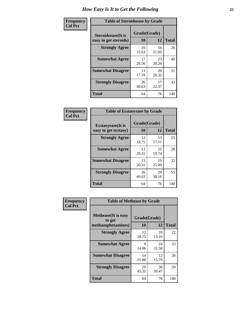| Frequency      | <b>Table of Steroidsease by Grade</b>               |                    |             |              |
|----------------|-----------------------------------------------------|--------------------|-------------|--------------|
| <b>Col Pct</b> | <b>Steroidsease</b> (It is<br>easy to get steroids) | Grade(Grade)<br>10 | 12          | <b>Total</b> |
|                | <b>Strongly Agree</b>                               | 10<br>15.63        | 16<br>21.05 | 26           |
|                | <b>Somewhat Agree</b>                               | 17<br>26.56        | 23<br>30.26 | 40           |
|                | <b>Somewhat Disagree</b>                            | 11<br>17.19        | 20<br>26.32 | 31           |
|                | <b>Strongly Disagree</b>                            | 26<br>40.63        | 17<br>22.37 | 43           |
|                | <b>Total</b>                                        | 64                 | 76          | 140          |

| Frequency      | <b>Table of Ecstasyease by Grade</b>              |                           |             |              |  |  |  |  |  |  |  |
|----------------|---------------------------------------------------|---------------------------|-------------|--------------|--|--|--|--|--|--|--|
| <b>Col Pct</b> | <b>Ecstasyease</b> (It is<br>easy to get ecstasy) | Grade(Grade)<br><b>10</b> | 12          | <b>Total</b> |  |  |  |  |  |  |  |
|                | <b>Strongly Agree</b>                             | 12<br>18.75               | 13<br>17.11 | 25           |  |  |  |  |  |  |  |
|                | <b>Somewhat Agree</b>                             | 13<br>20.31               | 15<br>19.74 | 28           |  |  |  |  |  |  |  |
|                | <b>Somewhat Disagree</b>                          | 13<br>20.31               | 19<br>25.00 | 32           |  |  |  |  |  |  |  |
|                | <b>Strongly Disagree</b>                          | 26<br>40.63               | 29<br>38.16 | 55           |  |  |  |  |  |  |  |
|                | <b>Total</b>                                      | 64                        | 76          | 140          |  |  |  |  |  |  |  |

| Frequency      | <b>Table of Methease by Grade</b>     |              |             |              |
|----------------|---------------------------------------|--------------|-------------|--------------|
| <b>Col Pct</b> | <b>Methease</b> (It is easy<br>to get | Grade(Grade) |             |              |
|                | methamphetamines)                     | <b>10</b>    | 12          | <b>Total</b> |
|                | <b>Strongly Agree</b>                 | 12<br>18.75  | 10<br>13.16 | 22           |
|                | <b>Somewhat Agree</b>                 | 9<br>14.06   | 24<br>31.58 | 33           |
|                | <b>Somewhat Disagree</b>              | 14<br>21.88  | 12<br>15.79 | 26           |
|                | <b>Strongly Disagree</b>              | 29<br>45.31  | 30<br>39.47 | 59           |
|                | <b>Total</b>                          | 64           | 76          | 140          |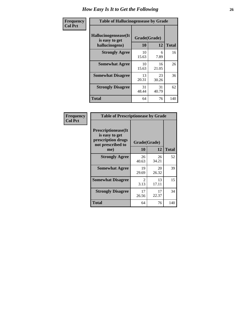| <b>Frequency</b> | <b>Table of Hallucinogensease by Grade</b>               |             |                    |     |  |  |  |  |  |  |
|------------------|----------------------------------------------------------|-------------|--------------------|-----|--|--|--|--|--|--|
| <b>Col Pct</b>   | Hallucinogensease(It<br>is easy to get<br>hallucinogens) | 10          | Grade(Grade)<br>12 |     |  |  |  |  |  |  |
|                  | <b>Strongly Agree</b>                                    | 10<br>15.63 | 6<br>7.89          | 16  |  |  |  |  |  |  |
|                  | <b>Somewhat Agree</b>                                    | 10<br>15.63 | 16<br>21.05        | 26  |  |  |  |  |  |  |
|                  | <b>Somewhat Disagree</b>                                 | 13<br>20.31 | 23<br>30.26        | 36  |  |  |  |  |  |  |
|                  | <b>Strongly Disagree</b>                                 | 31<br>48.44 | 31<br>40.79        | 62  |  |  |  |  |  |  |
|                  | <b>Total</b>                                             | 64          | 76                 | 140 |  |  |  |  |  |  |

| <b>Table of Prescriptionease by Grade</b>                                                |                        |             |              |
|------------------------------------------------------------------------------------------|------------------------|-------------|--------------|
| <b>Prescriptionease</b> (It<br>is easy to get<br>prescription drugs<br>not prescribed to | Grade(Grade)           |             |              |
| me)                                                                                      | 10                     | 12          | <b>Total</b> |
| <b>Strongly Agree</b>                                                                    | 26<br>40.63            | 26<br>34.21 | 52           |
| <b>Somewhat Agree</b>                                                                    | 19<br>29.69            | 20<br>26.32 | 39           |
| <b>Somewhat Disagree</b>                                                                 | $\mathfrak{D}$<br>3.13 | 13<br>17.11 | 15           |
| <b>Strongly Disagree</b>                                                                 | 17<br>26.56            | 17<br>22.37 | 34           |
| <b>Total</b>                                                                             | 64                     | 76          | 140          |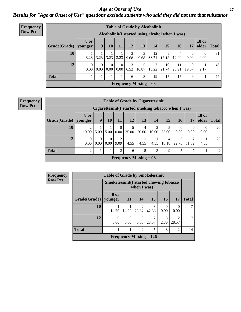*Age at Onset of Use* **27** *Results for "Age at Onset of Use" questions exclude students who said they did not use that substance*

| Frequency      | <b>Table of Grade by Alcoholinit</b> |                        |                                                  |                            |          |           |                          |             |             |             |            |                       |              |
|----------------|--------------------------------------|------------------------|--------------------------------------------------|----------------------------|----------|-----------|--------------------------|-------------|-------------|-------------|------------|-----------------------|--------------|
| <b>Row Pct</b> |                                      |                        | Alcoholinit (I started using alcohol when I was) |                            |          |           |                          |             |             |             |            |                       |              |
|                | Grade(Grade)                         | <b>8 or</b><br>younger | 9                                                | 10                         | 11       | 12        | 13                       | 14          | 15          | 16          | 17         | <b>18 or</b><br>older | <b>Total</b> |
|                | 10                                   | 3.23                   | 3.23                                             | $3.23$ 3.23                |          | 9.68      | 3<br>9.68                | 12<br>38.71 | 16.13       | 4<br>12.90  | 0<br>0.00  | $\theta$<br>0.00      | 31           |
|                | 12                                   | $\Omega$<br>0.00       | $\Omega$<br>$0.00\,$                             | $\Omega$<br>$0.00 \, 0.00$ | $\Omega$ | 3<br>6.52 | 5<br>10.87               | 7<br>15.22  | 10<br>21.74 | 11<br>23.91 | 9<br>19.57 | 2.17                  | 46           |
|                | <b>Total</b>                         |                        |                                                  |                            |          | 6         | 8                        | 19          | 15          | 15          | 9          |                       | 77           |
|                |                                      |                        |                                                  |                            |          |           | Frequency Missing $= 63$ |             |             |             |            |                       |              |

#### **Frequency Row Pct**

| <b>Table of Grade by Cigarettesinit</b> |                        |                                                       |      |                  |                               |            |                         |                         |                  |                  |                       |              |
|-----------------------------------------|------------------------|-------------------------------------------------------|------|------------------|-------------------------------|------------|-------------------------|-------------------------|------------------|------------------|-----------------------|--------------|
|                                         |                        | Cigarettesinit (I started smoking tobacco when I was) |      |                  |                               |            |                         |                         |                  |                  |                       |              |
| Grade(Grade)                            | <b>8 or</b><br>younger | 9                                                     | 10   | 11               | 12                            | 13         | 14                      | 15                      | 16               | 17               | <b>18 or</b><br>older | <b>Total</b> |
| 10                                      | 10.00                  | 5.00                                                  | 5.00 | $\Omega$<br>0.00 | 5<br>25.00                    | 4<br>20.00 | $\overline{2}$<br>10.00 | 5<br>25.00              | $\Omega$<br>0.00 | $\Omega$<br>0.00 | $\theta$<br>0.00      | 20           |
| 12                                      | $\Omega$<br>0.00       | $\theta$<br>0.00                                      | 0.00 | 2<br>9.09        | 4.55                          | 4.55       | 4.55                    | $\overline{4}$<br>18.18 | 22.73            | ⇁<br>31.82       | 4.55                  | 22           |
| <b>Total</b>                            | റ                      |                                                       |      | 2                | 6                             | 5          | 3                       | 9                       | 5                | $\mathcal{I}$    |                       | 42           |
|                                         |                        |                                                       |      |                  | <b>Frequency Missing = 98</b> |            |                         |                         |                  |                  |                       |              |

| <b>Frequency</b> | <b>Table of Grade by Smokelessinit</b> |                  |                                                           |                         |                           |                  |                         |              |  |  |  |  |
|------------------|----------------------------------------|------------------|-----------------------------------------------------------|-------------------------|---------------------------|------------------|-------------------------|--------------|--|--|--|--|
| <b>Row Pct</b>   |                                        |                  | Smokelessinit (I started chewing tobacco<br>when $I$ was) |                         |                           |                  |                         |              |  |  |  |  |
|                  | Grade(Grade)                           | 8 or<br>younger  | <b>11</b>                                                 | 14                      | 15                        | <b>16</b>        | <b>17</b>               | <b>Total</b> |  |  |  |  |
|                  | 10                                     | 14.29            | 14.29                                                     | $\mathfrak{D}$<br>28.57 | 3<br>42.86                | $\Omega$<br>0.00 | 0<br>0.00               |              |  |  |  |  |
|                  | 12                                     | $\theta$<br>0.00 | $\Omega$<br>0.00                                          | $\Omega$<br>0.00        | 28.57                     | 3<br>42.86       | $\mathfrak{D}$<br>28.57 | ┑            |  |  |  |  |
|                  | <b>Total</b>                           |                  |                                                           | $\overline{2}$          | 5                         | 3                | 2                       | 14           |  |  |  |  |
|                  |                                        |                  |                                                           |                         | Frequency Missing $= 126$ |                  |                         |              |  |  |  |  |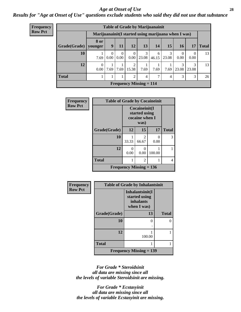### *Age at Onset of Use* **28**

*Results for "Age at Onset of Use" questions exclude students who said they did not use that substance*

| <b>Frequency</b> | <b>Table of Grade by Marijuanainit</b> |                                                      |               |                  |                  |                           |            |            |            |                  |              |  |  |
|------------------|----------------------------------------|------------------------------------------------------|---------------|------------------|------------------|---------------------------|------------|------------|------------|------------------|--------------|--|--|
| <b>Row Pct</b>   |                                        | Marijuanainit (I started using marijuana when I was) |               |                  |                  |                           |            |            |            |                  |              |  |  |
|                  | Grade(Grade)                           | 8 or<br>younger                                      | 9             | 11               | 12               | 13                        | 14         | 15         | 16         | 17               | <b>Total</b> |  |  |
|                  | 10                                     | 7.69                                                 | 0<br>$0.00\,$ | $\Omega$<br>0.00 | $\Omega$<br>0.00 | 3<br>23.08                | 6<br>46.15 | 3<br>23.08 | 0<br>0.00  | $\Omega$<br>0.00 | 13           |  |  |
|                  | 12                                     | 0<br>0.00                                            | 7.69          |                  | 2<br>7.69 15.38  | 7.69                      | 7.69       | 7.69       | 3<br>23.08 | 3<br>23.08       | 13           |  |  |
|                  | <b>Total</b>                           |                                                      |               |                  | $\mathfrak{D}$   | 4                         | 7          | 4          | 3          | 3                | 26           |  |  |
|                  |                                        |                                                      |               |                  |                  | Frequency Missing $= 114$ |            |            |            |                  |              |  |  |

| <b>Frequency</b> | <b>Table of Grade by Cocaineinit</b> |           |                                                          |           |              |
|------------------|--------------------------------------|-----------|----------------------------------------------------------|-----------|--------------|
| <b>Row Pct</b>   |                                      |           | Cocaineinit(I<br>started using<br>cocaine when I<br>was) |           |              |
|                  | Grade(Grade)                         | 12        | 15                                                       | 17        | <b>Total</b> |
|                  | 10                                   | 33.33     | 2<br>66.67                                               | 0<br>0.00 | 3            |
|                  | 12                                   | ∩<br>0.00 | 0<br>0.00                                                | 100.00    |              |
|                  | <b>Total</b>                         |           | 2                                                        |           | 4            |
|                  | Frequency Missing $= 136$            |           |                                                          |           |              |

| Frequency      | <b>Table of Grade by Inhalantsinit</b> |                                                                     |              |  |
|----------------|----------------------------------------|---------------------------------------------------------------------|--------------|--|
| <b>Row Pct</b> |                                        | Inhalantsinit(I<br>started using<br><i>inhalants</i><br>when I was) |              |  |
|                | Grade(Grade)                           | 13                                                                  | <b>Total</b> |  |
|                | 10                                     | ∩                                                                   | ∩            |  |
|                | 12                                     | 100.00                                                              |              |  |
|                | <b>Total</b>                           |                                                                     |              |  |
|                |                                        | <b>Frequency Missing <math>= 139</math></b>                         |              |  |

*For Grade \* Steroidsinit all data are missing since all the levels of variable Steroidsinit are missing.*

*For Grade \* Ecstasyinit all data are missing since all the levels of variable Ecstasyinit are missing.*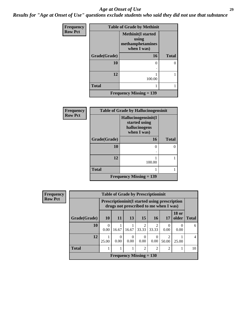#### *Age at Onset of Use* **29**

*Results for "Age at Onset of Use" questions exclude students who said they did not use that substance*

| Frequency      | <b>Table of Grade by Methinit</b> |                                                                       |              |  |
|----------------|-----------------------------------|-----------------------------------------------------------------------|--------------|--|
| <b>Row Pct</b> |                                   | <b>Methinit(I started</b><br>using<br>methamphetamines<br>when I was) |              |  |
|                | Grade(Grade)                      | 16                                                                    | <b>Total</b> |  |
|                | 10                                | 0                                                                     |              |  |
|                | 12                                | 100.00                                                                |              |  |
|                | <b>Total</b>                      |                                                                       |              |  |
|                |                                   | <b>Frequency Missing = 139</b>                                        |              |  |

| <b>Frequency</b> | <b>Table of Grade by Hallucinogensinit</b> |                                                                      |              |  |
|------------------|--------------------------------------------|----------------------------------------------------------------------|--------------|--|
| <b>Row Pct</b>   |                                            | Hallucinogensinit(I<br>started using<br>hallucinogens<br>when I was) |              |  |
|                  | Grade(Grade)                               | 16                                                                   | <b>Total</b> |  |
|                  | 10                                         | 0                                                                    | 0            |  |
|                  | 12                                         | 100.00                                                               |              |  |
|                  | <b>Total</b>                               |                                                                      |              |  |
|                  |                                            | <b>Frequency Missing <math>= 139</math></b>                          |              |  |

| Frequency      | <b>Table of Grade by Prescriptioninit</b> |                                                                                                 |                  |                  |                           |                |                         |                       |                |
|----------------|-------------------------------------------|-------------------------------------------------------------------------------------------------|------------------|------------------|---------------------------|----------------|-------------------------|-----------------------|----------------|
| <b>Row Pct</b> |                                           | <b>Prescriptioninit (I started using prescription</b><br>drugs not prescribed to me when I was) |                  |                  |                           |                |                         |                       |                |
|                | Grade(Grade)                              | <b>10</b>                                                                                       | 11               | 13               | 15                        | 16             | 17                      | <b>18 or</b><br>older | <b>Total</b>   |
|                | 10                                        | 0.00                                                                                            | 16.67            | 16.67            | 2<br>33.33                | 2<br>33.33     | $\theta$<br>0.00        | $\left($<br>0.00      | 6              |
|                | 12                                        | 25.00                                                                                           | $\Omega$<br>0.00 | $\theta$<br>0.00 | $\Omega$<br>0.00          | 0.00           | $\overline{2}$<br>50.00 | 25.00                 | $\overline{4}$ |
|                | <b>Total</b>                              |                                                                                                 |                  |                  | $\overline{2}$            | $\overline{c}$ | $\overline{c}$          |                       | 10             |
|                |                                           |                                                                                                 |                  |                  | Frequency Missing $= 130$ |                |                         |                       |                |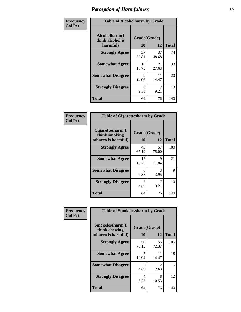| Frequency      | <b>Table of Alcoholharm by Grade</b>          |                    |             |              |
|----------------|-----------------------------------------------|--------------------|-------------|--------------|
| <b>Col Pct</b> | Alcoholharm(I<br>think alcohol is<br>harmful) | Grade(Grade)<br>10 | 12          | <b>Total</b> |
|                | <b>Strongly Agree</b>                         | 37<br>57.81        | 37<br>48.68 | 74           |
|                | <b>Somewhat Agree</b>                         | 12<br>18.75        | 21<br>27.63 | 33           |
|                | <b>Somewhat Disagree</b>                      | 9<br>14.06         | 11<br>14.47 | 20           |
|                | <b>Strongly Disagree</b>                      | 6<br>9.38          | 7<br>9.21   | 13           |
|                | <b>Total</b>                                  | 64                 | 76          | 140          |

| <b>Table of Cigarettesharm by Grade</b>                  |                    |             |              |  |  |
|----------------------------------------------------------|--------------------|-------------|--------------|--|--|
| Cigarettesharm(I<br>think smoking<br>tobacco is harmful) | Grade(Grade)<br>10 | 12          | <b>Total</b> |  |  |
| <b>Strongly Agree</b>                                    | 43<br>67.19        | 57<br>75.00 | 100          |  |  |
| <b>Somewhat Agree</b>                                    | 12<br>18.75        | 9<br>11.84  | 21           |  |  |
| <b>Somewhat Disagree</b>                                 | 6<br>9.38          | 3<br>3.95   | 9            |  |  |
| <b>Strongly Disagree</b>                                 | 3<br>4.69          | 9.21        | 10           |  |  |
| <b>Total</b>                                             | 64                 | 76          | 140          |  |  |

| Frequency      | <b>Table of Smokelessharm by Grade</b>                  |                           |             |              |
|----------------|---------------------------------------------------------|---------------------------|-------------|--------------|
| <b>Col Pct</b> | Smokelessharm(I<br>think chewing<br>tobacco is harmful) | Grade(Grade)<br><b>10</b> | 12          | <b>Total</b> |
|                | <b>Strongly Agree</b>                                   | 50<br>78.13               | 55<br>72.37 | 105          |
|                | <b>Somewhat Agree</b>                                   | 7<br>10.94                | 11<br>14.47 | 18           |
|                | <b>Somewhat Disagree</b>                                | 3<br>4.69                 | 2<br>2.63   | 5            |
|                | <b>Strongly Disagree</b>                                | 4<br>6.25                 | 8<br>10.53  | 12           |
|                | <b>Total</b>                                            | 64                        | 76          | 140          |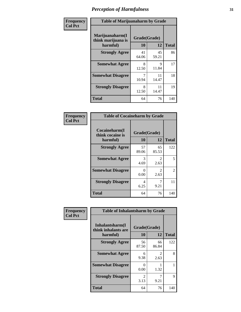| Frequency      | <b>Table of Marijuanaharm by Grade</b>            |                    |             |              |
|----------------|---------------------------------------------------|--------------------|-------------|--------------|
| <b>Col Pct</b> | Marijuanaharm(I<br>think marijuana is<br>harmful) | Grade(Grade)<br>10 | 12          | <b>Total</b> |
|                | <b>Strongly Agree</b>                             | 41<br>64.06        | 45<br>59.21 | 86           |
|                | <b>Somewhat Agree</b>                             | 8<br>12.50         | 9<br>11.84  | 17           |
|                | <b>Somewhat Disagree</b>                          | 7<br>10.94         | 11<br>14.47 | 18           |
|                | <b>Strongly Disagree</b>                          | 8<br>12.50         | 11<br>14.47 | 19           |
|                | <b>Total</b>                                      | 64                 | 76          | 140          |

| <b>Table of Cocaineharm by Grade</b>          |                    |                        |              |  |  |
|-----------------------------------------------|--------------------|------------------------|--------------|--|--|
| Cocaineharm(I<br>think cocaine is<br>harmful) | Grade(Grade)<br>10 | 12                     | <b>Total</b> |  |  |
| <b>Strongly Agree</b>                         | 57<br>89.06        | 65<br>85.53            | 122          |  |  |
| <b>Somewhat Agree</b>                         | 3<br>4.69          | 2<br>2.63              | 5            |  |  |
| <b>Somewhat Disagree</b>                      | 0<br>0.00          | $\mathfrak{D}$<br>2.63 | 2            |  |  |
| <b>Strongly Disagree</b>                      | 4<br>6.25          | 9.21                   | 11           |  |  |
| <b>Total</b>                                  | 64                 | 76                     | 140          |  |  |

| Frequency      | <b>Table of Inhalantsharm by Grade</b>             |                        |                        |              |
|----------------|----------------------------------------------------|------------------------|------------------------|--------------|
| <b>Col Pct</b> | Inhalantsharm(I<br>think inhalants are<br>harmful) | Grade(Grade)<br>10     | 12                     | <b>Total</b> |
|                | <b>Strongly Agree</b>                              | 56<br>87.50            | 66<br>86.84            | 122          |
|                | <b>Somewhat Agree</b>                              | 6<br>9.38              | $\mathfrak{D}$<br>2.63 | 8            |
|                | <b>Somewhat Disagree</b>                           | 0<br>0.00              | 1.32                   |              |
|                | <b>Strongly Disagree</b>                           | $\mathfrak{D}$<br>3.13 | 9.21                   | 9            |
|                | <b>Total</b>                                       | 64                     | 76                     | 140          |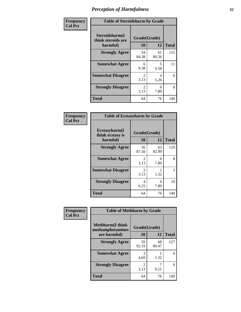| Frequency      | <b>Table of Steroidsharm by Grade</b>            |                                     |             |              |
|----------------|--------------------------------------------------|-------------------------------------|-------------|--------------|
| <b>Col Pct</b> | Steroidsharm(I<br>think steroids are<br>harmful) | Grade(Grade)<br>10                  | 12          | <b>Total</b> |
|                | <b>Strongly Agree</b>                            | 54<br>84.38                         | 61<br>80.26 | 115          |
|                | <b>Somewhat Agree</b>                            | 6<br>9.38                           | 5<br>6.58   | 11           |
|                | <b>Somewhat Disagree</b>                         | $\mathfrak{D}$<br>3.13              | 4<br>5.26   | 6            |
|                | <b>Strongly Disagree</b>                         | $\mathcal{D}_{\mathcal{L}}$<br>3.13 | 6<br>7.89   | 8            |
|                | <b>Total</b>                                     | 64                                  | 76          | 140          |

| <b>Table of Ecstasyharm by Grade</b>          |                          |             |     |  |  |  |
|-----------------------------------------------|--------------------------|-------------|-----|--|--|--|
| Ecstasyharm(I<br>think ecstasy is<br>harmful) | Grade(Grade)<br>10<br>12 |             |     |  |  |  |
| <b>Strongly Agree</b>                         | 56<br>87.50              | 63<br>82.89 | 119 |  |  |  |
| <b>Somewhat Agree</b>                         | $\mathfrak{D}$<br>3.13   | 6<br>7.89   | 8   |  |  |  |
| <b>Somewhat Disagree</b>                      | $\mathfrak{D}$<br>3.13   | 1.32        | 3   |  |  |  |
| <b>Strongly Disagree</b>                      | 4<br>6.25                | 6<br>7.89   | 10  |  |  |  |
| Total                                         | 64                       | 76          | 140 |  |  |  |

| Frequency      | <b>Table of Methharm by Grade</b>            |              |             |              |
|----------------|----------------------------------------------|--------------|-------------|--------------|
| <b>Col Pct</b> | <b>Methharm</b> (I think<br>methamphetamines | Grade(Grade) |             |              |
|                | are harmful)                                 | 10           | 12          | <b>Total</b> |
|                | <b>Strongly Agree</b>                        | 59<br>92.19  | 68<br>89.47 | 127          |
|                | <b>Somewhat Agree</b>                        | 3<br>4.69    | 1.32        | 4            |
|                | <b>Strongly Disagree</b>                     | 2<br>3.13    | 9.21        | 9            |
|                | <b>Total</b>                                 | 64           | 76          | 140          |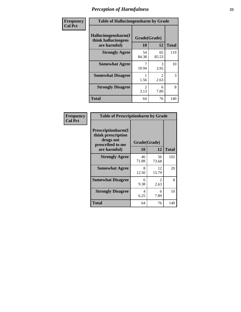| Frequency | <b>Table of Hallucinogensharm by Grade</b>                 |                    |                       |              |
|-----------|------------------------------------------------------------|--------------------|-----------------------|--------------|
| Col Pct   | Hallucinogensharm(I<br>think hallucinogens<br>are harmful) | Grade(Grade)<br>10 | 12                    | <b>Total</b> |
|           | <b>Strongly Agree</b>                                      | 54<br>84.38        | 65<br>85.53           | 119          |
|           | <b>Somewhat Agree</b>                                      | 10.94              | 3<br>3.95             | 10           |
|           | <b>Somewhat Disagree</b>                                   | 1.56               | $\mathcal{L}$<br>2.63 | 3            |
|           | <b>Strongly Disagree</b>                                   | 2<br>3.13          | 6<br>7.89             | 8            |
|           | <b>Total</b>                                               | 64                 | 76                    | 140          |

| <b>Table of Prescriptionharm by Grade</b>                                 |              |                               |              |  |  |
|---------------------------------------------------------------------------|--------------|-------------------------------|--------------|--|--|
| Prescriptionharm(I<br>think prescription<br>drugs not<br>prescribed to me | Grade(Grade) |                               |              |  |  |
| are harmful)                                                              | 10           | 12                            | <b>Total</b> |  |  |
| <b>Strongly Agree</b>                                                     | 46<br>71.88  | 56<br>73.68                   | 102          |  |  |
| <b>Somewhat Agree</b>                                                     | 8<br>12.50   | 12<br>15.79                   | 20           |  |  |
| <b>Somewhat Disagree</b>                                                  | 6<br>9.38    | $\mathcal{D}_{\cdot}$<br>2.63 | 8            |  |  |
| <b>Strongly Disagree</b>                                                  | 4<br>6.25    | 6<br>7.89                     | 10           |  |  |
| Total                                                                     | 64           | 76                            | 140          |  |  |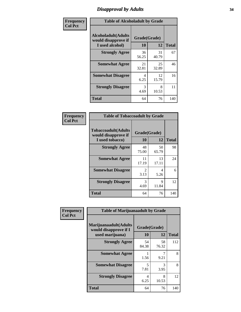# *Disapproval by Adults* **34**

| Frequency      | <b>Table of Alcoholadult by Grade</b>                                 |                    |             |              |  |
|----------------|-----------------------------------------------------------------------|--------------------|-------------|--------------|--|
| <b>Col Pct</b> | <b>Alcoholadult</b> (Adults<br>would disapprove if<br>I used alcohol) | Grade(Grade)<br>10 | 12          | <b>Total</b> |  |
|                | <b>Strongly Agree</b>                                                 | 36<br>56.25        | 31<br>40.79 | 67           |  |
|                | <b>Somewhat Agree</b>                                                 | 21<br>32.81        | 25<br>32.89 | 46           |  |
|                | <b>Somewhat Disagree</b>                                              | 4<br>6.25          | 12<br>15.79 | 16           |  |
|                | <b>Strongly Disagree</b>                                              | 3<br>4.69          | 8<br>10.53  | 11           |  |
|                | <b>Total</b>                                                          | 64                 | 76          | 140          |  |

| <b>Table of Tobaccoadult by Grade</b>                                 |                       |              |     |  |  |  |
|-----------------------------------------------------------------------|-----------------------|--------------|-----|--|--|--|
| <b>Tobaccoadult</b> (Adults<br>would disapprove if<br>I used tobacco) | Grade(Grade)<br>10    | <b>Total</b> |     |  |  |  |
| <b>Strongly Agree</b>                                                 | 48<br>75.00           | 50<br>65.79  | 98  |  |  |  |
| <b>Somewhat Agree</b>                                                 | 11<br>17.19           | 13<br>17.11  | 24  |  |  |  |
| <b>Somewhat Disagree</b>                                              | $\mathcal{L}$<br>3.13 | 4<br>5.26    | 6   |  |  |  |
| <b>Strongly Disagree</b>                                              | 3<br>4.69             | 9<br>11.84   | 12  |  |  |  |
| <b>Total</b>                                                          | 64                    | 76           | 140 |  |  |  |

| Frequency      | <b>Table of Marijuanaadult by Grade</b>                           |                    |             |              |  |
|----------------|-------------------------------------------------------------------|--------------------|-------------|--------------|--|
| <b>Col Pct</b> | Marijuanaadult(Adults<br>would disapprove if I<br>used marijuana) | Grade(Grade)<br>10 | 12          | <b>Total</b> |  |
|                | <b>Strongly Agree</b>                                             | 54<br>84.38        | 58<br>76.32 | 112          |  |
|                | <b>Somewhat Agree</b>                                             | 1.56               | 7<br>9.21   | 8            |  |
|                | <b>Somewhat Disagree</b>                                          | 5<br>7.81          | 3<br>3.95   | 8            |  |
|                | <b>Strongly Disagree</b>                                          | 4<br>6.25          | 8<br>10.53  | 12           |  |
|                | <b>Total</b>                                                      | 64                 | 76          | 140          |  |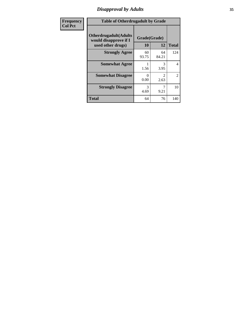# *Disapproval by Adults* **35**

| <b>Frequency</b> | <b>Table of Otherdrugadult by Grade</b>                                     |                    |                                     |                |  |
|------------------|-----------------------------------------------------------------------------|--------------------|-------------------------------------|----------------|--|
| <b>Col Pct</b>   | <b>Otherdrugadult</b> (Adults<br>would disapprove if I<br>used other drugs) | Grade(Grade)<br>10 | 12                                  | <b>Total</b>   |  |
|                  | <b>Strongly Agree</b>                                                       | 60<br>93.75        | 64<br>84.21                         | 124            |  |
|                  | <b>Somewhat Agree</b>                                                       | 1.56               | 3<br>3.95                           | 4              |  |
|                  | <b>Somewhat Disagree</b>                                                    | ∩<br>0.00          | $\mathcal{D}_{\mathcal{L}}$<br>2.63 | $\overline{2}$ |  |
|                  | <b>Strongly Disagree</b>                                                    | 3<br>4.69          | 9.21                                | 10             |  |
|                  | <b>Total</b>                                                                | 64                 | 76                                  | 140            |  |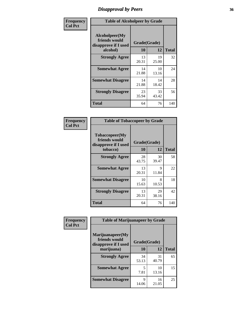# *Disapproval by Peers* **36**

| Frequency      | <b>Table of Alcoholpeer by Grade</b>                    |              |             |              |  |
|----------------|---------------------------------------------------------|--------------|-------------|--------------|--|
| <b>Col Pct</b> | Alcoholpeer(My<br>friends would<br>disapprove if I used | Grade(Grade) |             |              |  |
|                | alcohol)                                                | 10           | 12          | <b>Total</b> |  |
|                | <b>Strongly Agree</b>                                   | 13<br>20.31  | 19<br>25.00 | 32           |  |
|                | <b>Somewhat Agree</b>                                   | 14<br>21.88  | 10<br>13.16 | 24           |  |
|                | <b>Somewhat Disagree</b>                                | 14<br>21.88  | 14<br>18.42 | 28           |  |
|                | <b>Strongly Disagree</b>                                | 23<br>35.94  | 33<br>43.42 | 56           |  |
|                | Total                                                   | 64           | 76          | 140          |  |

| Frequency      | <b>Table of Tobaccopeer by Grade</b>                                |                    |             |              |  |
|----------------|---------------------------------------------------------------------|--------------------|-------------|--------------|--|
| <b>Col Pct</b> | Tobaccopeer(My<br>friends would<br>disapprove if I used<br>tobacco) | Grade(Grade)<br>10 | 12          | <b>Total</b> |  |
|                | <b>Strongly Agree</b>                                               | 28<br>43.75        | 30<br>39.47 | 58           |  |
|                | <b>Somewhat Agree</b>                                               | 13<br>20.31        | 9<br>11.84  | 22           |  |
|                | <b>Somewhat Disagree</b>                                            | 10<br>15.63        | 8<br>10.53  | 18           |  |
|                | <b>Strongly Disagree</b>                                            | 13<br>20.31        | 29<br>38.16 | 42           |  |
|                | Total                                                               | 64                 | 76          | 140          |  |

| Frequency      | <b>Table of Marijuanapeer by Grade</b>                    |              |             |              |  |
|----------------|-----------------------------------------------------------|--------------|-------------|--------------|--|
| <b>Col Pct</b> | Marijuanapeer(My<br>friends would<br>disapprove if I used | Grade(Grade) |             |              |  |
|                | marijuana)                                                | <b>10</b>    | 12          | <b>Total</b> |  |
|                | <b>Strongly Agree</b>                                     | 34<br>53.13  | 31<br>40.79 | 65           |  |
|                | <b>Somewhat Agree</b>                                     | 5<br>7.81    | 10<br>13.16 | 15           |  |
|                | <b>Somewhat Disagree</b>                                  | Q<br>14.06   | 16<br>21.05 | 25           |  |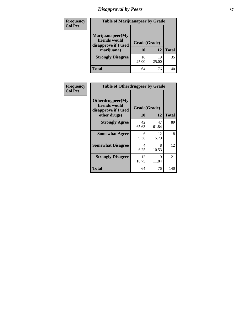# *Disapproval by Peers* **37**

| Frequency<br><b>Col Pct</b> | <b>Table of Marijuanapeer by Grade</b>                                  |                    |             |              |
|-----------------------------|-------------------------------------------------------------------------|--------------------|-------------|--------------|
|                             | Marijuanapeer(My<br>friends would<br>disapprove if I used<br>marijuana) | Grade(Grade)<br>10 | 12          | <b>Total</b> |
|                             | <b>Strongly Disagree</b>                                                | 16<br>25.00        | 19<br>25.00 | 35           |
|                             | Total                                                                   | 64                 | 76          | 140          |

| Frequency      |                                                                           | <b>Table of Otherdrugpeer by Grade</b> |             |              |  |
|----------------|---------------------------------------------------------------------------|----------------------------------------|-------------|--------------|--|
| <b>Col Pct</b> | Otherdrugpeer(My<br>friends would<br>disapprove if I used<br>other drugs) | Grade(Grade)<br>10                     | 12          | <b>Total</b> |  |
|                | <b>Strongly Agree</b>                                                     | 42<br>65.63                            | 47<br>61.84 | 89           |  |
|                | <b>Somewhat Agree</b>                                                     | 6<br>9.38                              | 12<br>15.79 | 18           |  |
|                | <b>Somewhat Disagree</b>                                                  | 4<br>6.25                              | 8<br>10.53  | 12           |  |
|                | <b>Strongly Disagree</b>                                                  | 12<br>18.75                            | 9<br>11.84  | 21           |  |
|                | <b>Total</b>                                                              | 64                                     | 76          | 140          |  |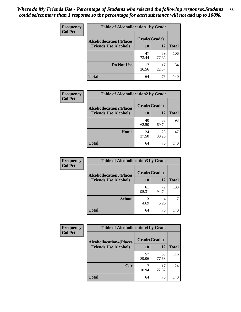| Frequency      | <b>Table of Alcohollocation1 by Grade</b> |              |             |              |
|----------------|-------------------------------------------|--------------|-------------|--------------|
| <b>Col Pct</b> | <b>Alcohollocation1(Places</b>            | Grade(Grade) |             |              |
|                | <b>Friends Use Alcohol)</b>               | 10           | 12          | <b>Total</b> |
|                |                                           | 47<br>73.44  | 59<br>77.63 | 106          |
|                | Do Not Use                                | 17<br>26.56  | 17<br>22.37 | 34           |
|                | <b>Total</b>                              | 64           | 76          | 140          |

| <b>Frequency</b> | <b>Table of Alcohollocation2 by Grade</b>                     |                    |             |              |
|------------------|---------------------------------------------------------------|--------------------|-------------|--------------|
| <b>Col Pct</b>   | <b>Alcohollocation2(Places</b><br><b>Friends Use Alcohol)</b> | Grade(Grade)<br>10 | 12          | <b>Total</b> |
|                  |                                                               | 40<br>62.50        | 53<br>69.74 | 93           |
|                  | Home                                                          | 24<br>37.50        | 23<br>30.26 | 47           |
|                  | <b>Total</b>                                                  | 64                 | 76          | 140          |

| Frequency<br><b>Col Pct</b> | <b>Table of Alcohollocation 3 by Grade</b>                    |                    |             |              |  |
|-----------------------------|---------------------------------------------------------------|--------------------|-------------|--------------|--|
|                             | <b>Alcohollocation3(Places</b><br><b>Friends Use Alcohol)</b> | Grade(Grade)<br>10 | 12          | <b>Total</b> |  |
|                             |                                                               | 61<br>95.31        | 72<br>94.74 | 133          |  |
|                             | <b>School</b>                                                 | 3<br>4.69          | 4<br>5.26   |              |  |
|                             | <b>Total</b>                                                  | 64                 | 76          | 140          |  |

| <b>Frequency</b> | <b>Table of Alcohollocation4 by Grade</b> |              |             |              |  |
|------------------|-------------------------------------------|--------------|-------------|--------------|--|
| <b>Col Pct</b>   | <b>Alcohollocation4(Places</b>            | Grade(Grade) |             |              |  |
|                  | <b>Friends Use Alcohol)</b>               | 10           | 12          | <b>Total</b> |  |
|                  |                                           | 57<br>89.06  | 59<br>77.63 | 116          |  |
|                  | Car                                       | 7<br>10.94   | 17<br>22.37 | 24           |  |
|                  | <b>Total</b>                              | 64           | 76          | 140          |  |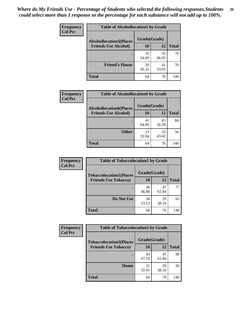| Frequency<br><b>Col Pct</b> | <b>Table of Alcohollocation5 by Grade</b>      |             |             |              |  |
|-----------------------------|------------------------------------------------|-------------|-------------|--------------|--|
|                             | Grade(Grade)<br><b>Alcohollocation5(Places</b> |             |             |              |  |
|                             | <b>Friends Use Alcohol)</b>                    | 10          | 12          | <b>Total</b> |  |
|                             |                                                | 35<br>54.69 | 35<br>46.05 | 70           |  |
|                             | <b>Friend's House</b>                          | 29<br>45.31 | 41<br>53.95 | 70           |  |
|                             | <b>Total</b>                                   | 64          | 76          | 140          |  |

| <b>Frequency</b> | <b>Table of Alcohollocation6 by Grade</b> |              |             |              |
|------------------|-------------------------------------------|--------------|-------------|--------------|
| <b>Col Pct</b>   | <b>Alcohollocation6(Places</b>            | Grade(Grade) |             |              |
|                  | <b>Friends Use Alcohol)</b>               | 10           | 12          | <b>Total</b> |
|                  |                                           | 41<br>64.06  | 43<br>56.58 | 84           |
|                  | <b>Other</b>                              | 23<br>35.94  | 33<br>43.42 | 56           |
|                  | <b>Total</b>                              | 64           | 76          | 140          |

| Frequency      | <b>Table of Tobaccolocation1 by Grade</b> |              |             |              |
|----------------|-------------------------------------------|--------------|-------------|--------------|
| <b>Col Pct</b> | <b>Tobaccolocation1(Places</b>            | Grade(Grade) |             |              |
|                | <b>Friends Use Tobacco)</b>               | 10           | 12          | <b>Total</b> |
|                |                                           | 30<br>46.88  | 47<br>61.84 | 77           |
|                | Do Not Use                                | 34<br>53.13  | 29<br>38.16 | 63           |
|                | <b>Total</b>                              | 64           | 76          | 140          |

| <b>Frequency</b> | <b>Table of Tobaccolocation2 by Grade</b> |              |             |              |  |
|------------------|-------------------------------------------|--------------|-------------|--------------|--|
| <b>Col Pct</b>   | <b>Tobaccolocation2(Places</b>            | Grade(Grade) |             |              |  |
|                  | <b>Friends Use Tobacco)</b>               | 10           | 12          | <b>Total</b> |  |
|                  |                                           | 43<br>67.19  | 47<br>61.84 | 90           |  |
|                  | Home                                      | 21<br>32.81  | 29<br>38.16 | 50           |  |
|                  | <b>Total</b>                              | 64           | 76          | 140          |  |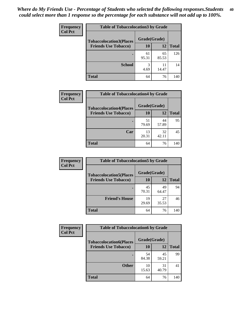| Frequency      | <b>Table of Tobaccolocation 3 by Grade</b> |              |             |              |
|----------------|--------------------------------------------|--------------|-------------|--------------|
| <b>Col Pct</b> | <b>Tobaccolocation3(Places</b>             | Grade(Grade) |             |              |
|                | <b>Friends Use Tobacco)</b>                | 10           | 12          | <b>Total</b> |
|                |                                            | 61<br>95.31  | 65<br>85.53 | 126          |
|                | <b>School</b>                              | 3<br>4.69    | 11<br>14.47 | 14           |
|                | <b>Total</b>                               | 64           | 76          | 140          |

| Frequency      | <b>Table of Tobaccolocation4 by Grade</b> |              |             |              |
|----------------|-------------------------------------------|--------------|-------------|--------------|
| <b>Col Pct</b> | <b>Tobaccolocation4(Places</b>            | Grade(Grade) |             |              |
|                | <b>Friends Use Tobacco)</b>               | <b>10</b>    | 12          | <b>Total</b> |
|                |                                           | 51<br>79.69  | 44<br>57.89 | 95           |
|                | Car                                       | 13<br>20.31  | 32<br>42.11 | 45           |
|                | <b>Total</b>                              | 64           | 76          | 140          |

| Frequency      | <b>Table of Tobaccolocation5 by Grade</b> |              |             |              |
|----------------|-------------------------------------------|--------------|-------------|--------------|
| <b>Col Pct</b> | <b>Tobaccolocation5(Places</b>            | Grade(Grade) |             |              |
|                | <b>Friends Use Tobacco)</b>               | 10           | <b>12</b>   | <b>Total</b> |
|                |                                           | 45<br>70.31  | 49<br>64.47 | 94           |
|                | <b>Friend's House</b>                     | 19<br>29.69  | 27<br>35.53 | 46           |
|                | <b>Total</b>                              | 64           | 76          | 140          |

| <b>Frequency</b> | <b>Table of Tobaccolocation6 by Grade</b> |              |             |              |
|------------------|-------------------------------------------|--------------|-------------|--------------|
| <b>Col Pct</b>   | <b>Tobaccolocation6(Places</b>            | Grade(Grade) |             |              |
|                  | <b>Friends Use Tobacco)</b>               | 10           | 12          | <b>Total</b> |
|                  |                                           | 54<br>84.38  | 45<br>59.21 | 99           |
|                  | <b>Other</b>                              | 10<br>15.63  | 31<br>40.79 | 41           |
|                  | <b>Total</b>                              | 64           | 76          | 140          |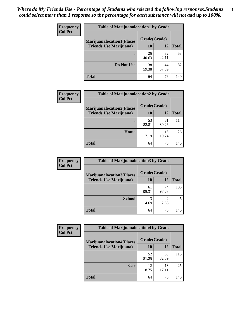| <b>Frequency</b><br><b>Col Pct</b> | <b>Table of Marijuanalocation1 by Grade</b> |              |             |              |
|------------------------------------|---------------------------------------------|--------------|-------------|--------------|
|                                    | <b>Marijuanalocation1(Places</b>            | Grade(Grade) |             |              |
|                                    | <b>Friends Use Marijuana</b> )              | <b>10</b>    | 12          | <b>Total</b> |
|                                    |                                             | 26<br>40.63  | 32<br>42.11 | 58           |
|                                    | Do Not Use                                  | 38<br>59.38  | 44<br>57.89 | 82           |
|                                    | <b>Total</b>                                | 64           | 76          | 140          |

| <b>Frequency</b> | <b>Table of Marijuanalocation2 by Grade</b>                        |                    |             |              |
|------------------|--------------------------------------------------------------------|--------------------|-------------|--------------|
| <b>Col Pct</b>   | <b>Marijuanalocation2(Places</b><br><b>Friends Use Marijuana</b> ) | Grade(Grade)<br>10 | 12          | <b>Total</b> |
|                  |                                                                    | 53<br>82.81        | 61<br>80.26 | 114          |
|                  | Home                                                               | 11<br>17.19        | 15<br>19.74 | 26           |
|                  | <b>Total</b>                                                       | 64                 | 76          | 140          |

| <b>Frequency</b><br><b>Col Pct</b> | <b>Table of Marijuanalocation3 by Grade</b> |              |             |       |
|------------------------------------|---------------------------------------------|--------------|-------------|-------|
|                                    | <b>Marijuanalocation3(Places</b>            | Grade(Grade) |             |       |
|                                    | <b>Friends Use Marijuana</b> )              | 10           | 12          | Total |
|                                    |                                             | 61<br>95.31  | 74<br>97.37 | 135   |
|                                    | <b>School</b>                               | 3<br>4.69    | 2.63        |       |
|                                    | <b>Total</b>                                | 64           | 76          | 140   |

| <b>Frequency</b> | <b>Table of Marijuanalocation4 by Grade</b> |              |             |              |
|------------------|---------------------------------------------|--------------|-------------|--------------|
| <b>Col Pct</b>   | <b>Marijuanalocation4(Places</b>            | Grade(Grade) |             |              |
|                  | <b>Friends Use Marijuana</b> )              | <b>10</b>    | 12          | <b>Total</b> |
|                  |                                             | 52<br>81.25  | 63<br>82.89 | 115          |
|                  | Car                                         | 12<br>18.75  | 13<br>17.11 | 25           |
|                  | <b>Total</b>                                | 64           | 76          | 140          |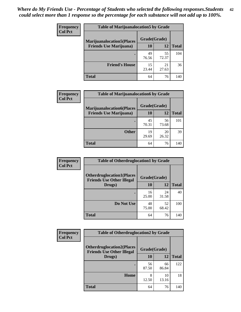| <b>Frequency</b>               | <b>Table of Marijuanalocation5 by Grade</b> |              |              |     |
|--------------------------------|---------------------------------------------|--------------|--------------|-----|
| <b>Col Pct</b>                 | <b>Marijuanalocation5</b> (Places           | Grade(Grade) |              |     |
| <b>Friends Use Marijuana</b> ) | 10                                          | 12           | <b>Total</b> |     |
|                                |                                             | 49<br>76.56  | 55<br>72.37  | 104 |
|                                | <b>Friend's House</b>                       | 15<br>23.44  | 21<br>27.63  | 36  |
|                                | <b>Total</b>                                | 64           | 76           | 140 |

| <b>Frequency</b> | <b>Table of Marijuanalocation6 by Grade</b>                        |                    |             |              |
|------------------|--------------------------------------------------------------------|--------------------|-------------|--------------|
| <b>Col Pct</b>   | <b>Marijuanalocation6(Places</b><br><b>Friends Use Marijuana</b> ) | Grade(Grade)<br>10 | 12          | <b>Total</b> |
|                  |                                                                    | 45<br>70.31        | 56<br>73.68 | 101          |
|                  | <b>Other</b>                                                       | 19<br>29.69        | 20<br>26.32 | 39           |
|                  | <b>Total</b>                                                       | 64                 | 76          | 140          |

| Frequency      | <b>Table of Otherdruglocation1 by Grade</b>                          |              |             |              |
|----------------|----------------------------------------------------------------------|--------------|-------------|--------------|
| <b>Col Pct</b> | <b>Otherdruglocation1(Places</b><br><b>Friends Use Other Illegal</b> | Grade(Grade) |             |              |
|                | Drugs)                                                               | 10           | 12          | <b>Total</b> |
|                |                                                                      | 16<br>25.00  | 24<br>31.58 | 40           |
|                | Do Not Use                                                           | 48<br>75.00  | 52<br>68.42 | 100          |
|                | <b>Total</b>                                                         | 64           | 76          | 140          |

| Frequency      | <b>Table of Otherdruglocation2 by Grade</b>                          |              |             |              |
|----------------|----------------------------------------------------------------------|--------------|-------------|--------------|
| <b>Col Pct</b> | <b>Otherdruglocation2(Places</b><br><b>Friends Use Other Illegal</b> | Grade(Grade) |             |              |
|                | Drugs)                                                               | 10           | 12          | <b>Total</b> |
|                |                                                                      | 56<br>87.50  | 66<br>86.84 | 122          |
|                | Home                                                                 | 8<br>12.50   | 10<br>13.16 | 18           |
|                | <b>Total</b>                                                         | 64           | 76          | 140          |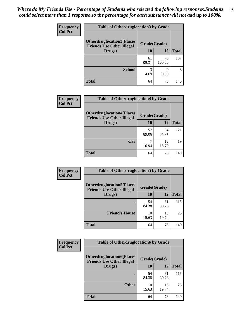| <b>Frequency</b> | <b>Table of Otherdruglocation 3 by Grade</b> |              |              |              |
|------------------|----------------------------------------------|--------------|--------------|--------------|
| <b>Col Pct</b>   | <b>Otherdruglocation3(Places)</b>            | Grade(Grade) |              |              |
|                  | <b>Friends Use Other Illegal</b><br>Drugs)   | 10           | 12           | <b>Total</b> |
|                  |                                              | 61<br>95.31  | 76<br>100.00 | 137          |
|                  | <b>School</b>                                | 3<br>4.69    | 0.00         | 3            |
|                  | <b>Total</b>                                 | 64           | 76           | 140          |

| Frequency      | <b>Table of Otherdruglocation4 by Grade</b>                          |              |             |              |
|----------------|----------------------------------------------------------------------|--------------|-------------|--------------|
| <b>Col Pct</b> | <b>Otherdruglocation4(Places</b><br><b>Friends Use Other Illegal</b> | Grade(Grade) |             |              |
|                | Drugs)                                                               | 10           | 12          | <b>Total</b> |
|                |                                                                      | 57<br>89.06  | 64<br>84.21 | 121          |
|                | Car                                                                  | 10.94        | 12<br>15.79 | 19           |
|                | <b>Total</b>                                                         | 64           | 76          | 140          |

| <b>Frequency</b> | <b>Table of Otherdruglocation5 by Grade</b>                          |              |             |              |
|------------------|----------------------------------------------------------------------|--------------|-------------|--------------|
| <b>Col Pct</b>   | <b>Otherdruglocation5(Places</b><br><b>Friends Use Other Illegal</b> | Grade(Grade) |             |              |
|                  | Drugs)                                                               | <b>10</b>    | 12          | <b>Total</b> |
|                  |                                                                      | 54<br>84.38  | 61<br>80.26 | 115          |
|                  | <b>Friend's House</b>                                                | 10<br>15.63  | 15<br>19.74 | 25           |
|                  | <b>Total</b>                                                         | 64           | 76          | 140          |

| <b>Frequency</b> | <b>Table of Otherdruglocation6 by Grade</b>                           |              |             |              |
|------------------|-----------------------------------------------------------------------|--------------|-------------|--------------|
| <b>Col Pct</b>   | <b>Otherdruglocation6(Places)</b><br><b>Friends Use Other Illegal</b> | Grade(Grade) |             |              |
|                  | Drugs)                                                                | 10           | 12          | <b>Total</b> |
|                  |                                                                       | 54<br>84.38  | 61<br>80.26 | 115          |
|                  | <b>Other</b>                                                          | 10<br>15.63  | 15<br>19.74 | 25           |
|                  | <b>Total</b>                                                          | 64           | 76          | 140          |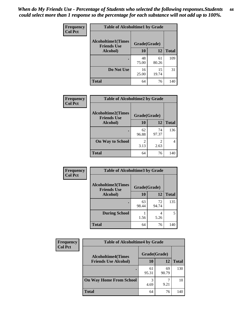| Frequency      | <b>Table of Alcoholtime1 by Grade</b>           |              |             |              |
|----------------|-------------------------------------------------|--------------|-------------|--------------|
| <b>Col Pct</b> | <b>Alcoholtime1(Times</b><br><b>Friends Use</b> | Grade(Grade) |             |              |
|                | Alcohol)                                        | 10           | 12          | <b>Total</b> |
|                |                                                 | 48<br>75.00  | 61<br>80.26 | 109          |
|                | Do Not Use                                      | 16<br>25.00  | 15<br>19.74 | 31           |
|                | <b>Total</b>                                    | 64           | 76          | 140          |

| Frequency      | <b>Table of Alcoholtime2 by Grade</b>           |                        |             |              |
|----------------|-------------------------------------------------|------------------------|-------------|--------------|
| <b>Col Pct</b> | <b>Alcoholtime2(Times</b><br><b>Friends Use</b> | Grade(Grade)           |             |              |
|                | Alcohol)                                        | 10                     | 12          | <b>Total</b> |
|                |                                                 | 62<br>96.88            | 74<br>97.37 | 136          |
|                | <b>On Way to School</b>                         | $\mathfrak{D}$<br>3.13 | 2<br>2.63   |              |
|                | <b>Total</b>                                    | 64                     | 76          | 140          |

| Frequency<br><b>Col Pct</b> | <b>Table of Alcoholtime3 by Grade</b>           |              |             |              |
|-----------------------------|-------------------------------------------------|--------------|-------------|--------------|
|                             | <b>Alcoholtime3(Times</b><br><b>Friends Use</b> | Grade(Grade) |             |              |
|                             | Alcohol)                                        | 10           | 12          | <b>Total</b> |
|                             |                                                 | 63<br>98.44  | 72<br>94.74 | 135          |
|                             | <b>During School</b>                            | 1.56         | 4<br>5.26   | 5            |
|                             | <b>Total</b>                                    | 64           | 76          | 140          |

| <b>Frequency</b> | <b>Table of Alcoholtime4 by Grade</b> |              |             |              |  |
|------------------|---------------------------------------|--------------|-------------|--------------|--|
| <b>Col Pct</b>   | <b>Alcoholtime4(Times</b>             | Grade(Grade) |             |              |  |
|                  | <b>Friends Use Alcohol)</b>           | 10           | 12          | <b>Total</b> |  |
|                  | ٠                                     | 61<br>95.31  | 69<br>90.79 | 130          |  |
|                  | <b>On Way Home From School</b>        | 3<br>4.69    | 9.21        | 10           |  |
|                  | <b>Total</b>                          | 64           | 76          | 140          |  |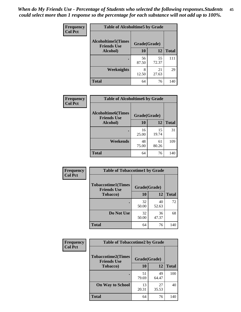*When do My Friends Use - Percentage of Students who selected the following responses.Students could select more than 1 response so the percentage for each substance will not add up to 100%.* **45**

| Frequency      | <b>Table of Alcoholtime5 by Grade</b>           |              |             |              |
|----------------|-------------------------------------------------|--------------|-------------|--------------|
| <b>Col Pct</b> | <b>Alcoholtime5(Times</b><br><b>Friends Use</b> | Grade(Grade) |             |              |
|                | Alcohol)                                        | 10           | 12          | <b>Total</b> |
|                |                                                 | 56<br>87.50  | 55<br>72.37 | 111          |
|                | Weeknights                                      | 8<br>12.50   | 21<br>27.63 | 29           |
|                | <b>Total</b>                                    | 64           | 76          | 140          |

| <b>Frequency</b> | <b>Table of Alcoholtime6 by Grade</b>           |              |             |              |
|------------------|-------------------------------------------------|--------------|-------------|--------------|
| <b>Col Pct</b>   | <b>Alcoholtime6(Times</b><br><b>Friends Use</b> | Grade(Grade) |             |              |
|                  | <b>Alcohol</b> )                                | 10           | 12          | <b>Total</b> |
|                  |                                                 | 16<br>25.00  | 15<br>19.74 | 31           |
|                  | Weekends                                        | 48<br>75.00  | 61<br>80.26 | 109          |
|                  | <b>Total</b>                                    | 64           | 76          | 140          |

| Frequency      | <b>Table of Tobaccotime1 by Grade</b>           |              |             |              |
|----------------|-------------------------------------------------|--------------|-------------|--------------|
| <b>Col Pct</b> | <b>Tobaccotime1(Times</b><br><b>Friends Use</b> | Grade(Grade) |             |              |
|                | <b>Tobacco</b> )                                | 10           | 12          | <b>Total</b> |
|                |                                                 | 32<br>50.00  | 40<br>52.63 | 72           |
|                | Do Not Use                                      | 32<br>50.00  | 36<br>47.37 | 68           |
|                | <b>Total</b>                                    | 64           | 76          | 140          |

| <b>Frequency</b> | <b>Table of Tobaccotime2 by Grade</b>           |              |             |              |
|------------------|-------------------------------------------------|--------------|-------------|--------------|
| <b>Col Pct</b>   | <b>Tobaccotime2(Times</b><br><b>Friends Use</b> | Grade(Grade) |             |              |
|                  | <b>Tobacco</b> )                                | <b>10</b>    | 12          | <b>Total</b> |
|                  |                                                 | 51<br>79.69  | 49<br>64.47 | 100          |
|                  | <b>On Way to School</b>                         | 13<br>20.31  | 27<br>35.53 | 40           |
|                  | <b>Total</b>                                    | 64           | 76          | 140          |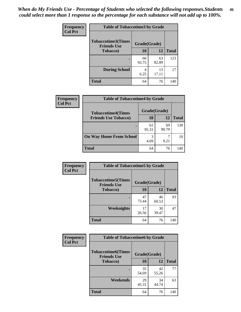| <b>Frequency</b> | <b>Table of Tobaccotime3 by Grade</b>           |              |             |              |  |
|------------------|-------------------------------------------------|--------------|-------------|--------------|--|
| <b>Col Pct</b>   | <b>Tobaccotime3(Times</b><br><b>Friends Use</b> | Grade(Grade) |             |              |  |
|                  | <b>Tobacco</b> )                                | 10           | 12          | <b>Total</b> |  |
|                  |                                                 | 60<br>93.75  | 63<br>82.89 | 123          |  |
|                  | <b>During School</b>                            | 4<br>6.25    | 13<br>17.11 | 17           |  |
|                  | <b>Total</b>                                    | 64           | 76          | 140          |  |

| Frequency<br><b>Col Pct</b> | <b>Table of Tobaccotime4 by Grade</b> |              |             |              |  |
|-----------------------------|---------------------------------------|--------------|-------------|--------------|--|
|                             | <b>Tobaccotime4(Times</b>             | Grade(Grade) |             |              |  |
|                             | <b>Friends Use Tobacco)</b>           | 10           | 12          | <b>Total</b> |  |
|                             |                                       | 61<br>95.31  | 69<br>90.79 | 130          |  |
|                             | <b>On Way Home From School</b>        | 3<br>4.69    | 9.21        | 10           |  |
|                             | Total                                 | 64           | 76          | 140          |  |

| <b>Frequency</b> | <b>Table of Tobaccotime5 by Grade</b>           |              |             |              |
|------------------|-------------------------------------------------|--------------|-------------|--------------|
| <b>Col Pct</b>   | <b>Tobaccotime5(Times</b><br><b>Friends Use</b> | Grade(Grade) |             |              |
|                  | <b>Tobacco</b> )                                | 10           | 12          | <b>Total</b> |
|                  |                                                 | 47<br>73.44  | 46<br>60.53 | 93           |
|                  | Weeknights                                      | 17<br>26.56  | 30<br>39.47 | 47           |
|                  | <b>Total</b>                                    | 64           | 76          | 140          |

| Frequency<br><b>Col Pct</b> | <b>Table of Tobaccotime6 by Grade</b>                           |             |             |              |
|-----------------------------|-----------------------------------------------------------------|-------------|-------------|--------------|
|                             | <b>Tobaccotime6(Times</b><br>Grade(Grade)<br><b>Friends Use</b> |             |             |              |
|                             | <b>Tobacco</b> )                                                | 10          | 12          | <b>Total</b> |
|                             | ٠                                                               | 35<br>54.69 | 42<br>55.26 | 77           |
|                             | Weekends                                                        | 29<br>45.31 | 34<br>44.74 | 63           |
|                             | <b>Total</b>                                                    | 64          | 76          | 140          |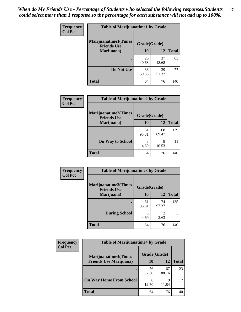| Frequency      | <b>Table of Marijuanatime1 by Grade</b>           |              |             |              |  |
|----------------|---------------------------------------------------|--------------|-------------|--------------|--|
| <b>Col Pct</b> | <b>Marijuanatime1(Times</b><br><b>Friends Use</b> | Grade(Grade) |             |              |  |
|                | Marijuana)                                        | 10           | 12          | <b>Total</b> |  |
|                |                                                   | 26<br>40.63  | 37<br>48.68 | 63           |  |
|                | Do Not Use                                        | 38<br>59.38  | 39<br>51.32 | 77           |  |
|                | <b>Total</b>                                      | 64           | 76          | 140          |  |

| Frequency      | <b>Table of Marijuanatime2 by Grade</b>           |              |             |              |
|----------------|---------------------------------------------------|--------------|-------------|--------------|
| <b>Col Pct</b> | <b>Marijuanatime2(Times</b><br><b>Friends Use</b> | Grade(Grade) |             |              |
|                | Marijuana)                                        | 10           | 12          | <b>Total</b> |
|                |                                                   | 61<br>95.31  | 68<br>89.47 | 129          |
|                | <b>On Way to School</b>                           | 3<br>4.69    | 8<br>10.53  | 11           |
|                | <b>Total</b>                                      | 64           | 76          | 140          |

| Frequency      | <b>Table of Marijuanatime3 by Grade</b>    |              |                        |              |
|----------------|--------------------------------------------|--------------|------------------------|--------------|
| <b>Col Pct</b> | Marijuanatime3(Times<br><b>Friends Use</b> | Grade(Grade) |                        |              |
|                | Marijuana)                                 | 10           | 12                     | <b>Total</b> |
|                |                                            | 61<br>95.31  | 74<br>97.37            | 135          |
|                | <b>During School</b>                       | 3<br>4.69    | $\mathfrak{D}$<br>2.63 | 5            |
|                | <b>Total</b>                               | 64           | 76                     | 140          |

| <b>Frequency</b><br><b>Col Pct</b> | <b>Table of Marijuanatime4 by Grade</b> |              |             |              |  |
|------------------------------------|-----------------------------------------|--------------|-------------|--------------|--|
|                                    | <b>Marijuanatime4</b> (Times            | Grade(Grade) |             |              |  |
|                                    | <b>Friends Use Marijuana</b> )          | 10           | 12          | <b>Total</b> |  |
|                                    |                                         | 56<br>87.50  | 67<br>88.16 | 123          |  |
|                                    | <b>On Way Home From School</b>          | 8<br>12.50   | Q<br>11.84  | 17           |  |
|                                    | Total                                   | 64           | 76          | 140          |  |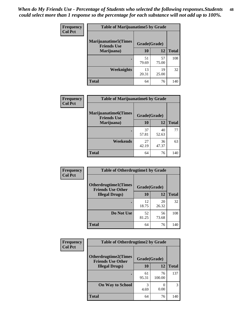| Frequency      | <b>Table of Marijuanatime5 by Grade</b>            |              |             |              |  |
|----------------|----------------------------------------------------|--------------|-------------|--------------|--|
| <b>Col Pct</b> | <b>Marijuanatime5</b> (Times<br><b>Friends Use</b> | Grade(Grade) |             |              |  |
|                | Marijuana)                                         | 10           | 12          | <b>Total</b> |  |
|                |                                                    | 51<br>79.69  | 57<br>75.00 | 108          |  |
|                | Weeknights                                         | 13<br>20.31  | 19<br>25.00 | 32           |  |
|                | <b>Total</b>                                       | 64           | 76          | 140          |  |

| Frequency      | <b>Table of Marijuanatime6 by Grade</b>            |              |             |              |
|----------------|----------------------------------------------------|--------------|-------------|--------------|
| <b>Col Pct</b> | <b>Marijuanatime6</b> (Times<br><b>Friends Use</b> | Grade(Grade) |             |              |
|                | Marijuana)                                         | 10           | 12          | <b>Total</b> |
|                |                                                    | 37<br>57.81  | 40<br>52.63 | 77           |
|                | Weekends                                           | 27<br>42.19  | 36<br>47.37 | 63           |
|                | <b>Total</b>                                       | 64           | 76          | 140          |

| Frequency      | <b>Table of Otherdrugtime1 by Grade</b>                 |              |             |              |
|----------------|---------------------------------------------------------|--------------|-------------|--------------|
| <b>Col Pct</b> | <b>Otherdrugtime1(Times</b><br><b>Friends Use Other</b> | Grade(Grade) |             |              |
|                | <b>Illegal Drugs</b> )                                  | 10           | 12          | <b>Total</b> |
|                |                                                         | 12<br>18.75  | 20<br>26.32 | 32           |
|                | Do Not Use                                              | 52<br>81.25  | 56<br>73.68 | 108          |
|                | <b>Total</b>                                            | 64           | 76          | 140          |

| <b>Frequency</b> | <b>Table of Otherdrugtime2 by Grade</b>                 |              |              |              |
|------------------|---------------------------------------------------------|--------------|--------------|--------------|
| <b>Col Pct</b>   | <b>Otherdrugtime2(Times</b><br><b>Friends Use Other</b> | Grade(Grade) |              |              |
|                  | <b>Illegal Drugs</b> )                                  | 10           | 12           | <b>Total</b> |
|                  |                                                         | 61<br>95.31  | 76<br>100.00 | 137          |
|                  | <b>On Way to School</b>                                 | 3<br>4.69    | 0.00         | 3            |
|                  | Total                                                   | 64           | 76           | 140          |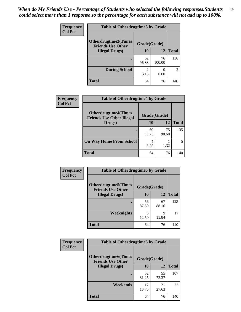| <b>Frequency</b>       | <b>Table of Otherdrugtime3 by Grade</b>          |              |                |                             |
|------------------------|--------------------------------------------------|--------------|----------------|-----------------------------|
| <b>Col Pct</b>         | Otherdrugtime3(Times<br><b>Friends Use Other</b> | Grade(Grade) |                |                             |
| <b>Illegal Drugs</b> ) | 10                                               | 12           | <b>Total</b>   |                             |
|                        |                                                  | 62<br>96.88  | 76<br>100.00   | 138                         |
|                        | <b>During School</b>                             | 2<br>3.13    | $\cup$<br>0.00 | $\mathcal{D}_{\mathcal{A}}$ |
|                        | <b>Total</b>                                     | 64           | 76             | 140                         |

| Frequency      | <b>Table of Otherdrugtime4 by Grade</b>                         |              |             |              |
|----------------|-----------------------------------------------------------------|--------------|-------------|--------------|
| <b>Col Pct</b> | <b>Otherdrugtime4(Times</b><br><b>Friends Use Other Illegal</b> | Grade(Grade) |             |              |
|                | Drugs)                                                          | 10           | 12          | <b>Total</b> |
|                | ٠                                                               | 60<br>93.75  | 75<br>98.68 | 135          |
|                | <b>On Way Home From School</b>                                  | 4<br>6.25    | 1.32        |              |
|                | <b>Total</b>                                                    | 64           | 76          | 140          |

| <b>Frequency</b> | <b>Table of Otherdrugtime5 by Grade</b>                  |              |             |              |
|------------------|----------------------------------------------------------|--------------|-------------|--------------|
| <b>Col Pct</b>   | <b>Otherdrugtime5</b> (Times<br><b>Friends Use Other</b> | Grade(Grade) |             |              |
|                  | <b>Illegal Drugs</b> )                                   | 10           | 12          | <b>Total</b> |
|                  |                                                          | 56<br>87.50  | 67<br>88.16 | 123          |
|                  | Weeknights                                               | 8<br>12.50   | 9<br>11.84  | 17           |
|                  | <b>Total</b>                                             | 64           | 76          | 140          |

| <b>Frequency</b> | <b>Table of Otherdrugtime6 by Grade</b>                 |              |             |              |  |  |
|------------------|---------------------------------------------------------|--------------|-------------|--------------|--|--|
| <b>Col Pct</b>   | <b>Otherdrugtime6(Times</b><br><b>Friends Use Other</b> | Grade(Grade) |             |              |  |  |
|                  | <b>Illegal Drugs</b> )                                  | 10           | 12          | <b>Total</b> |  |  |
|                  |                                                         | 52<br>81.25  | 55<br>72.37 | 107          |  |  |
|                  | Weekends                                                | 12<br>18.75  | 21<br>27.63 | 33           |  |  |
|                  | Total                                                   | 64           | 76          | 140          |  |  |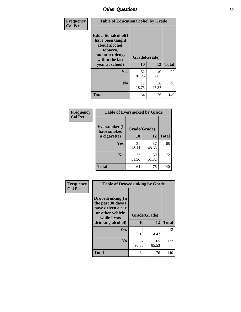| Frequency      | <b>Table of Educationalcohol by Grade</b>                                                                  |              |             |              |
|----------------|------------------------------------------------------------------------------------------------------------|--------------|-------------|--------------|
| <b>Col Pct</b> | Educationalcohol(I<br>have been taught<br>about alcohol,<br>tobacco,<br>and other drugs<br>within the last | Grade(Grade) |             |              |
|                | year at school)                                                                                            | 10           | 12          | <b>Total</b> |
|                | Yes                                                                                                        | 52<br>81.25  | 40<br>52.63 | 92           |
|                | N <sub>0</sub>                                                                                             | 12<br>18.75  | 36<br>47.37 | 48           |
|                | <b>Total</b>                                                                                               | 64           | 76          | 140          |

| Frequency      | <b>Table of Eversmoked by Grade</b> |             |             |              |  |  |
|----------------|-------------------------------------|-------------|-------------|--------------|--|--|
| <b>Col Pct</b> | Eversmoked(I<br>have smoked         |             |             |              |  |  |
|                | a cigarette)                        | 10          | 12          | <b>Total</b> |  |  |
|                | <b>Yes</b>                          | 31<br>48.44 | 37<br>48.68 | 68           |  |  |
|                | N <sub>0</sub>                      | 33<br>51.56 | 39<br>51.32 | 72           |  |  |
|                | <b>Total</b>                        | 64          | 76          | 140          |  |  |

| Frequency      | <b>Table of Drovedrinking by Grade</b>                                                                              |                    |             |              |
|----------------|---------------------------------------------------------------------------------------------------------------------|--------------------|-------------|--------------|
| <b>Col Pct</b> | Drovedrinking(In<br>the past 30 days I<br>have driven a car<br>or other vehicle<br>while I was<br>drinking alcohol) | Grade(Grade)<br>10 | 12          | <b>Total</b> |
|                | Yes                                                                                                                 | 2<br>3.13          | 11<br>14.47 | 13           |
|                | N <sub>0</sub>                                                                                                      | 62<br>96.88        | 65<br>85.53 | 127          |
|                | <b>Total</b>                                                                                                        | 64                 | 76          | 140          |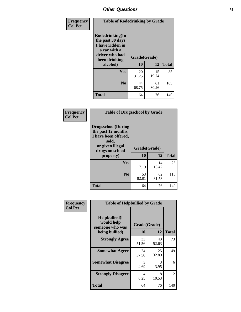| Frequency      | <b>Table of Rodedrinking by Grade</b>                                                                                  |                    |             |              |  |  |  |
|----------------|------------------------------------------------------------------------------------------------------------------------|--------------------|-------------|--------------|--|--|--|
| <b>Col Pct</b> | Rodedrinking(In<br>the past 30 days<br>I have ridden in<br>a car with a<br>driver who had<br>been drinking<br>alcohol) | Grade(Grade)<br>10 | 12          | <b>Total</b> |  |  |  |
|                | <b>Yes</b>                                                                                                             | 20<br>31.25        | 15<br>19.74 | 35           |  |  |  |
|                | N <sub>0</sub>                                                                                                         | 44<br>68.75        | 61<br>80.26 | 105          |  |  |  |
|                | <b>Total</b>                                                                                                           | 64                 | 76          | 140          |  |  |  |

#### **Frequency Col Pct**

| <b>Table of Drugsschool by Grade</b>                                                                                      |                    |             |              |
|---------------------------------------------------------------------------------------------------------------------------|--------------------|-------------|--------------|
| <b>Drugsschool</b> (During<br>the past 12 months,<br>I have been offered,<br>sold,<br>or given illegal<br>drugs on school | Grade(Grade)<br>10 | 12          | <b>Total</b> |
| property)                                                                                                                 |                    |             |              |
| Yes                                                                                                                       | 11<br>17.19        | 14<br>18.42 | 25           |
| N <sub>0</sub>                                                                                                            | 53<br>82.81        | 62<br>81.58 | 115          |
| Total                                                                                                                     |                    |             |              |

| Frequency<br><b>Col Pct</b> | <b>Table of Helpbullied by Grade</b>                 |              |             |              |  |  |  |
|-----------------------------|------------------------------------------------------|--------------|-------------|--------------|--|--|--|
|                             | $Helpb$ ullied $(I$<br>would help<br>someone who was | Grade(Grade) |             |              |  |  |  |
|                             | being bullied)                                       | <b>10</b>    | 12          | <b>Total</b> |  |  |  |
|                             | <b>Strongly Agree</b>                                | 33<br>51.56  | 40<br>52.63 | 73           |  |  |  |
|                             | <b>Somewhat Agree</b>                                | 24<br>37.50  | 25<br>32.89 | 49           |  |  |  |
|                             | <b>Somewhat Disagree</b>                             | 3<br>4.69    | 3<br>3.95   | 6            |  |  |  |
|                             | <b>Strongly Disagree</b>                             | 4<br>6.25    | 8<br>10.53  | 12           |  |  |  |
|                             | <b>Total</b>                                         | 64           | 76          | 140          |  |  |  |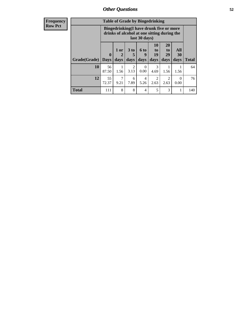| <b>Frequency</b> | <b>Table of Grade by Bingedrinking</b> |              |                                |                                                                                        |                          |                               |                               |                          |              |
|------------------|----------------------------------------|--------------|--------------------------------|----------------------------------------------------------------------------------------|--------------------------|-------------------------------|-------------------------------|--------------------------|--------------|
| <b>Row Pct</b>   |                                        |              |                                | Bingedrinking(I have drunk five or more<br>drinks of alcohol at one sitting during the | last 30 days)            |                               |                               |                          |              |
|                  | <b>Grade</b> (Grade)   Days            | $\mathbf{0}$ | 1 or<br>$\overline{2}$<br>days | 3 <sub>to</sub><br>5<br>days                                                           | <b>6 to</b><br>9<br>days | <b>10</b><br>to<br>19<br>days | <b>20</b><br>to<br>29<br>days | <b>All</b><br>30<br>days | <b>Total</b> |
|                  | 10                                     | 56<br>87.50  | 1<br>1.56                      | 2<br>3.13                                                                              | $\Omega$<br>0.00         | 3<br>4.69                     | 1.56                          | 1.56                     | 64           |
|                  | 12                                     | 55<br>72.37  | 7<br>9.21                      | 6<br>7.89                                                                              | 4<br>5.26                | $\mathfrak{D}$<br>2.63        | $\mathfrak{D}$<br>2.63        | 0<br>0.00                | 76           |
|                  | <b>Total</b>                           | 111          | 8                              | 8                                                                                      | 4                        | 5                             | 3                             |                          | 140          |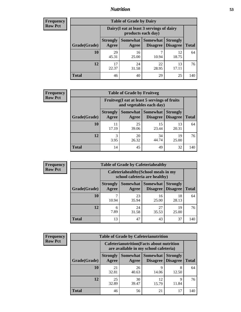## *Nutrition* **53**

| <b>Frequency</b><br>Row Pct |
|-----------------------------|
|                             |

| <b>Table of Grade by Dairy</b> |                          |                                                                                                          |             |             |     |  |  |
|--------------------------------|--------------------------|----------------------------------------------------------------------------------------------------------|-------------|-------------|-----|--|--|
|                                |                          | Dairy (I eat at least 3 servings of dairy<br>products each day)                                          |             |             |     |  |  |
| Grade(Grade)                   | <b>Strongly</b><br>Agree | Somewhat  <br><b>Somewhat</b><br><b>Strongly</b><br><b>Disagree</b><br>Disagree<br><b>Total</b><br>Agree |             |             |     |  |  |
| 10                             | 29<br>45.31              | 16<br>25.00                                                                                              | ┑<br>10.94  | 12<br>18.75 | 64  |  |  |
| 12                             | 17<br>22.37              | 24<br>31.58                                                                                              | 22<br>28.95 | 13<br>17.11 | 76  |  |  |
| <b>Total</b>                   | 46                       | 40                                                                                                       | 29          | 25          | 140 |  |  |

| <b>Frequency</b> |  |
|------------------|--|
| <b>Row Pct</b>   |  |

| $\overline{\mathbf{y}}$ | <b>Table of Grade by Fruitveg</b> |                          |                                                                          |                                    |                                    |              |  |
|-------------------------|-----------------------------------|--------------------------|--------------------------------------------------------------------------|------------------------------------|------------------------------------|--------------|--|
|                         |                                   |                          | Fruitveg(I eat at least 5 servings of fruits<br>and vegetables each day) |                                    |                                    |              |  |
|                         | Grade(Grade)                      | <b>Strongly</b><br>Agree | Somewhat  <br>Agree                                                      | <b>Somewhat</b><br><b>Disagree</b> | <b>Strongly</b><br><b>Disagree</b> | <b>Total</b> |  |
|                         | 10                                | 11<br>17.19              | 25<br>39.06                                                              | 15<br>23.44                        | 13<br>20.31                        | 64           |  |
|                         | 12                                | 3<br>3.95                | 20<br>26.32                                                              | 34<br>44.74                        | 19<br>25.00                        | 76           |  |
|                         | <b>Total</b>                      | 14                       | 45                                                                       | 49                                 | 32                                 | 140          |  |

| <b>Frequency</b> | <b>Table of Grade by Cafeteriahealthy</b> |                                                                       |             |                                        |                                    |              |
|------------------|-------------------------------------------|-----------------------------------------------------------------------|-------------|----------------------------------------|------------------------------------|--------------|
| <b>Row Pct</b>   |                                           | Cafeteriahealthy (School meals in my<br>school cafeteria are healthy) |             |                                        |                                    |              |
|                  | Grade(Grade)                              | <b>Strongly</b><br>Agree                                              | Agree       | Somewhat   Somewhat<br><b>Disagree</b> | <b>Strongly</b><br><b>Disagree</b> | <b>Total</b> |
|                  | 10                                        | 10.94                                                                 | 23<br>35.94 | 16<br>25.00                            | 18<br>28.13                        | 64           |
|                  | 12                                        | 6<br>7.89                                                             | 24<br>31.58 | 27<br>35.53                            | 19<br>25.00                        | 76           |
|                  | Total                                     | 13                                                                    | 47          | 43                                     | 37                                 | 140          |

| <b>Frequency</b> |
|------------------|
| <b>Row Pct</b>   |

| <b>Table of Grade by Cafeterianutrition</b> |                          |                                                                                           |                                    |                                    |              |  |  |
|---------------------------------------------|--------------------------|-------------------------------------------------------------------------------------------|------------------------------------|------------------------------------|--------------|--|--|
|                                             |                          | <b>Cafeterianutrition</b> (Facts about nutrition<br>are available in my school cafeteria) |                                    |                                    |              |  |  |
| Grade(Grade)                                | <b>Strongly</b><br>Agree | Somewhat  <br>Agree                                                                       | <b>Somewhat</b><br><b>Disagree</b> | <b>Strongly</b><br><b>Disagree</b> | <b>Total</b> |  |  |
| 10                                          | 21<br>32.81              | 26<br>40.63                                                                               | q<br>14.06                         | 8<br>12.50                         | 64           |  |  |
| 12                                          | 25<br>32.89              | 30<br>39.47                                                                               | 12<br>15.79                        | 9<br>11.84                         | 76           |  |  |
| Total                                       | 46                       | 56                                                                                        | 21                                 | 17                                 | 140          |  |  |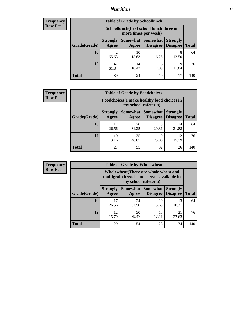## *Nutrition* **54**

| <b>Frequency</b> |
|------------------|
| Row Pct          |

| <b>Table of Grade by Schoollunch</b> |                                                                                                                              |                                                                 |           |            |     |  |  |
|--------------------------------------|------------------------------------------------------------------------------------------------------------------------------|-----------------------------------------------------------------|-----------|------------|-----|--|--|
|                                      |                                                                                                                              | Schoollunch(I eat school lunch three or<br>more times per week) |           |            |     |  |  |
| Grade(Grade)                         | Somewhat   Somewhat  <br><b>Strongly</b><br><b>Strongly</b><br><b>Disagree</b><br>Agree<br>Disagree<br><b>Total</b><br>Agree |                                                                 |           |            |     |  |  |
| 10                                   | 42<br>65.63                                                                                                                  | 10<br>15.63                                                     | 4<br>6.25 | 8<br>12.50 | 64  |  |  |
| 12                                   | 47<br>61.84                                                                                                                  | 14<br>18.42                                                     | 6<br>7.89 | 9<br>11.84 | 76  |  |  |
| <b>Total</b>                         | 89                                                                                                                           | 24                                                              | 10        | 17         | 140 |  |  |

| <b>Frequency</b> |  |
|------------------|--|
| <b>Row Pct</b>   |  |

| <b>Table of Grade by Foodchoices</b> |                                                                            |             |                                   |                                    |              |  |
|--------------------------------------|----------------------------------------------------------------------------|-------------|-----------------------------------|------------------------------------|--------------|--|
|                                      | <b>Foodchoices</b> (I make healthy food choices in<br>my school cafeteria) |             |                                   |                                    |              |  |
| Grade(Grade)                         | <b>Strongly</b><br>Agree                                                   | Agree       | Somewhat   Somewhat  <br>Disagree | <b>Strongly</b><br><b>Disagree</b> | <b>Total</b> |  |
| 10                                   | 17<br>26.56                                                                | 20<br>31.25 | 13<br>20.31                       | 14<br>21.88                        | 64           |  |
| 12                                   | 10<br>13.16                                                                | 35<br>46.05 | 19<br>25.00                       | 12<br>15.79                        | 76           |  |
| <b>Total</b>                         | 27                                                                         | 55          | 32                                | 26                                 | 140          |  |

| <b>Frequency</b> | <b>Table of Grade by Wholewheat</b> |                          |                                                                                                             |                                 |                                    |              |  |  |  |
|------------------|-------------------------------------|--------------------------|-------------------------------------------------------------------------------------------------------------|---------------------------------|------------------------------------|--------------|--|--|--|
| <b>Row Pct</b>   |                                     |                          | Wholewheat (There are whole wheat and<br>multigrain breads and cereals available in<br>my school cafeteria) |                                 |                                    |              |  |  |  |
|                  | Grade(Grade)                        | <b>Strongly</b><br>Agree | Agree                                                                                                       | Somewhat   Somewhat<br>Disagree | <b>Strongly</b><br><b>Disagree</b> | <b>Total</b> |  |  |  |
|                  | 10                                  | 17<br>26.56              | 24<br>37.50                                                                                                 | 10<br>15.63                     | 13<br>20.31                        | 64           |  |  |  |
|                  | 12                                  | 12<br>15.79              | 30<br>39.47                                                                                                 | 13<br>17.11                     | 21<br>27.63                        | 76           |  |  |  |
|                  | <b>Total</b>                        | 29                       | 54                                                                                                          | 23                              | 34                                 | 140          |  |  |  |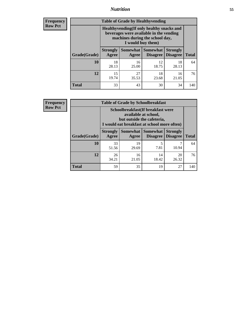## *Nutrition* **55**

**Frequency Row Pct**

| <b>Table of Grade by Healthyvending</b> |                                                                                                                                               |             |                                        |                                    |              |  |  |
|-----------------------------------------|-----------------------------------------------------------------------------------------------------------------------------------------------|-------------|----------------------------------------|------------------------------------|--------------|--|--|
|                                         | Healthyvending (If only healthy snacks and<br>beverages were available in the vending<br>machines during the school day,<br>I would buy them) |             |                                        |                                    |              |  |  |
| Grade(Grade)                            | <b>Strongly</b><br>Agree                                                                                                                      | Agree       | Somewhat   Somewhat<br><b>Disagree</b> | <b>Strongly</b><br><b>Disagree</b> | <b>Total</b> |  |  |
| 10                                      | 18<br>28.13                                                                                                                                   | 16<br>25.00 | 12<br>18.75                            | 18<br>28.13                        | 64           |  |  |
| 12                                      | 15<br>19.74                                                                                                                                   | 27<br>35.53 | 18<br>23.68                            | 16<br>21.05                        | 76           |  |  |
| <b>Total</b>                            | 33                                                                                                                                            | 43          | 30                                     | 34                                 | 140          |  |  |

**Frequency Row Pct**

| <b>Table of Grade by Schoolbreakfast</b> |                          |                                                                                                                                         |                                        |                                     |              |  |  |
|------------------------------------------|--------------------------|-----------------------------------------------------------------------------------------------------------------------------------------|----------------------------------------|-------------------------------------|--------------|--|--|
|                                          |                          | Schoolbreakfast (If breakfast were<br>available at school,<br>but outside the cafeteria,<br>I would eat breakfast at school more often) |                                        |                                     |              |  |  |
| Grade(Grade)                             | <b>Strongly</b><br>Agree | Agree                                                                                                                                   | Somewhat   Somewhat<br><b>Disagree</b> | <b>Strongly</b><br>$\vert$ Disagree | <b>Total</b> |  |  |
| 10                                       | 33<br>51.56              | 19<br>29.69                                                                                                                             | 5<br>7.81                              | 10.94                               | 64           |  |  |
| 12                                       | 26<br>34.21              | 16<br>21.05                                                                                                                             | 14<br>18.42                            | 20<br>26.32                         | 76           |  |  |
| <b>Total</b>                             | 59                       | 35                                                                                                                                      | 19                                     | 27                                  | 140          |  |  |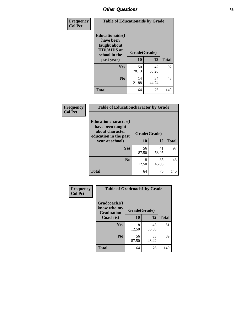| Frequency<br><b>Col Pct</b> | <b>Table of Educationaids by Grade</b>                                                      |              |             |              |  |  |
|-----------------------------|---------------------------------------------------------------------------------------------|--------------|-------------|--------------|--|--|
|                             | <b>Educationaids</b> (I<br>have been<br>taught about<br><b>HIV/AIDS</b> at<br>school in the | Grade(Grade) |             |              |  |  |
|                             | past year)                                                                                  | 10           | 12          | <b>Total</b> |  |  |
|                             | Yes                                                                                         | 50<br>78.13  | 42<br>55.26 | 92           |  |  |
|                             | N <sub>0</sub>                                                                              | 14<br>21.88  | 34<br>44.74 | 48           |  |  |
|                             | <b>Total</b>                                                                                | 64           | 76          | 140          |  |  |

| Frequency      | <b>Table of Educationcharacter by Grade</b>                 |              |             |              |  |  |
|----------------|-------------------------------------------------------------|--------------|-------------|--------------|--|--|
| <b>Col Pct</b> | Educationcharacter(I<br>have been taught<br>about character | Grade(Grade) |             |              |  |  |
|                | education in the past<br>year at school)                    | 10           | 12          | <b>Total</b> |  |  |
|                | Yes                                                         | 56<br>87.50  | 41<br>53.95 | 97           |  |  |
|                | N <sub>0</sub>                                              | 8<br>12.50   | 35<br>46.05 | 43           |  |  |
|                | <b>Total</b>                                                | 64           | 76          | 140          |  |  |

| Frequency      | <b>Table of Gradcoach1 by Grade</b> |              |             |              |
|----------------|-------------------------------------|--------------|-------------|--------------|
| <b>Col Pct</b> | Gradcoach1(I<br>know who my         | Grade(Grade) |             |              |
|                | <b>Graduation</b><br>Coach is)      | 10           | 12          | <b>Total</b> |
|                | Yes                                 | 8<br>12.50   | 43<br>56.58 | 51           |
|                | N <sub>0</sub>                      | 56<br>87.50  | 33<br>43.42 | 89           |
|                | <b>Total</b>                        | 64           | 76          | 140          |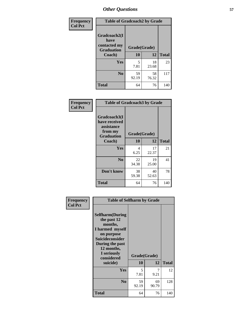| Frequency      | <b>Table of Gradcoach2 by Grade</b> |              |             |              |
|----------------|-------------------------------------|--------------|-------------|--------------|
| <b>Col Pct</b> | Gradcoach2(I<br>have                |              |             |              |
|                | contacted my<br><b>Graduation</b>   | Grade(Grade) |             |              |
|                | Coach)                              | 10           | 12          | <b>Total</b> |
|                | Yes                                 | 5<br>7.81    | 18<br>23.68 | 23           |
|                | N <sub>0</sub>                      | 59<br>92.19  | 58<br>76.32 | 117          |
|                | <b>Total</b>                        | 64           | 76          | 140          |

| <b>Frequency</b><br><b>Col Pct</b> | <b>Table of Gradcoach3 by Grade</b>                                         |              |             |              |
|------------------------------------|-----------------------------------------------------------------------------|--------------|-------------|--------------|
|                                    | Gradcoach3(I<br>have received<br>assistance<br>from my<br><b>Graduation</b> | Grade(Grade) |             |              |
|                                    | Coach)                                                                      | 10           | 12          | <b>Total</b> |
|                                    | Yes                                                                         | 4<br>6.25    | 17<br>22.37 | 21           |
|                                    | N <sub>0</sub>                                                              | 22<br>34.38  | 19<br>25.00 | 41           |
|                                    | Don't know                                                                  | 38<br>59.38  | 40<br>52.63 | 78           |
|                                    | <b>Total</b>                                                                | 64           | 76          | 140          |

| Frequency      | <b>Table of Selfharm by Grade</b>                                                                                                                                                      |                    |             |              |
|----------------|----------------------------------------------------------------------------------------------------------------------------------------------------------------------------------------|--------------------|-------------|--------------|
| <b>Col Pct</b> | <b>Selfharm</b> (During<br>the past 12<br>months,<br>I harmed myself<br>on purpose<br><b>Suicideconsider</b><br>During the past<br>12 months,<br>I seriously<br>considered<br>suicide) | Grade(Grade)<br>10 | 12          | <b>Total</b> |
|                | Yes                                                                                                                                                                                    | 5<br>7.81          | 7<br>9.21   | 12           |
|                | N <sub>0</sub>                                                                                                                                                                         | 59<br>92.19        | 69<br>90.79 | 128          |
|                | Total                                                                                                                                                                                  | 64                 | 76          | 140          |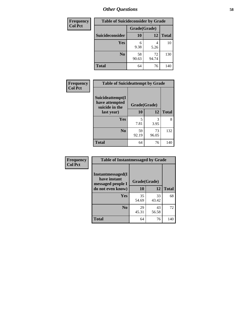| <b>Frequency</b> | <b>Table of Suicideconsider by Grade</b> |              |             |              |  |
|------------------|------------------------------------------|--------------|-------------|--------------|--|
| <b>Col Pct</b>   |                                          | Grade(Grade) |             |              |  |
|                  | Suicideconsider                          | <b>10</b>    | 12          | <b>Total</b> |  |
|                  | Yes                                      | 6<br>9.38    | 4<br>5.26   | 10           |  |
|                  | N <sub>0</sub>                           | 58<br>90.63  | 72<br>94.74 | 130          |  |
|                  | <b>Total</b>                             | 64           | 76          | 140          |  |

| Frequency      | <b>Table of Suicideattempt by Grade</b>              |              |             |              |
|----------------|------------------------------------------------------|--------------|-------------|--------------|
| <b>Col Pct</b> | Suicideattempt(I<br>have attempted<br>suicide in the | Grade(Grade) |             |              |
|                | last year)                                           | 10           | 12          | <b>Total</b> |
|                | Yes                                                  | 5<br>7.81    | 3<br>3.95   | 8            |
|                | N <sub>0</sub>                                       | 59<br>92.19  | 73<br>96.05 | 132          |
|                | <b>Total</b>                                         | 64           | 76          | 140          |

| Frequency      | <b>Table of Instantmessaged by Grade</b>                       |              |             |              |
|----------------|----------------------------------------------------------------|--------------|-------------|--------------|
| <b>Col Pct</b> | <b>Instantmessaged</b> (I<br>have instant<br>messaged people I | Grade(Grade) |             |              |
|                | do not even know)                                              | 10           | 12          | <b>Total</b> |
|                | Yes                                                            | 35<br>54.69  | 33<br>43.42 | 68           |
|                | N <sub>0</sub>                                                 | 29<br>45.31  | 43<br>56.58 | 72           |
|                | <b>Total</b>                                                   | 64           | 76          | 140          |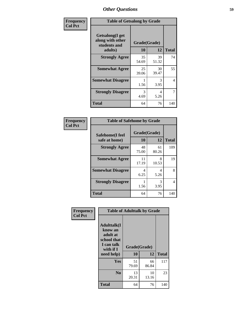| Frequency      | <b>Table of Getsalong by Grade</b>                          |              |             |              |  |
|----------------|-------------------------------------------------------------|--------------|-------------|--------------|--|
| <b>Col Pct</b> | <b>Getsalong</b> (I get<br>along with other<br>students and | Grade(Grade) |             |              |  |
|                | adults)                                                     | 10           | 12          | <b>Total</b> |  |
|                | <b>Strongly Agree</b>                                       | 35<br>54.69  | 39<br>51.32 | 74           |  |
|                | <b>Somewhat Agree</b>                                       | 25<br>39.06  | 30<br>39.47 | 55           |  |
|                | <b>Somewhat Disagree</b>                                    | 1.56         | 3<br>3.95   | 4            |  |
|                | <b>Strongly Disagree</b>                                    | 3<br>4.69    | 4<br>5.26   | 7            |  |
|                | <b>Total</b>                                                | 64           | 76          | 140          |  |

| Frequency      | <b>Table of Safehome by Grade</b> |                           |             |              |  |
|----------------|-----------------------------------|---------------------------|-------------|--------------|--|
| <b>Col Pct</b> | Safehome(I feel<br>safe at home)  | Grade(Grade)<br><b>10</b> | 12          | <b>Total</b> |  |
|                | <b>Strongly Agree</b>             | 48<br>75.00               | 61<br>80.26 | 109          |  |
|                | <b>Somewhat Agree</b>             | 11<br>17.19               | 8<br>10.53  | 19           |  |
|                | <b>Somewhat Disagree</b>          | 4<br>6.25                 | 4<br>5.26   | 8            |  |
|                | <b>Strongly Disagree</b>          | 1.56                      | 3<br>3.95   | 4            |  |
|                | <b>Total</b>                      | 64                        | 76          | 140          |  |

| Frequency      | <b>Table of Adulttalk by Grade</b>                                                  |              |             |              |  |
|----------------|-------------------------------------------------------------------------------------|--------------|-------------|--------------|--|
| <b>Col Pct</b> | <b>Adulttalk(I</b><br>know an<br>adult at<br>school that<br>I can talk<br>with if I | Grade(Grade) |             |              |  |
|                | need help)                                                                          | 10           | 12          | <b>Total</b> |  |
|                | <b>Yes</b>                                                                          | 51<br>79.69  | 66<br>86.84 | 117          |  |
|                | N <sub>0</sub>                                                                      | 13<br>20.31  | 10<br>13.16 | 23           |  |
|                | <b>Total</b>                                                                        | 64           | 76          | 140          |  |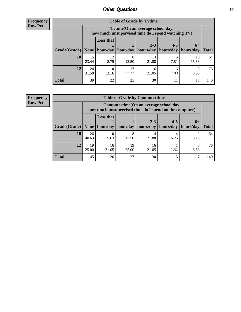**Frequency Row Pct**

| <b>Table of Grade by Tvtime</b> |             |                                                                                         |             |                      |                       |             |              |
|---------------------------------|-------------|-----------------------------------------------------------------------------------------|-------------|----------------------|-----------------------|-------------|--------------|
|                                 |             | Tvtime (On an average school day,<br>how much unsupervised time do I spend watching TV) |             |                      |                       |             |              |
|                                 |             | <b>Less that</b><br>$2 - 3$<br>$4 - 5$<br>$6+$                                          |             |                      |                       |             |              |
| Grade(Grade)   None   hour/day  |             |                                                                                         |             | hour/day   hours/day | hours/day   hours/day |             | <b>Total</b> |
| 10                              | 15<br>23.44 | 12<br>18.75                                                                             | 12.50       | 14<br>21.88          | 7.81                  | 10<br>15.63 | 64           |
| 12                              | 24<br>31.58 | 10<br>13.16                                                                             | 17<br>22.37 | 16<br>21.05          | 6<br>7.89             | 3.95        | 76           |
| <b>Total</b>                    | 39          | 22                                                                                      | 25          | 30                   |                       | 13          | 140          |

**Frequency Row Pct**

| <b>Table of Grade by Computertime</b> |             |                                                                                                                               |            |             |           |      |     |  |  |
|---------------------------------------|-------------|-------------------------------------------------------------------------------------------------------------------------------|------------|-------------|-----------|------|-----|--|--|
|                                       |             | Computertime (On an average school day,<br>how much unsupervised time do I spend on the computer)                             |            |             |           |      |     |  |  |
| Grade(Grade)                          | None        | <b>Less that</b><br>$4 - 5$<br>$2 - 3$<br>$6+$<br>hour/day<br>hours/day<br>hour/day<br>hours/day<br>hours/day<br><b>Total</b> |            |             |           |      |     |  |  |
| 10                                    | 26<br>40.63 | 10<br>15.63                                                                                                                   | 8<br>12.50 | 14<br>21.88 | 4<br>6.25 | 3.13 | 64  |  |  |
| 12                                    | 19<br>25.00 | 19<br>16<br>16<br>1.32<br>21.05<br>25.00<br>21.05<br>6.58                                                                     |            |             |           |      |     |  |  |
| <b>Total</b>                          | 45          | 26                                                                                                                            | 27         | 30          |           |      | 140 |  |  |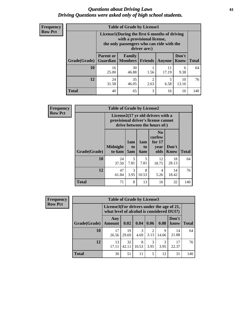#### *Questions about Driving Laws* **61** *Driving Questions were asked only of high school students.*

| <b>Frequency</b> |
|------------------|
| <b>Row Pct</b>   |

| <b>Table of Grade by License1</b> |                                                                     |                                                                                                                                           |                |             |               |              |  |  |  |
|-----------------------------------|---------------------------------------------------------------------|-------------------------------------------------------------------------------------------------------------------------------------------|----------------|-------------|---------------|--------------|--|--|--|
|                                   |                                                                     | License1(During the first 6 months of driving<br>with a provisional license,<br>the only passengers who can ride with the<br>driver are:) |                |             |               |              |  |  |  |
| Grade(Grade)                      | <b>Parent or</b><br><b>Guardian</b>                                 | Family<br><b>Members</b>                                                                                                                  | <b>Friends</b> | Anyone      | Don't<br>Know | <b>Total</b> |  |  |  |
| 10                                | 16<br>25.00                                                         | 30<br>46.88                                                                                                                               | 1.56           | 11<br>17.19 | 6<br>9.38     | 64           |  |  |  |
| 12                                | 35<br>2<br>5<br>10<br>24<br>31.58<br>46.05<br>6.58<br>2.63<br>13.16 |                                                                                                                                           |                |             |               |              |  |  |  |
| <b>Total</b>                      | 40                                                                  | 65                                                                                                                                        | 3              | 16          | 16            | 140          |  |  |  |

| Frequency      |              | <b>Table of Grade by License2</b>                                                                        |                              |                  |                                                      |                      |              |  |  |  |  |
|----------------|--------------|----------------------------------------------------------------------------------------------------------|------------------------------|------------------|------------------------------------------------------|----------------------|--------------|--|--|--|--|
| <b>Row Pct</b> |              | License2(17 yr old drivers with a<br>provisional driver's license cannot<br>drive between the hours of:) |                              |                  |                                                      |                      |              |  |  |  |  |
|                | Grade(Grade) | <b>Midnight</b><br>to 6am                                                                                | 1am<br>t <sub>0</sub><br>5am | 1am<br>to<br>6am | N <sub>0</sub><br>curfew<br>for $17$<br>year<br>olds | Don't<br><b>Know</b> | <b>Total</b> |  |  |  |  |
|                | 10           | 24<br>37.50                                                                                              | 5<br>7.81                    | 5<br>7.81        | 12<br>18.75                                          | 18<br>28.13          | 64           |  |  |  |  |
|                | 12           | 47<br>61.84                                                                                              | 3<br>3.95                    | 8<br>10.53       | 4<br>5.26                                            | 14<br>18.42          | 76           |  |  |  |  |
|                | <b>Total</b> | 71                                                                                                       | 8                            | 13               | 16                                                   | 32                   | 140          |  |  |  |  |

| Frequency      | <b>Table of Grade by License3</b> |                      |                                                                                        |            |                        |            |               |              |  |
|----------------|-----------------------------------|----------------------|----------------------------------------------------------------------------------------|------------|------------------------|------------|---------------|--------------|--|
| <b>Row Pct</b> |                                   |                      | License3(For drivers under the age of 21,<br>what level of alcohol is considered DUI?) |            |                        |            |               |              |  |
|                | Grade(Grade)                      | Any<br><b>Amount</b> | 0.02                                                                                   | 0.04       | 0.06                   | 0.08       | Don't<br>know | <b>Total</b> |  |
|                | <b>10</b>                         | 17<br>26.56          | 19<br>29.69                                                                            | 3<br>4.69  | $\mathfrak{D}$<br>3.13 | 9<br>14.06 | 14<br>21.88   | 64           |  |
|                | 12                                | 13<br>17.11          | 32<br>42.11                                                                            | 8<br>10.53 | 3<br>3.95              | 3.95       | 17<br>22.37   | 76           |  |
|                | <b>Total</b>                      | 30                   | 51                                                                                     | 11         | 5                      | 12         | 31            | 140          |  |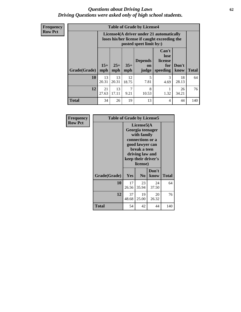#### *Questions about Driving Laws* **62** *Driving Questions were asked only of high school students.*

**Frequency Row Pct**

| <b>Table of Grade by License4</b> |             |                                                                                                                                                                                                                                                                                |             |            |           |             |     |  |
|-----------------------------------|-------------|--------------------------------------------------------------------------------------------------------------------------------------------------------------------------------------------------------------------------------------------------------------------------------|-------------|------------|-----------|-------------|-----|--|
|                                   |             | License4(A driver under 21 automatically<br>loses his/her license if caught exceeding the<br>posted speet limit by:)<br>Can't<br>lose<br><b>Depends</b><br>license<br>$15+$<br>$25+$<br>$35+$<br>Don't<br>for<br>on<br><b>Total</b><br>mph<br>mph<br>speeding<br>know<br>judge |             |            |           |             |     |  |
| Grade(Grade)                      | mph         |                                                                                                                                                                                                                                                                                |             |            |           |             |     |  |
| 10                                | 13<br>20.31 | 13<br>20.31                                                                                                                                                                                                                                                                    | 12<br>18.75 | 5<br>7.81  | 3<br>4.69 | 18<br>28.13 | 64  |  |
| 12                                | 21<br>27.63 | 13<br>17.11                                                                                                                                                                                                                                                                    | 7<br>9.21   | 8<br>10.53 | 1.32      | 26<br>34.21 | 76  |  |
| <b>Total</b>                      | 34          | 26                                                                                                                                                                                                                                                                             | 19          | 13         | 4         | 44          | 140 |  |

| Frequency      | <b>Table of Grade by License5</b> |                                                                                                                                                             |                |               |              |
|----------------|-----------------------------------|-------------------------------------------------------------------------------------------------------------------------------------------------------------|----------------|---------------|--------------|
| <b>Row Pct</b> |                                   | License5(A)<br>Georgia teenager<br>with family<br>connections or a<br>good lawyer can<br>break a teen<br>driving law and<br>keep their driver's<br>license) |                |               |              |
|                | Grade(Grade)                      | <b>Yes</b>                                                                                                                                                  | N <sub>0</sub> | Don't<br>know | <b>Total</b> |
|                | 10                                | 17<br>26.56                                                                                                                                                 | 23<br>35.94    | 24<br>37.50   | 64           |
|                | 12                                | 37<br>48.68                                                                                                                                                 | 19<br>25.00    | 20<br>26.32   | 76           |
|                | Total                             | 54                                                                                                                                                          | 42             | 44            | 140          |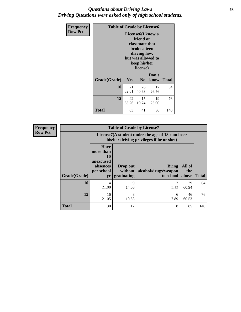### *Questions about Driving Laws* **63** *Driving Questions were asked only of high school students.*

| <b>Frequency</b><br><b>Row Pct</b> | <b>Table of Grade by License6</b> |                                                                                                                                                 |                |               |              |  |
|------------------------------------|-----------------------------------|-------------------------------------------------------------------------------------------------------------------------------------------------|----------------|---------------|--------------|--|
|                                    |                                   | License <sub>6</sub> (I know a<br>friend or<br>classmate that<br>broke a teen<br>driving law,<br>but was allowed to<br>keep his/her<br>license) |                |               |              |  |
|                                    | Grade(Grade)                      | Yes                                                                                                                                             | N <sub>0</sub> | Don't<br>know | <b>Total</b> |  |
|                                    | 10                                | 21<br>32.81                                                                                                                                     | 26<br>40.63    | 17<br>26.56   | 64           |  |
|                                    | 12                                | 42<br>55.26                                                                                                                                     | 15<br>19.74    | 19<br>25.00   | 76           |  |
|                                    | <b>Total</b>                      | 63                                                                                                                                              | 41             | 36            | 140          |  |

| <b>Frequency</b> | <b>Table of Grade by License7</b> |                                                                             |                                   |                                                                                               |                        |              |  |  |  |  |
|------------------|-----------------------------------|-----------------------------------------------------------------------------|-----------------------------------|-----------------------------------------------------------------------------------------------|------------------------|--------------|--|--|--|--|
| <b>Row Pct</b>   |                                   |                                                                             |                                   | License7(A student under the age of 18 cam loser<br>his/her driving privileges if he or she:) |                        |              |  |  |  |  |
|                  | Grade(Grade)                      | <b>Have</b><br>more than<br>10<br>unexcused<br>absences<br>per school<br>yr | Drop out<br>without<br>graduating | Bring<br>alcohol/drugs/weapon<br>to school                                                    | All of<br>the<br>above | <b>Total</b> |  |  |  |  |
|                  | 10                                | 14<br>21.88                                                                 | 9<br>14.06                        | 3.13                                                                                          | 39<br>60.94            | 64           |  |  |  |  |
|                  | 12                                | 16<br>21.05                                                                 | 8<br>10.53                        | 6<br>7.89                                                                                     | 46<br>60.53            | 76           |  |  |  |  |
|                  | <b>Total</b>                      | 30                                                                          | 17                                | 8                                                                                             | 85                     | 140          |  |  |  |  |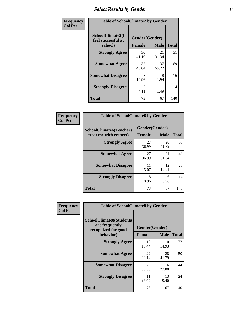# *Select Results by Gender* **64**

| Frequency      | <b>Table of SchoolClimate2 by Gender</b>          |                                 |             |              |  |  |  |
|----------------|---------------------------------------------------|---------------------------------|-------------|--------------|--|--|--|
| <b>Col Pct</b> | SchoolClimate2(I<br>feel successful at<br>school) | Gender(Gender)<br><b>Female</b> | <b>Male</b> | <b>Total</b> |  |  |  |
|                | <b>Strongly Agree</b>                             | 30<br>41.10                     | 21<br>31.34 | 51           |  |  |  |
|                | <b>Somewhat Agree</b>                             | 32<br>43.84                     | 37<br>55.22 | 69           |  |  |  |
|                | <b>Somewhat Disagree</b>                          | 8<br>10.96                      | 8<br>11.94  | 16           |  |  |  |
|                | <b>Strongly Disagree</b>                          | 3<br>4.11                       | 1.49        | 4            |  |  |  |
|                | <b>Total</b>                                      | 73                              | 67          | 140          |  |  |  |

| Frequency      | <b>Table of SchoolClimate6 by Gender</b>                 |             |                               |              |  |  |  |  |
|----------------|----------------------------------------------------------|-------------|-------------------------------|--------------|--|--|--|--|
| <b>Col Pct</b> | <b>SchoolClimate6(Teachers</b><br>treat me with respect) | Female      | Gender(Gender)<br><b>Male</b> | <b>Total</b> |  |  |  |  |
|                | <b>Strongly Agree</b>                                    | 27<br>36.99 | 28<br>41.79                   | 55           |  |  |  |  |
|                | <b>Somewhat Agree</b>                                    | 27<br>36.99 | 21<br>31.34                   | 48           |  |  |  |  |
|                | <b>Somewhat Disagree</b>                                 | 11<br>15.07 | 12<br>17.91                   | 23           |  |  |  |  |
|                | <b>Strongly Disagree</b>                                 | 8<br>10.96  | 6<br>8.96                     | 14           |  |  |  |  |
|                | <b>Total</b>                                             | 73          | 67                            | 140          |  |  |  |  |

| Frequency      | <b>Table of SchoolClimate8 by Gender</b>                                |                |             |              |  |  |
|----------------|-------------------------------------------------------------------------|----------------|-------------|--------------|--|--|
| <b>Col Pct</b> | <b>SchoolClimate8(Students</b><br>are frequently<br>recognized for good | Gender(Gender) |             |              |  |  |
|                | behavior)                                                               | <b>Female</b>  | <b>Male</b> | <b>Total</b> |  |  |
|                | <b>Strongly Agree</b>                                                   | 12<br>16.44    | 10<br>14.93 | 22           |  |  |
|                | <b>Somewhat Agree</b>                                                   | 22<br>30.14    | 28<br>41.79 | 50           |  |  |
|                | <b>Somewhat Disagree</b>                                                | 28<br>38.36    | 16<br>23.88 | 44           |  |  |
|                | <b>Strongly Disagree</b>                                                | 11<br>15.07    | 13<br>19.40 | 24           |  |  |
|                | Total                                                                   | 73             | 67          | 140          |  |  |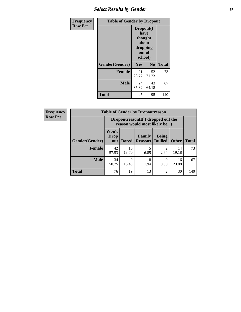# *Select Results by Gender* **65**

| <b>Frequency</b> | <b>Table of Gender by Dropout</b> |                                                                        |                |              |
|------------------|-----------------------------------|------------------------------------------------------------------------|----------------|--------------|
| <b>Row Pct</b>   |                                   | Dropout(I<br>have<br>thought<br>about<br>dropping<br>out of<br>school) |                |              |
|                  | Gender(Gender)                    | Yes                                                                    | N <sub>0</sub> | <b>Total</b> |
|                  | <b>Female</b>                     | 21<br>28.77                                                            | 52<br>71.23    | 73           |
|                  | <b>Male</b>                       | 24<br>35.82                                                            | 43<br>64.18    | 67           |
|                  | <b>Total</b>                      | 45                                                                     | 95             | 140          |

| <b>Frequency</b> | <b>Table of Gender by Dropoutreason</b> |                                                                     |              |                                 |                                |              |              |
|------------------|-----------------------------------------|---------------------------------------------------------------------|--------------|---------------------------------|--------------------------------|--------------|--------------|
| <b>Row Pct</b>   |                                         | Dropoutreason (If I dropped out the<br>reason would most likely be) |              |                                 |                                |              |              |
|                  | Gender(Gender)                          | Won't<br>Drop<br>out                                                | <b>Bored</b> | <b>Family</b><br><b>Reasons</b> | <b>Being</b><br><b>Bullied</b> | <b>Other</b> | <b>Total</b> |
|                  | Female                                  | 42<br>57.53                                                         | 10<br>13.70  | 6.85                            | 2.74                           | 14<br>19.18  | 73           |
|                  | <b>Male</b>                             | 34<br>50.75                                                         | 9<br>13.43   | 8<br>11.94                      | 0.00                           | 16<br>23.88  | 67           |
|                  | <b>Total</b>                            | 76                                                                  | 19           | 13                              | $\overline{c}$                 | 30           | 140          |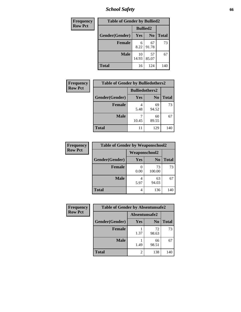*School Safety* **66**

| Frequency      | <b>Table of Gender by Bullied2</b> |                 |                |              |
|----------------|------------------------------------|-----------------|----------------|--------------|
| <b>Row Pct</b> |                                    | <b>Bullied2</b> |                |              |
|                | Gender(Gender)                     | Yes             | N <sub>0</sub> | <b>Total</b> |
|                | <b>Female</b>                      | 6<br>8.22       | 67<br>91.78    | 73           |
|                | <b>Male</b>                        | 10<br>14.93     | 57<br>85.07    | 67           |
|                | <b>Total</b>                       | 16              | 124            | 140          |

| <b>Frequency</b> | <b>Table of Gender by Bulliedothers2</b> |                       |                |              |
|------------------|------------------------------------------|-----------------------|----------------|--------------|
| <b>Row Pct</b>   |                                          | <b>Bulliedothers2</b> |                |              |
|                  | Gender(Gender)                           | <b>Yes</b>            | N <sub>0</sub> | <b>Total</b> |
|                  | <b>Female</b>                            | 4<br>5.48             | 69<br>94.52    | 73           |
|                  | <b>Male</b>                              | 10.45                 | 60<br>89.55    | 67           |
|                  | Total                                    |                       | 129            | 140          |

| Frequency      | <b>Table of Gender by Weaponschool2</b> |                      |                |              |
|----------------|-----------------------------------------|----------------------|----------------|--------------|
| <b>Row Pct</b> |                                         | <b>Weaponschool2</b> |                |              |
|                | Gender(Gender)                          | Yes                  | N <sub>0</sub> | <b>Total</b> |
|                | <b>Female</b>                           | 0.00                 | 73<br>100.00   | 73           |
|                | <b>Male</b>                             | 5.97                 | 63<br>94.03    | 67           |
|                | <b>Total</b>                            | 4                    | 136            | 140          |

| Frequency      | <b>Table of Gender by Absentunsafe2</b> |                |                |              |
|----------------|-----------------------------------------|----------------|----------------|--------------|
| <b>Row Pct</b> |                                         | Absentunsafe2  |                |              |
|                | Gender(Gender)                          | Yes            | N <sub>0</sub> | <b>Total</b> |
|                | <b>Female</b>                           | 1.37           | 72<br>98.63    | 73           |
|                | <b>Male</b>                             | 1.49           | 66<br>98.51    | 67           |
|                | <b>Total</b>                            | $\overline{2}$ | 138            | 140          |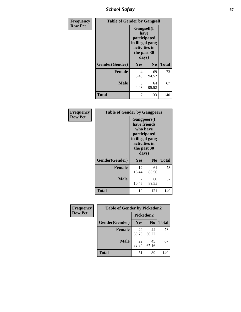*School Safety* **67**

| Frequency      | <b>Table of Gender by Gangself</b> |                                                                                                |                |              |
|----------------|------------------------------------|------------------------------------------------------------------------------------------------|----------------|--------------|
| <b>Row Pct</b> |                                    | Gangself(I<br>have<br>participated<br>in illegal gang<br>activities in<br>the past 30<br>days) |                |              |
|                | Gender(Gender)                     | Yes                                                                                            | N <sub>0</sub> | <b>Total</b> |
|                | <b>Female</b>                      | 4<br>5.48                                                                                      | 69<br>94.52    | 73           |
|                | <b>Male</b>                        | 3<br>4.48                                                                                      | 64<br>95.52    | 67           |
|                | <b>Total</b>                       | 7                                                                                              | 133            | 140          |

| Frequency      | <b>Table of Gender by Gangpeers</b> |                                                                                                                             |                |              |
|----------------|-------------------------------------|-----------------------------------------------------------------------------------------------------------------------------|----------------|--------------|
| <b>Row Pct</b> |                                     | <b>Gangpeers</b> (I<br>have friends<br>who have<br>participated<br>in illegal gang<br>activities in<br>the past 30<br>days) |                |              |
|                | Gender(Gender)                      | Yes                                                                                                                         | N <sub>0</sub> | <b>Total</b> |
|                | <b>Female</b>                       | 12<br>16.44                                                                                                                 | 61<br>83.56    | 73           |
|                | <b>Male</b>                         | 7<br>10.45                                                                                                                  | 60<br>89.55    | 67           |
|                | Total                               | 19                                                                                                                          | 121            | 140          |

| Frequency      | <b>Table of Gender by Pickedon2</b> |             |                |              |
|----------------|-------------------------------------|-------------|----------------|--------------|
| <b>Row Pct</b> |                                     | Pickedon2   |                |              |
|                | Gender(Gender)                      | <b>Yes</b>  | N <sub>0</sub> | <b>Total</b> |
|                | <b>Female</b>                       | 29<br>39.73 | 44<br>60.27    | 73           |
|                | <b>Male</b>                         | 22<br>32.84 | 45<br>67.16    | 67           |
|                | <b>Total</b>                        | 51          | 89             | 140          |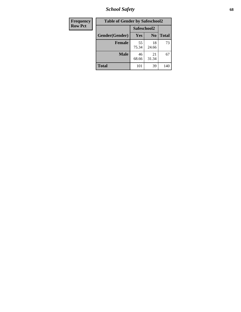*School Safety* **68**

| Frequency      | <b>Table of Gender by Safeschool2</b> |             |                |              |
|----------------|---------------------------------------|-------------|----------------|--------------|
| <b>Row Pct</b> |                                       | Safeschool2 |                |              |
|                | Gender(Gender)                        | Yes         | N <sub>0</sub> | <b>Total</b> |
|                | <b>Female</b>                         | 55<br>75.34 | 18<br>24.66    | 73           |
|                | <b>Male</b>                           | 46<br>68.66 | 21<br>31.34    | 67           |
|                | <b>Total</b>                          | 101         | 39             | 140          |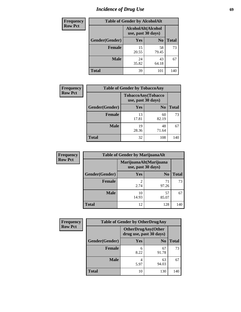# *Incidence of Drug Use* 69

| <b>Frequency</b> | <b>Table of Gender by AlcoholAlt</b> |                                          |                |              |  |
|------------------|--------------------------------------|------------------------------------------|----------------|--------------|--|
| <b>Row Pct</b>   |                                      | AlcoholAlt(Alcohol<br>use, past 30 days) |                |              |  |
|                  | Gender(Gender)                       | <b>Yes</b>                               | N <sub>0</sub> | <b>Total</b> |  |
|                  | <b>Female</b>                        | 15<br>20.55                              | 58<br>79.45    | 73           |  |
|                  | <b>Male</b>                          | 24<br>35.82                              | 43<br>64.18    | 67           |  |
|                  | <b>Total</b>                         | 39                                       | 101            | 140          |  |

| Frequency      | <b>Table of Gender by TobaccoAny</b> |                                          |                |              |  |
|----------------|--------------------------------------|------------------------------------------|----------------|--------------|--|
| <b>Row Pct</b> |                                      | TobaccoAny(Tobacco<br>use, past 30 days) |                |              |  |
|                | Gender(Gender)                       | Yes                                      | N <sub>0</sub> | <b>Total</b> |  |
|                | <b>Female</b>                        | 13<br>17.81                              | 60<br>82.19    | 73           |  |
|                | <b>Male</b>                          | 19<br>28.36                              | 48<br>71.64    | 67           |  |
|                | <b>Total</b>                         | 32                                       | 108            | 140          |  |

| <b>Frequency</b> | <b>Table of Gender by MarijuanaAlt</b> |                                              |                |              |
|------------------|----------------------------------------|----------------------------------------------|----------------|--------------|
| <b>Row Pct</b>   |                                        | MarijuanaAlt(Marijuana<br>use, past 30 days) |                |              |
|                  | Gender(Gender)                         | <b>Yes</b>                                   | N <sub>0</sub> | <b>Total</b> |
|                  | Female                                 | 2<br>2.74                                    | 71<br>97.26    | 73           |
|                  | <b>Male</b>                            | 10<br>14.93                                  | 57<br>85.07    | 67           |
|                  | <b>Total</b>                           | 12                                           | 128            | 140          |

| <b>Frequency</b> | <b>Table of Gender by OtherDrugAny</b> |                                                      |                |              |
|------------------|----------------------------------------|------------------------------------------------------|----------------|--------------|
| <b>Row Pct</b>   |                                        | <b>OtherDrugAny(Other</b><br>drug use, past 30 days) |                |              |
|                  | Gender(Gender)                         | <b>Yes</b>                                           | N <sub>0</sub> | <b>Total</b> |
|                  | <b>Female</b>                          | 6<br>8.22                                            | 67<br>91.78    | 73           |
|                  | <b>Male</b>                            | 4<br>5.97                                            | 63<br>94.03    | 67           |
|                  | <b>Total</b>                           | 10                                                   | 130            | 140          |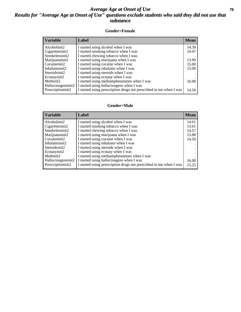## *Average Age at Onset of Use* 70 *Results for "Average Age at Onset of Use" questions exclude students who said they did not use that substance*

#### **Gender=Female**

| <b>Variable</b>    | <b>Label</b>                                                       | <b>Mean</b> |
|--------------------|--------------------------------------------------------------------|-------------|
| Alcoholinit2       | I started using alcohol when I was                                 | 14.39       |
| Cigarettesinit2    | I started smoking tobacco when I was                               | 14.47       |
| Smokelessinit2     | I started chewing tobacco when I was                               |             |
| Marijuanainit2     | I started using marijuana when I was                               | 13.90       |
| Cocaineinit2       | I started using cocaine when I was                                 | 15.00       |
| Inhalantsinit2     | I started using inhalants when I was                               | 13.00       |
| Steroidsinit2      | I started using steroids when I was                                |             |
| Ecstasyinit2       | I started using ecstasy when I was                                 |             |
| Methinit2          | I started using methamphetamines when I was                        | 16.00       |
| Hallucinogensinit2 | I started using hallucinogens when I was                           |             |
| Prescription in t2 | I started using prescription drugs not prescribed to me when I was | 14.50       |

#### **Gender=Male**

| <b>Variable</b>                                                                                                                        | Label                                                                                                                                                                                                                                                                                                                 | <b>Mean</b>                               |
|----------------------------------------------------------------------------------------------------------------------------------------|-----------------------------------------------------------------------------------------------------------------------------------------------------------------------------------------------------------------------------------------------------------------------------------------------------------------------|-------------------------------------------|
| Alcoholinit2<br>Cigarettesinit2<br>Smokelessinit2<br>Marijuanainit2<br>Cocaineinit2<br>Inhalantsinit2<br>Steroidsinit2<br>Ecstasyinit2 | I started using alcohol when I was<br>I started smoking tobacco when I was<br>I started chewing tobacco when I was<br>I started using marijuana when I was<br>I started using cocaine when I was<br>I started using inhalants when I was<br>I started using steroids when I was<br>I started using ecstasy when I was | 14.61<br>13.61<br>14.57<br>13.88<br>14.50 |
| Methinit <sub>2</sub><br>Hallucinogensinit2<br>Prescriptioninit2                                                                       | I started using methamphetamines when I was<br>I started using hallucinogens when I was<br>I started using prescription drugs not prescribed to me when I was                                                                                                                                                         | 16.00<br>15.25                            |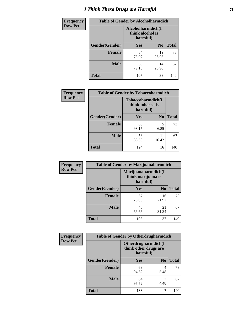# *I Think These Drugs are Harmful* **71**

| <b>Frequency</b> | <b>Table of Gender by Alcoholharmdich</b> |                                                   |                |              |
|------------------|-------------------------------------------|---------------------------------------------------|----------------|--------------|
| <b>Row Pct</b>   |                                           | Alcoholharmdich(I<br>think alcohol is<br>harmful) |                |              |
|                  | Gender(Gender)                            | <b>Yes</b>                                        | N <sub>0</sub> | <b>Total</b> |
|                  | Female                                    | 54<br>73.97                                       | 19<br>26.03    | 73           |
|                  | <b>Male</b>                               | 53<br>79.10                                       | 14<br>20.90    | 67           |
|                  | <b>Total</b>                              | 107                                               | 33             | 140          |

| Frequency      | <b>Table of Gender by Tobaccoharmdich</b> |                              |                   |              |
|----------------|-------------------------------------------|------------------------------|-------------------|--------------|
| <b>Row Pct</b> |                                           | think tobacco is<br>harmful) | Tobaccoharmdich(I |              |
|                | Gender(Gender)                            | Yes                          | N <sub>0</sub>    | <b>Total</b> |
|                | <b>Female</b>                             | 68<br>93.15                  | 5<br>6.85         | 73           |
|                | <b>Male</b>                               | 56<br>83.58                  | 11<br>16.42       | 67           |
|                | <b>Total</b>                              | 124                          | 16                | 140          |

| Frequency      | <b>Table of Gender by Marijuanaharmdich</b> |                                |                     |              |  |
|----------------|---------------------------------------------|--------------------------------|---------------------|--------------|--|
| <b>Row Pct</b> |                                             | think marijuana is<br>harmful) | Marijuanaharmdich(I |              |  |
|                | Gender(Gender)                              | <b>Yes</b>                     | N <sub>0</sub>      | <b>Total</b> |  |
|                | <b>Female</b>                               | 57<br>78.08                    | 16<br>21.92         | 73           |  |
|                | <b>Male</b>                                 | 46<br>68.66                    | 21<br>31.34         | 67           |  |
|                | <b>Total</b>                                | 103                            | 37                  | 140          |  |

| Frequency      | <b>Table of Gender by Otherdrugharmdich</b> |                                   |                     |              |
|----------------|---------------------------------------------|-----------------------------------|---------------------|--------------|
| <b>Row Pct</b> |                                             | think other drugs are<br>harmful) | Otherdrugharmdich(I |              |
|                | Gender(Gender)                              | <b>Yes</b>                        | N <sub>0</sub>      | <b>Total</b> |
|                | <b>Female</b>                               | 69<br>94.52                       | 4<br>5.48           | 73           |
|                | <b>Male</b>                                 | 64<br>95.52                       | 3<br>4.48           | 67           |
|                | <b>Total</b>                                | 133                               | 7                   | 140          |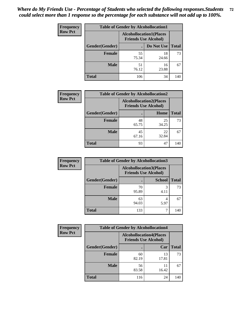| <b>Frequency</b> | <b>Table of Gender by Alcohollocation1</b> |                                                               |             |              |
|------------------|--------------------------------------------|---------------------------------------------------------------|-------------|--------------|
| <b>Row Pct</b>   |                                            | <b>Alcohollocation1(Places</b><br><b>Friends Use Alcohol)</b> |             |              |
|                  | Gender(Gender)                             |                                                               | Do Not Use  | <b>Total</b> |
|                  | <b>Female</b>                              | 55<br>75.34                                                   | 18<br>24.66 | 73           |
|                  | <b>Male</b>                                | 51<br>76.12                                                   | 16<br>23.88 | 67           |
|                  | Total                                      | 106                                                           | 34          | 140          |

| <b>Frequency</b> | <b>Table of Gender by Alcohollocation2</b> |                                |                             |              |
|------------------|--------------------------------------------|--------------------------------|-----------------------------|--------------|
| <b>Row Pct</b>   |                                            | <b>Alcohollocation2(Places</b> | <b>Friends Use Alcohol)</b> |              |
|                  | Gender(Gender)                             |                                | Home                        | <b>Total</b> |
|                  | <b>Female</b>                              | 48<br>65.75                    | 25<br>34.25                 | 73           |
|                  | <b>Male</b>                                | 45<br>67.16                    | 22<br>32.84                 | 67           |
|                  | <b>Total</b>                               | 93                             | 47                          | 140          |

| Frequency      | <b>Table of Gender by Alcohollocation3</b> |                                                               |               |              |
|----------------|--------------------------------------------|---------------------------------------------------------------|---------------|--------------|
| <b>Row Pct</b> |                                            | <b>Alcohollocation3(Places</b><br><b>Friends Use Alcohol)</b> |               |              |
|                | Gender(Gender)                             |                                                               | <b>School</b> | <b>Total</b> |
|                | <b>Female</b>                              | 70<br>95.89                                                   | 3<br>4.11     | 73           |
|                | <b>Male</b>                                | 63<br>94.03                                                   | 5.97          | 67           |
|                | <b>Total</b>                               | 133                                                           |               | 140          |

| <b>Frequency</b> | <b>Table of Gender by Alcohollocation4</b> |             |                                                               |              |  |
|------------------|--------------------------------------------|-------------|---------------------------------------------------------------|--------------|--|
| <b>Row Pct</b>   |                                            |             | <b>Alcohollocation4(Places</b><br><b>Friends Use Alcohol)</b> |              |  |
|                  | Gender(Gender)                             |             | Car                                                           | <b>Total</b> |  |
|                  | <b>Female</b>                              | 60<br>82.19 | 13<br>17.81                                                   | 73           |  |
|                  | <b>Male</b>                                | 56<br>83.58 | 11<br>16.42                                                   | 67           |  |
|                  | <b>Total</b>                               | 116         | 24                                                            | 140          |  |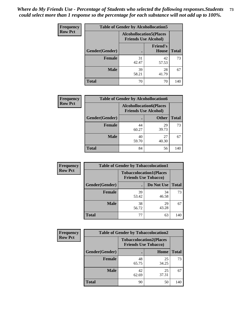| <b>Frequency</b> | <b>Table of Gender by Alcohollocation5</b> |                                                                |                          |              |
|------------------|--------------------------------------------|----------------------------------------------------------------|--------------------------|--------------|
| <b>Row Pct</b>   |                                            | <b>Alcohollocation5</b> (Places<br><b>Friends Use Alcohol)</b> |                          |              |
|                  | Gender(Gender)                             | $\bullet$                                                      | <b>Friend's</b><br>House | <b>Total</b> |
|                  | <b>Female</b>                              | 31<br>42.47                                                    | 42<br>57.53              | 73           |
|                  | <b>Male</b>                                | 39<br>58.21                                                    | 28<br>41.79              | 67           |
|                  | <b>Total</b>                               | 70                                                             | 70                       | 140          |

| Frequency      |                | <b>Table of Gender by Alcohollocation6</b>                    |              |              |
|----------------|----------------|---------------------------------------------------------------|--------------|--------------|
| <b>Row Pct</b> |                | <b>Alcohollocation6(Places</b><br><b>Friends Use Alcohol)</b> |              |              |
|                | Gender(Gender) |                                                               | <b>Other</b> | <b>Total</b> |
|                | <b>Female</b>  | 44<br>60.27                                                   | 29<br>39.73  | 73           |
|                | <b>Male</b>    | 40<br>59.70                                                   | 27<br>40.30  | 67           |
|                | <b>Total</b>   | 84                                                            | 56           | 140          |

| Frequency      | <b>Table of Gender by Tobaccolocation1</b> |                                                               |             |              |  |
|----------------|--------------------------------------------|---------------------------------------------------------------|-------------|--------------|--|
| <b>Row Pct</b> |                                            | <b>Tobaccolocation1(Places</b><br><b>Friends Use Tobacco)</b> |             |              |  |
|                | Gender(Gender)                             |                                                               | Do Not Use  | <b>Total</b> |  |
|                | Female                                     | 39<br>53.42                                                   | 34<br>46.58 | 73           |  |
|                | <b>Male</b>                                | 38<br>56.72                                                   | 29<br>43.28 | 67           |  |
|                | <b>Total</b>                               | 77                                                            | 63          | 140          |  |

| Frequency      | <b>Table of Gender by Tobaccolocation2</b> |                                                               |             |              |
|----------------|--------------------------------------------|---------------------------------------------------------------|-------------|--------------|
| <b>Row Pct</b> |                                            | <b>Tobaccolocation2(Places</b><br><b>Friends Use Tobacco)</b> |             |              |
|                | <b>Gender</b> (Gender)                     |                                                               | Home        | <b>Total</b> |
|                | Female                                     | 48<br>65.75                                                   | 25<br>34.25 | 73           |
|                | <b>Male</b>                                | 42<br>62.69                                                   | 25<br>37.31 | 67           |
|                | <b>Total</b>                               | 90                                                            | 50          | 140          |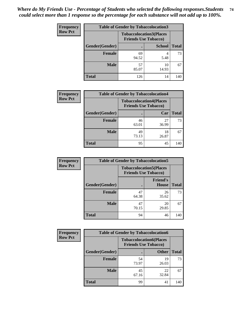| <b>Frequency</b> | <b>Table of Gender by Tobaccolocation3</b> |                                                               |               |              |
|------------------|--------------------------------------------|---------------------------------------------------------------|---------------|--------------|
| <b>Row Pct</b>   |                                            | <b>Tobaccolocation3(Places</b><br><b>Friends Use Tobacco)</b> |               |              |
|                  | Gender(Gender)                             |                                                               | <b>School</b> | <b>Total</b> |
|                  | <b>Female</b>                              | 69<br>94.52                                                   | 5.48          | 73           |
|                  | <b>Male</b>                                | 57<br>85.07                                                   | 10<br>14.93   | 67           |
|                  | Total                                      | 126                                                           | 14            | 140          |

| <b>Frequency</b> | <b>Table of Gender by Tobaccolocation4</b> |             |                                                               |              |
|------------------|--------------------------------------------|-------------|---------------------------------------------------------------|--------------|
| <b>Row Pct</b>   |                                            |             | <b>Tobaccolocation4(Places</b><br><b>Friends Use Tobacco)</b> |              |
|                  | Gender(Gender)                             |             | Car                                                           | <b>Total</b> |
|                  | <b>Female</b>                              | 46<br>63.01 | 27<br>36.99                                                   | 73           |
|                  | <b>Male</b>                                | 49<br>73.13 | 18<br>26.87                                                   | 67           |
|                  | <b>Total</b>                               | 95          | 45                                                            | 140          |

| <b>Frequency</b> | <b>Table of Gender by Tobaccolocation5</b> |                             |                                 |              |
|------------------|--------------------------------------------|-----------------------------|---------------------------------|--------------|
| <b>Row Pct</b>   |                                            | <b>Friends Use Tobacco)</b> | <b>Tobaccolocation5(Places</b>  |              |
|                  | <b>Gender</b> (Gender)                     |                             | <b>Friend's</b><br><b>House</b> | <b>Total</b> |
|                  | <b>Female</b>                              | 47<br>64.38                 | 26<br>35.62                     | 73           |
|                  | <b>Male</b>                                | 47<br>70.15                 | 20<br>29.85                     | 67           |
|                  | <b>Total</b>                               | 94                          | 46                              | 140          |

| <b>Frequency</b> | <b>Table of Gender by Tobaccolocation6</b> |                                                               |              |              |
|------------------|--------------------------------------------|---------------------------------------------------------------|--------------|--------------|
| <b>Row Pct</b>   |                                            | <b>Tobaccolocation6(Places</b><br><b>Friends Use Tobacco)</b> |              |              |
|                  | Gender(Gender)                             |                                                               | <b>Other</b> | <b>Total</b> |
|                  | Female                                     | 54<br>73.97                                                   | 19<br>26.03  | 73           |
|                  | <b>Male</b>                                | 45<br>67.16                                                   | 22<br>32.84  | 67           |
|                  | <b>Total</b>                               | 99                                                            | 41           | 140          |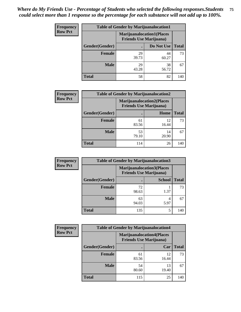| <b>Frequency</b> | <b>Table of Gender by Marijuanalocation1</b> |                                                                    |             |              |  |
|------------------|----------------------------------------------|--------------------------------------------------------------------|-------------|--------------|--|
| <b>Row Pct</b>   |                                              | <b>Marijuanalocation1(Places</b><br><b>Friends Use Marijuana</b> ) |             |              |  |
|                  | Gender(Gender)                               |                                                                    | Do Not Use  | <b>Total</b> |  |
|                  | <b>Female</b>                                | 29<br>39.73                                                        | 44<br>60.27 | 73           |  |
|                  | <b>Male</b>                                  | 29<br>43.28                                                        | 38<br>56.72 | 67           |  |
|                  | <b>Total</b>                                 | 58                                                                 | 82          | 140          |  |

| <b>Frequency</b> | <b>Table of Gender by Marijuanalocation2</b> |                                                                    |             |              |
|------------------|----------------------------------------------|--------------------------------------------------------------------|-------------|--------------|
| <b>Row Pct</b>   |                                              | <b>Marijuanalocation2(Places</b><br><b>Friends Use Marijuana</b> ) |             |              |
|                  | Gender(Gender)                               |                                                                    | Home        | <b>Total</b> |
|                  | <b>Female</b>                                | 61<br>83.56                                                        | 12<br>16.44 | 73           |
|                  | <b>Male</b>                                  | 53<br>79.10                                                        | 14<br>20.90 | 67           |
|                  | <b>Total</b>                                 | 114                                                                | 26          | 140          |

| Frequency      | <b>Table of Gender by Marijuanalocation3</b> |                                                                    |               |              |
|----------------|----------------------------------------------|--------------------------------------------------------------------|---------------|--------------|
| <b>Row Pct</b> |                                              | <b>Marijuanalocation3(Places</b><br><b>Friends Use Marijuana</b> ) |               |              |
|                | Gender(Gender)                               |                                                                    | <b>School</b> | <b>Total</b> |
|                | Female                                       | 72<br>98.63                                                        | 1.37          | 73           |
|                | <b>Male</b>                                  | 63<br>94.03                                                        | 4<br>5.97     | 67           |
|                | <b>Total</b>                                 | 135                                                                | 5             | 140          |

| <b>Frequency</b> | <b>Table of Gender by Marijuanalocation4</b> |                                                                    |             |              |  |
|------------------|----------------------------------------------|--------------------------------------------------------------------|-------------|--------------|--|
| <b>Row Pct</b>   |                                              | <b>Marijuanalocation4(Places</b><br><b>Friends Use Marijuana</b> ) |             |              |  |
|                  | Gender(Gender)                               |                                                                    | Car         | <b>Total</b> |  |
|                  | <b>Female</b>                                | 61<br>83.56                                                        | 12<br>16.44 | 73           |  |
|                  | <b>Male</b>                                  | 54<br>80.60                                                        | 13<br>19.40 | 67           |  |
|                  | <b>Total</b>                                 | 115                                                                | 25          | 140          |  |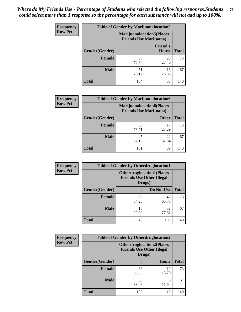| Frequency      | <b>Table of Gender by Marijuanalocation5</b> |                                                                    |                                 |              |
|----------------|----------------------------------------------|--------------------------------------------------------------------|---------------------------------|--------------|
| <b>Row Pct</b> |                                              | <b>Marijuanalocation5(Places</b><br><b>Friends Use Marijuana</b> ) |                                 |              |
|                | Gender(Gender)                               |                                                                    | <b>Friend's</b><br><b>House</b> | <b>Total</b> |
|                | <b>Female</b>                                | 53<br>72.60                                                        | 20<br>27.40                     | 73           |
|                | <b>Male</b>                                  | 51<br>76.12                                                        | 16<br>23.88                     | 67           |
|                | <b>Total</b>                                 | 104                                                                | 36                              | 140          |

| <b>Frequency</b> | <b>Table of Gender by Marijuanalocation6</b> |                                |                                  |              |
|------------------|----------------------------------------------|--------------------------------|----------------------------------|--------------|
| <b>Row Pct</b>   |                                              | <b>Friends Use Marijuana</b> ) | <b>Marijuanalocation6(Places</b> |              |
|                  | <b>Gender</b> (Gender)                       |                                | <b>Other</b>                     | <b>Total</b> |
|                  | <b>Female</b>                                | 56<br>76.71                    | 23.29                            | 73           |
|                  | <b>Male</b>                                  | 45<br>67.16                    | 22<br>32.84                      | 67           |
|                  | <b>Total</b>                                 | 101                            | 39                               | 140          |

| <b>Frequency</b> | <b>Table of Gender by Otherdruglocation1</b> |                                            |                                  |              |
|------------------|----------------------------------------------|--------------------------------------------|----------------------------------|--------------|
| <b>Row Pct</b>   |                                              | <b>Friends Use Other Illegal</b><br>Drugs) | <b>Otherdruglocation1(Places</b> |              |
|                  | Gender(Gender)                               |                                            | Do Not Use                       | <b>Total</b> |
|                  | Female                                       | 25<br>34.25                                | 48<br>65.75                      | 73           |
|                  | <b>Male</b>                                  | 15<br>22.39                                | 52<br>77.61                      | 67           |
|                  | <b>Total</b>                                 | 40                                         | 100                              | 140          |

| <b>Frequency</b> | <b>Table of Gender by Otherdruglocation2</b> |                                                                                |             |              |
|------------------|----------------------------------------------|--------------------------------------------------------------------------------|-------------|--------------|
| <b>Row Pct</b>   |                                              | <b>Otherdruglocation2(Places</b><br><b>Friends Use Other Illegal</b><br>Drugs) |             |              |
|                  | Gender(Gender)                               |                                                                                | Home        | <b>Total</b> |
|                  | Female                                       | 63<br>86.30                                                                    | 10<br>13.70 | 73           |
|                  | <b>Male</b>                                  | 59<br>88.06                                                                    | 8<br>11.94  | 67           |
|                  | <b>Total</b>                                 | 122                                                                            | 18          | 140          |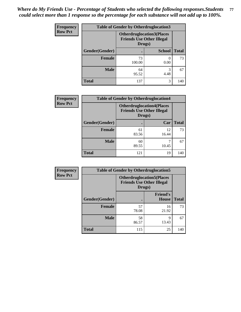| <b>Frequency</b> | <b>Table of Gender by Otherdruglocation3</b> |                                                                                |               |              |
|------------------|----------------------------------------------|--------------------------------------------------------------------------------|---------------|--------------|
| <b>Row Pct</b>   |                                              | <b>Otherdruglocation3(Places</b><br><b>Friends Use Other Illegal</b><br>Drugs) |               |              |
|                  | Gender(Gender)                               |                                                                                | <b>School</b> | <b>Total</b> |
|                  | Female                                       | 73<br>100.00                                                                   | 0.00          | 73           |
|                  | <b>Male</b>                                  | 64<br>95.52                                                                    | 3<br>4.48     | 67           |
|                  | <b>Total</b>                                 | 137                                                                            | 3             | 140          |

| Frequency      | <b>Table of Gender by Otherdruglocation4</b> |                                            |                                  |              |
|----------------|----------------------------------------------|--------------------------------------------|----------------------------------|--------------|
| <b>Row Pct</b> |                                              | <b>Friends Use Other Illegal</b><br>Drugs) | <b>Otherdruglocation4(Places</b> |              |
|                | Gender(Gender)                               |                                            | Car                              | <b>Total</b> |
|                | <b>Female</b>                                | 61<br>83.56                                | 12<br>16.44                      | 73           |
|                | <b>Male</b>                                  | 60<br>89.55                                | 10.45                            | 67           |
|                | <b>Total</b>                                 | 121                                        | 19                               | 140          |

| <b>Frequency</b> |                | <b>Table of Gender by Otherdruglocation5</b> |                                  |              |
|------------------|----------------|----------------------------------------------|----------------------------------|--------------|
| <b>Row Pct</b>   |                | <b>Friends Use Other Illegal</b><br>Drugs)   | <b>Otherdruglocation5(Places</b> |              |
|                  | Gender(Gender) |                                              | <b>Friend's</b><br><b>House</b>  | <b>Total</b> |
|                  | <b>Female</b>  | 57<br>78.08                                  | 16<br>21.92                      | 73           |
|                  | <b>Male</b>    | 58<br>86.57                                  | q<br>13.43                       | 67           |
|                  | <b>Total</b>   | 115                                          | 25                               | 140          |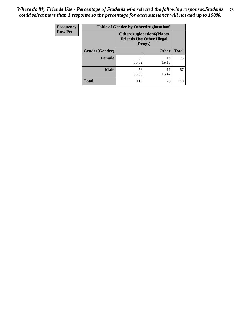| <b>Frequency</b> | <b>Table of Gender by Otherdruglocation6</b> |             |                                                                                |              |
|------------------|----------------------------------------------|-------------|--------------------------------------------------------------------------------|--------------|
| <b>Row Pct</b>   |                                              |             | <b>Otherdruglocation6(Places</b><br><b>Friends Use Other Illegal</b><br>Drugs) |              |
|                  | Gender(Gender)                               |             | <b>Other</b>                                                                   | <b>Total</b> |
|                  | <b>Female</b>                                | 59<br>80.82 | 14<br>19.18                                                                    | 73           |
|                  | <b>Male</b>                                  | 56<br>83.58 | 11<br>16.42                                                                    | 67           |
|                  | <b>Total</b>                                 | 115         | 25                                                                             | 140          |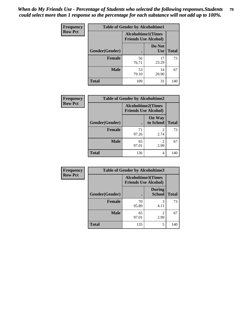| Frequency      | <b>Table of Gender by Alcoholtime1</b> |                                                          |                      |              |
|----------------|----------------------------------------|----------------------------------------------------------|----------------------|--------------|
| <b>Row Pct</b> |                                        | <b>Alcoholtime1(Times</b><br><b>Friends Use Alcohol)</b> |                      |              |
|                | Gender(Gender)                         | $\bullet$                                                | Do Not<br><b>Use</b> | <b>Total</b> |
|                | <b>Female</b>                          | 56<br>76.71                                              | 17<br>23.29          | 73           |
|                | <b>Male</b>                            | 53<br>79.10                                              | 14<br>20.90          | 67           |
|                | <b>Total</b>                           | 109                                                      | 31                   | 140          |

| <b>Frequency</b> | <b>Table of Gender by Alcoholtime2</b> |                                                          |                            |              |
|------------------|----------------------------------------|----------------------------------------------------------|----------------------------|--------------|
| <b>Row Pct</b>   |                                        | <b>Alcoholtime2(Times</b><br><b>Friends Use Alcohol)</b> |                            |              |
|                  | Gender(Gender)                         |                                                          | <b>On Way</b><br>to School | <b>Total</b> |
|                  | <b>Female</b>                          | 71<br>97.26                                              | 2<br>2.74                  | 73           |
|                  | <b>Male</b>                            | 65<br>97.01                                              | 2<br>2.99                  | 67           |
|                  | <b>Total</b>                           | 136                                                      | 4                          | 140          |

| Frequency      | <b>Table of Gender by Alcoholtime3</b> |                                                   |                                |              |
|----------------|----------------------------------------|---------------------------------------------------|--------------------------------|--------------|
| <b>Row Pct</b> |                                        | Alcoholtime3(Times<br><b>Friends Use Alcohol)</b> |                                |              |
|                | Gender(Gender)                         |                                                   | <b>During</b><br><b>School</b> | <b>Total</b> |
|                | Female                                 | 70<br>95.89                                       | 3<br>4.11                      | 73           |
|                | <b>Male</b>                            | 65<br>97.01                                       | 2<br>2.99                      | 67           |
|                | <b>Total</b>                           | 135                                               | 5                              | 140          |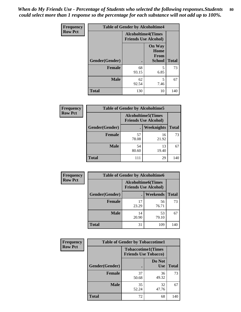*When do My Friends Use - Percentage of Students who selected the following responses.Students could select more than 1 response so the percentage for each substance will not add up to 100%.* **80**

| <b>Frequency</b> | <b>Table of Gender by Alcoholtime4</b> |                                                          |                                                |              |
|------------------|----------------------------------------|----------------------------------------------------------|------------------------------------------------|--------------|
| <b>Row Pct</b>   |                                        | <b>Alcoholtime4(Times</b><br><b>Friends Use Alcohol)</b> |                                                |              |
|                  | Gender(Gender)                         |                                                          | <b>On Way</b><br>Home<br>From<br><b>School</b> | <b>Total</b> |
|                  | <b>Female</b>                          | 68<br>93.15                                              | 5<br>6.85                                      | 73           |
|                  | <b>Male</b>                            | 62<br>92.54                                              | 5<br>7.46                                      | 67           |
|                  | <b>Total</b>                           | 130                                                      | 10                                             | 140          |

| <b>Frequency</b> | <b>Table of Gender by Alcoholtime5</b> |                                                           |                   |              |
|------------------|----------------------------------------|-----------------------------------------------------------|-------------------|--------------|
| <b>Row Pct</b>   |                                        | <b>Alcoholtime5</b> (Times<br><b>Friends Use Alcohol)</b> |                   |              |
|                  | Gender(Gender)                         |                                                           | <b>Weeknights</b> | <b>Total</b> |
|                  | <b>Female</b>                          | 57<br>78.08                                               | 16<br>21.92       | 73           |
|                  | <b>Male</b>                            | 54<br>80.60                                               | 13<br>19.40       | 67           |
|                  | <b>Total</b>                           | 111                                                       | 29                | 140          |

| <b>Frequency</b> |                | <b>Table of Gender by Alcoholtime6</b> |                                                          |              |
|------------------|----------------|----------------------------------------|----------------------------------------------------------|--------------|
| <b>Row Pct</b>   |                |                                        | <b>Alcoholtime6(Times</b><br><b>Friends Use Alcohol)</b> |              |
|                  | Gender(Gender) |                                        | <b>Weekends</b>                                          | <b>Total</b> |
|                  | Female         | 17<br>23.29                            | 56<br>76.71                                              | 73           |
|                  | <b>Male</b>    | 14<br>20.90                            | 53<br>79.10                                              | 67           |
|                  | <b>Total</b>   | 31                                     | 109                                                      | 140          |

| Frequency      | <b>Table of Gender by Tobaccotime1</b> |                                                          |                      |              |
|----------------|----------------------------------------|----------------------------------------------------------|----------------------|--------------|
| <b>Row Pct</b> |                                        | <b>Tobaccotime1(Times</b><br><b>Friends Use Tobacco)</b> |                      |              |
|                | Gender(Gender)                         |                                                          | Do Not<br><b>Use</b> | <b>Total</b> |
|                | <b>Female</b>                          | 37<br>50.68                                              | 36<br>49.32          | 73           |
|                | <b>Male</b>                            | 35<br>52.24                                              | 32<br>47.76          | 67           |
|                | <b>Total</b>                           | 72                                                       | 68                   | 140          |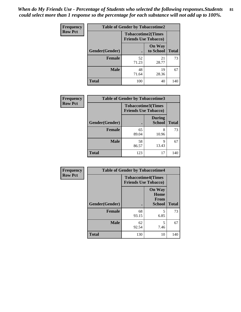*When do My Friends Use - Percentage of Students who selected the following responses.Students could select more than 1 response so the percentage for each substance will not add up to 100%.* **81**

| <b>Frequency</b> | <b>Table of Gender by Tobaccotime2</b> |                                                          |                            |              |
|------------------|----------------------------------------|----------------------------------------------------------|----------------------------|--------------|
| <b>Row Pct</b>   |                                        | <b>Tobaccotime2(Times</b><br><b>Friends Use Tobacco)</b> |                            |              |
|                  | Gender(Gender)                         | $\bullet$                                                | <b>On Way</b><br>to School | <b>Total</b> |
|                  | Female                                 | 52<br>71.23                                              | 21<br>28.77                | 73           |
|                  | <b>Male</b>                            | 48<br>71.64                                              | 19<br>28.36                | 67           |
|                  | <b>Total</b>                           | 100                                                      | 40                         | 140          |

| Frequency      | <b>Table of Gender by Tobaccotime3</b> |                             |                                |              |
|----------------|----------------------------------------|-----------------------------|--------------------------------|--------------|
| <b>Row Pct</b> |                                        | <b>Friends Use Tobacco)</b> | <b>Tobaccotime3(Times</b>      |              |
|                | Gender(Gender)                         |                             | <b>During</b><br><b>School</b> | <b>Total</b> |
|                | <b>Female</b>                          | 65<br>89.04                 | 8<br>10.96                     | 73           |
|                | <b>Male</b>                            | 58<br>86.57                 | 9<br>13.43                     | 67           |
|                | <b>Total</b>                           | 123                         | 17                             | 140          |

| <b>Frequency</b> | <b>Table of Gender by Tobaccotime4</b> |                                                          |                                                |              |
|------------------|----------------------------------------|----------------------------------------------------------|------------------------------------------------|--------------|
| <b>Row Pct</b>   |                                        | <b>Tobaccotime4(Times</b><br><b>Friends Use Tobacco)</b> |                                                |              |
|                  | Gender(Gender)                         |                                                          | <b>On Way</b><br>Home<br>From<br><b>School</b> | <b>Total</b> |
|                  | <b>Female</b>                          | 68<br>93.15                                              | 5<br>6.85                                      | 73           |
|                  | <b>Male</b>                            | 62<br>92.54                                              | 5<br>7.46                                      | 67           |
|                  | <b>Total</b>                           | 130                                                      | 10                                             | 140          |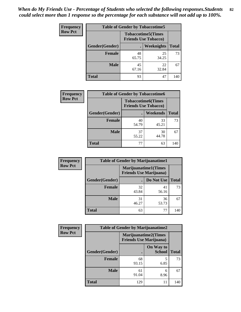| <b>Frequency</b> | <b>Table of Gender by Tobaccotime5</b> |                                                           |                   |              |  |
|------------------|----------------------------------------|-----------------------------------------------------------|-------------------|--------------|--|
| <b>Row Pct</b>   |                                        | <b>Tobaccotime5</b> (Times<br><b>Friends Use Tobacco)</b> |                   |              |  |
|                  | Gender(Gender)                         |                                                           | <b>Weeknights</b> | <b>Total</b> |  |
|                  | <b>Female</b>                          | 48<br>65.75                                               | 25<br>34.25       | 73           |  |
|                  | <b>Male</b>                            | 45<br>67.16                                               | 22<br>32.84       | 67           |  |
|                  | Total                                  | 93                                                        | 47                | 140          |  |

| <b>Frequency</b> |                | <b>Table of Gender by Tobaccotime6</b>                   |                 |              |
|------------------|----------------|----------------------------------------------------------|-----------------|--------------|
| <b>Row Pct</b>   |                | <b>Tobaccotime6(Times</b><br><b>Friends Use Tobacco)</b> |                 |              |
|                  | Gender(Gender) |                                                          | <b>Weekends</b> | <b>Total</b> |
|                  | Female         | 40<br>54.79                                              | 33<br>45.21     | 73           |
|                  | <b>Male</b>    | 37<br>55.22                                              | 30<br>44.78     | 67           |
|                  | <b>Total</b>   | 77                                                       | 63              | 140          |

| <b>Frequency</b> | <b>Table of Gender by Marijuanatime1</b> |                                |                             |              |
|------------------|------------------------------------------|--------------------------------|-----------------------------|--------------|
| <b>Row Pct</b>   |                                          | <b>Friends Use Marijuana</b> ) | <b>Marijuanatime1(Times</b> |              |
|                  | Gender(Gender)                           |                                | Do Not Use                  | <b>Total</b> |
|                  | <b>Female</b>                            | 32<br>43.84                    | 41<br>56.16                 | 73           |
|                  | <b>Male</b>                              | 31<br>46.27                    | 36<br>53.73                 | 67           |
|                  | <b>Total</b>                             | 63                             | 77                          | 140          |

| <b>Frequency</b> | <b>Table of Gender by Marijuanatime2</b>                      |             |                            |              |
|------------------|---------------------------------------------------------------|-------------|----------------------------|--------------|
| <b>Row Pct</b>   | <b>Marijuanatime2(Times</b><br><b>Friends Use Marijuana</b> ) |             |                            |              |
|                  | Gender(Gender)                                                |             | On Way to<br><b>School</b> | <b>Total</b> |
|                  | <b>Female</b>                                                 | 68<br>93.15 | 5<br>6.85                  | 73           |
|                  | <b>Male</b>                                                   | 61<br>91.04 | 6<br>8.96                  | 67           |
|                  | <b>Total</b>                                                  | 129         | 11                         | 140          |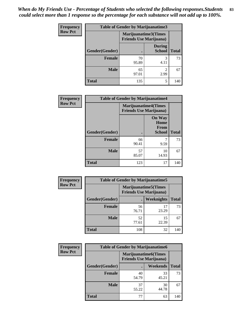*When do My Friends Use - Percentage of Students who selected the following responses.Students could select more than 1 response so the percentage for each substance will not add up to 100%.* **83**

| <b>Frequency</b> | <b>Table of Gender by Marijuanatime3</b> |                                |                                |              |
|------------------|------------------------------------------|--------------------------------|--------------------------------|--------------|
| <b>Row Pct</b>   |                                          | <b>Friends Use Marijuana</b> ) | Marijuanatime3(Times           |              |
|                  | Gender(Gender)                           |                                | <b>During</b><br><b>School</b> | <b>Total</b> |
|                  | Female                                   | 70<br>95.89                    | 3<br>4.11                      | 73           |
|                  | <b>Male</b>                              | 65<br>97.01                    | 2.99                           | 67           |
|                  | <b>Total</b>                             | 135                            | 5                              | 140          |

| Frequency      |                | <b>Table of Gender by Marijuanatime4</b>                      |                                                |              |
|----------------|----------------|---------------------------------------------------------------|------------------------------------------------|--------------|
| <b>Row Pct</b> |                | <b>Marijuanatime4(Times</b><br><b>Friends Use Marijuana</b> ) |                                                |              |
|                | Gender(Gender) |                                                               | <b>On Way</b><br>Home<br>From<br><b>School</b> | <b>Total</b> |
|                | <b>Female</b>  | 66<br>90.41                                                   | 9.59                                           | 73           |
|                | <b>Male</b>    | 57<br>85.07                                                   | 10<br>14.93                                    | 67           |
|                | <b>Total</b>   | 123                                                           | 17                                             | 140          |

| Frequency      | <b>Table of Gender by Marijuanatime5</b> |                                                                |             |              |
|----------------|------------------------------------------|----------------------------------------------------------------|-------------|--------------|
| <b>Row Pct</b> |                                          | <b>Marijuanatime5</b> (Times<br><b>Friends Use Marijuana</b> ) |             |              |
|                | Gender(Gender)                           |                                                                | Weeknights  | <b>Total</b> |
|                | <b>Female</b>                            | 56<br>76.71                                                    | 17<br>23.29 | 73           |
|                | <b>Male</b>                              | 52<br>77.61                                                    | 15<br>22.39 | 67           |
|                | <b>Total</b>                             | 108                                                            | 32          | 140          |

| Frequency      | <b>Table of Gender by Marijuanatime6</b>                      |             |                 |              |
|----------------|---------------------------------------------------------------|-------------|-----------------|--------------|
| <b>Row Pct</b> | <b>Marijuanatime6(Times</b><br><b>Friends Use Marijuana</b> ) |             |                 |              |
|                | Gender(Gender)                                                |             | <b>Weekends</b> | <b>Total</b> |
|                | <b>Female</b>                                                 | 40<br>54.79 | 33<br>45.21     | 73           |
|                | <b>Male</b>                                                   | 37<br>55.22 | 30<br>44.78     | 67           |
|                | <b>Total</b>                                                  | 77          | 63              | 140          |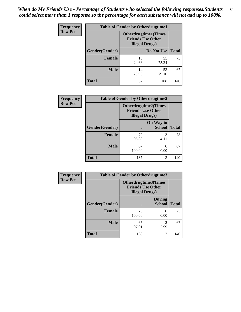*When do My Friends Use - Percentage of Students who selected the following responses.Students could select more than 1 response so the percentage for each substance will not add up to 100%.* **84**

| <b>Frequency</b> | <b>Table of Gender by Otherdrugtime1</b> |                                                                                    |                    |     |
|------------------|------------------------------------------|------------------------------------------------------------------------------------|--------------------|-----|
| <b>Row Pct</b>   |                                          | <b>Otherdrugtime1</b> (Times<br><b>Friends Use Other</b><br><b>Illegal Drugs</b> ) |                    |     |
|                  | Gender(Gender)                           |                                                                                    | Do Not Use   Total |     |
|                  | <b>Female</b>                            | 18<br>24.66                                                                        | 55<br>75.34        | 73  |
|                  | <b>Male</b>                              | 14<br>20.90                                                                        | 53<br>79.10        | 67  |
|                  | <b>Total</b>                             | 32                                                                                 | 108                | 140 |

| <b>Frequency</b> | <b>Table of Gender by Otherdrugtime2</b> |                                                                                   |                            |              |  |
|------------------|------------------------------------------|-----------------------------------------------------------------------------------|----------------------------|--------------|--|
| <b>Row Pct</b>   |                                          | <b>Otherdrugtime2(Times</b><br><b>Friends Use Other</b><br><b>Illegal Drugs</b> ) |                            |              |  |
|                  | Gender(Gender)                           |                                                                                   | On Way to<br><b>School</b> | <b>Total</b> |  |
|                  | <b>Female</b>                            | 70<br>95.89                                                                       | 3<br>4.11                  | 73           |  |
|                  | <b>Male</b>                              | 67<br>100.00                                                                      | 0.00                       | 67           |  |
|                  | <b>Total</b>                             | 137                                                                               | 3                          | 140          |  |

| <b>Frequency</b> | <b>Table of Gender by Otherdrugtime3</b> |                        |                                                  |              |
|------------------|------------------------------------------|------------------------|--------------------------------------------------|--------------|
| <b>Row Pct</b>   |                                          | <b>Illegal Drugs</b> ) | Otherdrugtime3(Times<br><b>Friends Use Other</b> |              |
|                  | Gender(Gender)                           |                        | <b>During</b><br><b>School</b>                   | <b>Total</b> |
|                  | <b>Female</b>                            | 73<br>100.00           | 0<br>0.00                                        | 73           |
|                  | <b>Male</b>                              | 65<br>97.01            | 2<br>2.99                                        | 67           |
|                  | <b>Total</b>                             | 138                    | $\overline{c}$                                   | 140          |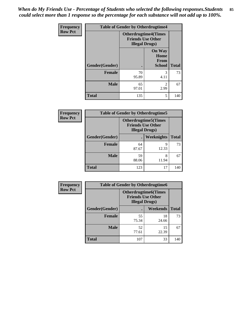*When do My Friends Use - Percentage of Students who selected the following responses.Students could select more than 1 response so the percentage for each substance will not add up to 100%.* **85**

| Frequency      | <b>Table of Gender by Otherdrugtime4</b> |             |                                                                                   |              |  |
|----------------|------------------------------------------|-------------|-----------------------------------------------------------------------------------|--------------|--|
| <b>Row Pct</b> |                                          |             | <b>Otherdrugtime4(Times</b><br><b>Friends Use Other</b><br><b>Illegal Drugs</b> ) |              |  |
|                | <b>Gender</b> (Gender)                   |             | <b>On Way</b><br>Home<br>From<br>School                                           | <b>Total</b> |  |
|                | <b>Female</b>                            | 70<br>95.89 | 3<br>4.11                                                                         | 73           |  |
|                | <b>Male</b>                              | 65<br>97.01 | $\mathfrak{D}$<br>2.99                                                            | 67           |  |
|                | <b>Total</b>                             | 135         | 5                                                                                 | 140          |  |

| <b>Frequency</b> | <b>Table of Gender by Otherdrugtime5</b>                                           |                |            |              |
|------------------|------------------------------------------------------------------------------------|----------------|------------|--------------|
| <b>Row Pct</b>   | <b>Otherdrugtime5</b> (Times<br><b>Friends Use Other</b><br><b>Illegal Drugs</b> ) |                |            |              |
|                  | Gender(Gender)                                                                     | $\blacksquare$ | Weeknights | <b>Total</b> |
|                  | Female                                                                             | 64<br>87.67    | Q<br>12.33 | 73           |
|                  | <b>Male</b>                                                                        | 59<br>88.06    | 8<br>11.94 | 67           |
|                  | <b>Total</b>                                                                       | 123            | 17         | 140          |

| <b>Frequency</b> | <b>Table of Gender by Otherdrugtime6</b> |                                                                                   |             |              |
|------------------|------------------------------------------|-----------------------------------------------------------------------------------|-------------|--------------|
| <b>Row Pct</b>   |                                          | <b>Otherdrugtime6(Times</b><br><b>Friends Use Other</b><br><b>Illegal Drugs</b> ) |             |              |
|                  | Gender(Gender)                           |                                                                                   | Weekends    | <b>Total</b> |
|                  | <b>Female</b>                            | 55<br>75.34                                                                       | 18<br>24.66 | 73           |
|                  | <b>Male</b>                              | 52<br>77.61                                                                       | 15<br>22.39 | 67           |
|                  | <b>Total</b>                             | 107                                                                               | 33          | 140          |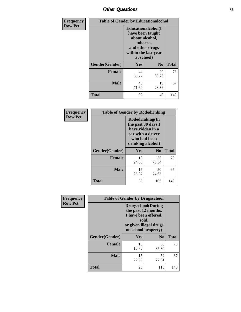# *Other Questions* **86**

| Frequency      |                | <b>Table of Gender by Educationalcohol</b>                                                                                    |                |              |  |
|----------------|----------------|-------------------------------------------------------------------------------------------------------------------------------|----------------|--------------|--|
| <b>Row Pct</b> |                | Educationalcohol(I<br>have been taught<br>about alcohol,<br>tobacco,<br>and other drugs<br>within the last year<br>at school) |                |              |  |
|                | Gender(Gender) | <b>Yes</b>                                                                                                                    | N <sub>0</sub> | <b>Total</b> |  |
|                | <b>Female</b>  | 44<br>60.27                                                                                                                   | 29<br>39.73    | 73           |  |
|                | <b>Male</b>    | 48<br>71.64                                                                                                                   | 19<br>28.36    | 67           |  |
|                | <b>Total</b>   | 92                                                                                                                            | 48             | 140          |  |

| Frequency      | <b>Table of Gender by Rodedrinking</b> |                                                                                                                     |                |              |  |
|----------------|----------------------------------------|---------------------------------------------------------------------------------------------------------------------|----------------|--------------|--|
| <b>Row Pct</b> |                                        | Rodedrinking(In<br>the past 30 days I<br>have ridden in a<br>car with a driver<br>who had been<br>drinking alcohol) |                |              |  |
|                | Gender(Gender)                         | Yes                                                                                                                 | N <sub>0</sub> | <b>Total</b> |  |
|                | <b>Female</b>                          | 18<br>24.66                                                                                                         | 55<br>75.34    | 73           |  |
|                | <b>Male</b>                            | 17<br>25.37                                                                                                         | 50<br>74.63    | 67           |  |
|                | <b>Total</b>                           | 35                                                                                                                  | 105            | 140          |  |

| Frequency      | <b>Table of Gender by Drugsschool</b> |                                                                                                                                     |                |              |
|----------------|---------------------------------------|-------------------------------------------------------------------------------------------------------------------------------------|----------------|--------------|
| <b>Row Pct</b> |                                       | <b>Drugsschool</b> (During<br>the past 12 months,<br>I have been offered,<br>sold,<br>or given illegal drugs<br>on school property) |                |              |
|                | Gender(Gender)                        | <b>Yes</b>                                                                                                                          | N <sub>0</sub> | <b>Total</b> |
|                | <b>Female</b>                         | 10<br>13.70                                                                                                                         | 63<br>86.30    | 73           |
|                | <b>Male</b>                           | 15<br>22.39                                                                                                                         | 52<br>77.61    | 67           |
|                | <b>Total</b>                          | 25                                                                                                                                  | 115            | 140          |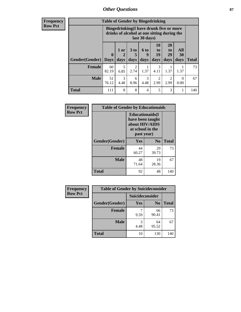## *Other Questions* **87**

**Frequency Row Pct**

| <b>Table of Gender by Bingedrinking</b> |                         |                                                                                                         |                   |                          |                        |                               |                   |              |
|-----------------------------------------|-------------------------|---------------------------------------------------------------------------------------------------------|-------------------|--------------------------|------------------------|-------------------------------|-------------------|--------------|
|                                         |                         | Bingedrinking(I have drunk five or more<br>drinks of alcohol at one sitting during the<br>last 30 days) |                   |                          |                        |                               |                   |              |
| <b>Gender</b> (Gender)                  | $\bf{0}$<br><b>Days</b> | $1$ or<br>days                                                                                          | 3 to<br>5<br>days | <b>6 to</b><br>9<br>days | 10<br>to<br>19<br>days | <b>20</b><br>to<br>29<br>days | All<br>30<br>days | <b>Total</b> |
| <b>Female</b>                           | 60                      | 5                                                                                                       | $\overline{2}$    |                          | 3                      |                               |                   | 73           |
|                                         | 82.19                   | 6.85                                                                                                    | 2.74              | 1.37                     | 4.11                   | 1.37                          | 1.37              |              |
| <b>Male</b>                             | 51<br>76.12             | 3<br>4.48                                                                                               | 6<br>8.96         | 3<br>4.48                | $\overline{2}$<br>2.99 | 2<br>2.99                     | $\theta$<br>0.00  | 67           |

| Frequency      | <b>Table of Gender by Educationaids</b> |                                                                                                 |                |              |
|----------------|-----------------------------------------|-------------------------------------------------------------------------------------------------|----------------|--------------|
| <b>Row Pct</b> |                                         | <b>Educationaids</b> (I<br>have been taught<br>about HIV/AIDS<br>at school in the<br>past year) |                |              |
|                | Gender(Gender)                          | Yes                                                                                             | N <sub>0</sub> | <b>Total</b> |
|                | <b>Female</b>                           | 44<br>60.27                                                                                     | 29<br>39.73    | 73           |
|                | <b>Male</b>                             | 48<br>71.64                                                                                     | 19<br>28.36    | 67           |
|                | <b>Total</b>                            | 92                                                                                              | 48             | 140          |

| <b>Frequency</b> | <b>Table of Gender by Suicideconsider</b> |                 |                |              |
|------------------|-------------------------------------------|-----------------|----------------|--------------|
| <b>Row Pct</b>   |                                           | Suicideconsider |                |              |
|                  | Gender(Gender)                            | Yes             | N <sub>0</sub> | <b>Total</b> |
|                  | <b>Female</b>                             | 9.59            | 66<br>90.41    | 73           |
|                  | <b>Male</b>                               | 3<br>4.48       | 64<br>95.52    | 67           |
|                  | <b>Total</b>                              | 10              | 130            | 140          |